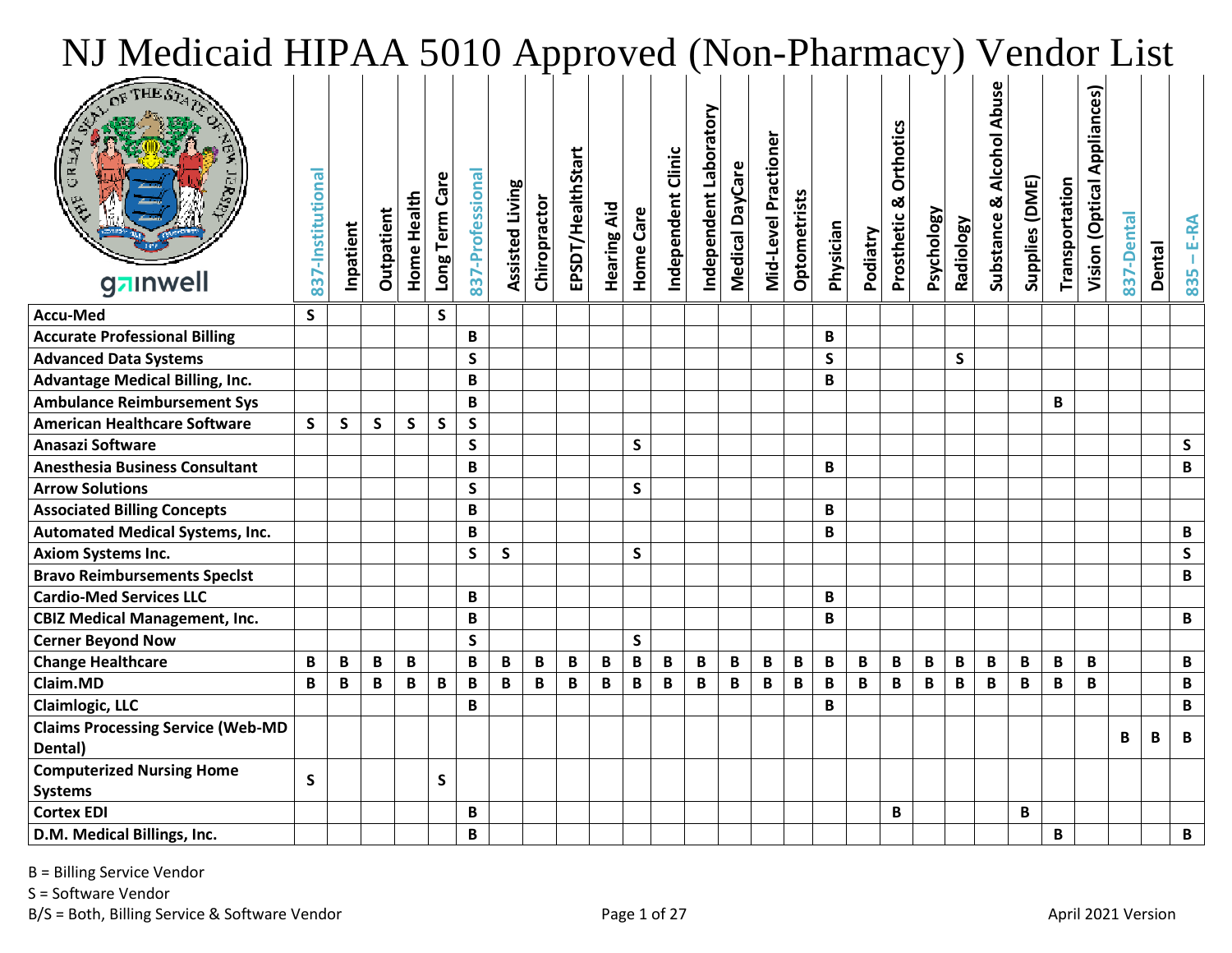| NJ Medicaid HIPAA 5010 Approved (Non-Pharmacy) Vendor List |                   |              |              |                    |                    |                  |                        |              |                   |                    |              |                    |                        |                 |                      |              |              |             |                              |                   |                         |                             |                |                |                                        |            |               |              |
|------------------------------------------------------------|-------------------|--------------|--------------|--------------------|--------------------|------------------|------------------------|--------------|-------------------|--------------------|--------------|--------------------|------------------------|-----------------|----------------------|--------------|--------------|-------------|------------------------------|-------------------|-------------------------|-----------------------------|----------------|----------------|----------------------------------------|------------|---------------|--------------|
| gainwell                                                   | 837-Institutional | Inpatient    | Outpatient   | <b>Home Health</b> | ω<br>Long Term Car | 837-Professional | <b>Assisted Living</b> | Chiropractor | EPSDT/HealthStart | <b>Hearing Aid</b> | Care<br>Home | Independent Clinic | Independent Laboratory | Medical DayCare | Mid-Level Practioner | Optometrists | Physician    | Podiatry    | Orthotics<br>ఱ<br>Prosthetic | <b>Psychology</b> | <b>Radiology</b>        | Abu:<br>Substance & Alcohol | Supplies (DME) | Transportation | <b>Appliances</b> )<br>Vision (Optical | 837-Dental | <b>Dental</b> | E-RA<br>835  |
| <b>Accu-Med</b>                                            | $\mathsf{S}$      |              |              |                    | S                  |                  |                        |              |                   |                    |              |                    |                        |                 |                      |              |              |             |                              |                   |                         |                             |                |                |                                        |            |               |              |
| <b>Accurate Professional Billing</b>                       |                   |              |              |                    |                    | B                |                        |              |                   |                    |              |                    |                        |                 |                      |              | B            |             |                              |                   |                         |                             |                |                |                                        |            |               |              |
| <b>Advanced Data Systems</b>                               |                   |              |              |                    |                    | S                |                        |              |                   |                    |              |                    |                        |                 |                      |              | S            |             |                              |                   | S                       |                             |                |                |                                        |            |               |              |
| <b>Advantage Medical Billing, Inc.</b>                     |                   |              |              |                    |                    | B                |                        |              |                   |                    |              |                    |                        |                 |                      |              | B            |             |                              |                   |                         |                             |                |                |                                        |            |               |              |
| <b>Ambulance Reimbursement Sys</b>                         |                   |              |              |                    |                    | B                |                        |              |                   |                    |              |                    |                        |                 |                      |              |              |             |                              |                   |                         |                             |                | B              |                                        |            |               |              |
| <b>American Healthcare Software</b>                        | S                 | $\mathsf{s}$ | $\mathsf{S}$ | $\mathsf{S}$       | S                  | $\mathsf{s}$     |                        |              |                   |                    |              |                    |                        |                 |                      |              |              |             |                              |                   |                         |                             |                |                |                                        |            |               |              |
| Anasazi Software                                           |                   |              |              |                    |                    | $\mathsf{S}$     |                        |              |                   |                    | $\mathsf{S}$ |                    |                        |                 |                      |              |              |             |                              |                   |                         |                             |                |                |                                        |            |               | $\mathsf{s}$ |
| <b>Anesthesia Business Consultant</b>                      |                   |              |              |                    |                    | B                |                        |              |                   |                    |              |                    |                        |                 |                      |              | B            |             |                              |                   |                         |                             |                |                |                                        |            |               | B            |
| <b>Arrow Solutions</b>                                     |                   |              |              |                    |                    | $\mathsf{S}$     |                        |              |                   |                    | $\mathsf{S}$ |                    |                        |                 |                      |              |              |             |                              |                   |                         |                             |                |                |                                        |            |               |              |
| <b>Associated Billing Concepts</b>                         |                   |              |              |                    |                    | B                |                        |              |                   |                    |              |                    |                        |                 |                      |              | B            |             |                              |                   |                         |                             |                |                |                                        |            |               |              |
| <b>Automated Medical Systems, Inc.</b>                     |                   |              |              |                    |                    | B                |                        |              |                   |                    |              |                    |                        |                 |                      |              | B            |             |                              |                   |                         |                             |                |                |                                        |            |               | B            |
| <b>Axiom Systems Inc.</b>                                  |                   |              |              |                    |                    | $\mathsf{S}$     | $\mathsf{S}$           |              |                   |                    | $\mathsf{S}$ |                    |                        |                 |                      |              |              |             |                              |                   |                         |                             |                |                |                                        |            |               | $\mathsf{S}$ |
| <b>Bravo Reimbursements Specist</b>                        |                   |              |              |                    |                    |                  |                        |              |                   |                    |              |                    |                        |                 |                      |              |              |             |                              |                   |                         |                             |                |                |                                        |            |               | B            |
| <b>Cardio-Med Services LLC</b>                             |                   |              |              |                    |                    | B                |                        |              |                   |                    |              |                    |                        |                 |                      |              | B            |             |                              |                   |                         |                             |                |                |                                        |            |               |              |
| <b>CBIZ Medical Management, Inc.</b>                       |                   |              |              |                    |                    | B                |                        |              |                   |                    |              |                    |                        |                 |                      |              | B            |             |                              |                   |                         |                             |                |                |                                        |            |               | B            |
| <b>Cerner Beyond Now</b>                                   |                   |              |              |                    |                    | $\mathsf{s}$     |                        |              |                   |                    | $\mathsf{s}$ |                    |                        |                 |                      |              |              |             |                              |                   |                         |                             |                |                |                                        |            |               |              |
| <b>Change Healthcare</b>                                   | B                 | B            | B            | B                  |                    | B                | B                      | В            | B                 | B                  | $\pmb B$     | B                  | B                      | В               | B                    | B            | B            | B           | B                            | B                 | B                       | B                           | B              | B              | B                                      |            |               | B            |
| Claim.MD                                                   | B                 | B            | B            | B                  | B                  | B                | B                      | B            | $\mathsf B$       | B                  | $\mathsf B$  | B                  | $\mathbf B$            | B               | $\, {\bf B}$         | B            | $\, {\bf B}$ | $\mathbf B$ | $\mathbf{B}$                 | $\mathbf{B}$      | $\overline{\mathbf{B}}$ | $\mathbf{B}$                | $\mathbf B$    | $\mathbf{B}$   | B                                      |            |               | B            |
| <b>Claimlogic, LLC</b>                                     |                   |              |              |                    |                    | B                |                        |              |                   |                    |              |                    |                        |                 |                      |              | B            |             |                              |                   |                         |                             |                |                |                                        |            |               | B            |
| <b>Claims Processing Service (Web-MD</b><br>Dental)        |                   |              |              |                    |                    |                  |                        |              |                   |                    |              |                    |                        |                 |                      |              |              |             |                              |                   |                         |                             |                |                |                                        | В          | B             | B            |
| <b>Computerized Nursing Home</b><br><b>Systems</b>         | $\mathsf{S}$      |              |              |                    | S                  |                  |                        |              |                   |                    |              |                    |                        |                 |                      |              |              |             |                              |                   |                         |                             |                |                |                                        |            |               |              |
| <b>Cortex EDI</b>                                          |                   |              |              |                    |                    | B                |                        |              |                   |                    |              |                    |                        |                 |                      |              |              |             | В                            |                   |                         |                             | В              |                |                                        |            |               |              |
| D.M. Medical Billings, Inc.                                |                   |              |              |                    |                    | B                |                        |              |                   |                    |              |                    |                        |                 |                      |              |              |             |                              |                   |                         |                             |                | B              |                                        |            |               | B            |

S = Software Vendor

B/S = Both, Billing Service & Software Vendor example and the Page 1 of 27 April 2021 Version example and the April 2021 Version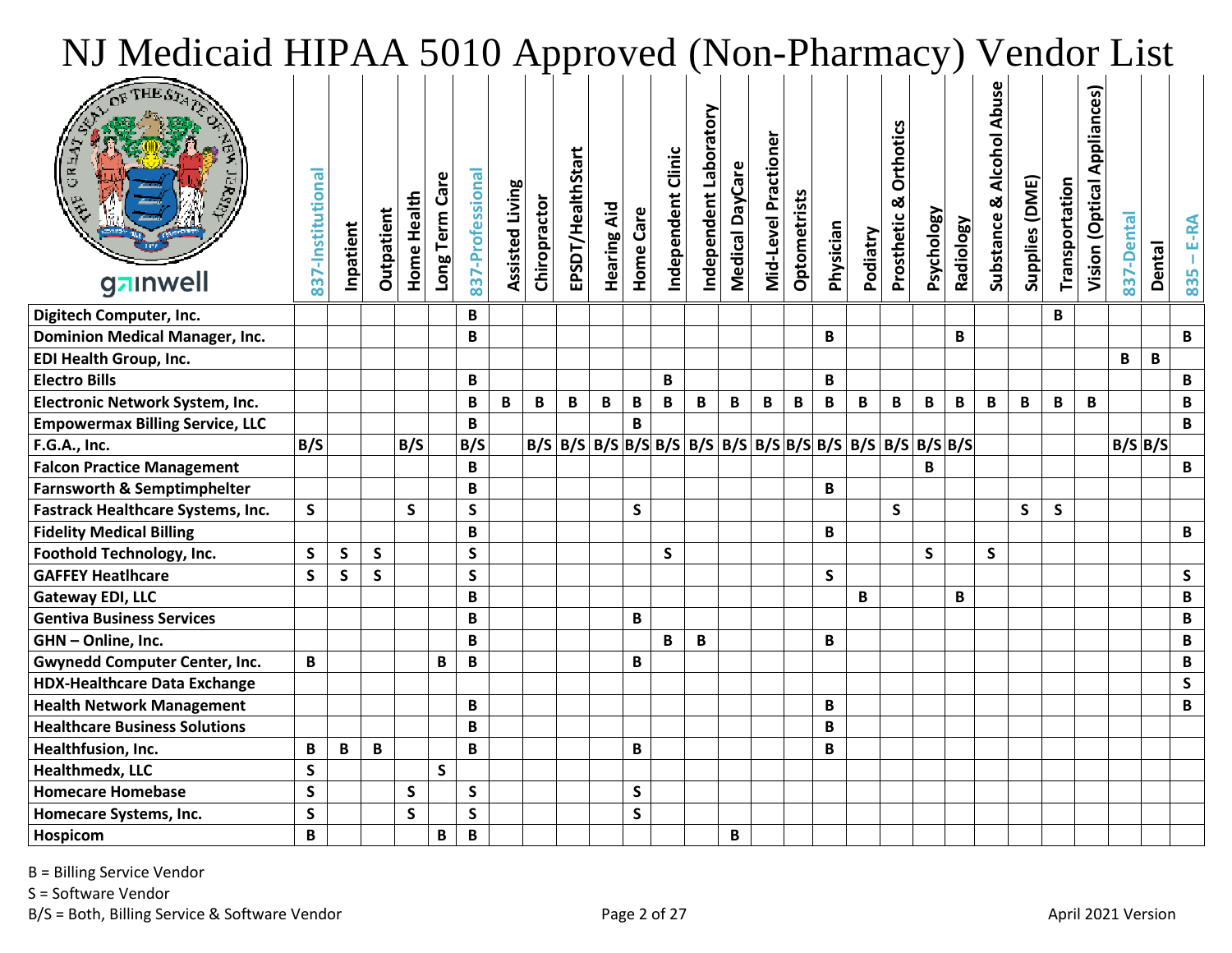| NJ Medicaid HIPAA 5010 Approved (Non-Pharmacy) Vendor List |                   |              |            |             |               |                  |                        |              |                   |                    |              |                    |                            |                 |                      |                     |           |          |                              |                   |                  |                                     |                |                |                                      |            |               |              |
|------------------------------------------------------------|-------------------|--------------|------------|-------------|---------------|------------------|------------------------|--------------|-------------------|--------------------|--------------|--------------------|----------------------------|-----------------|----------------------|---------------------|-----------|----------|------------------------------|-------------------|------------------|-------------------------------------|----------------|----------------|--------------------------------------|------------|---------------|--------------|
| gainwell                                                   | 837-Institutional | Inpatient    | Outpatient | Home Health | Long Term Car | 837-Professional | <b>Assisted Living</b> | Chiropractor | EPSDT/HealthStart | <b>Hearing Aid</b> | Home Care    | Independent Clinic | Arote<br>Independent Labor | Medical DayCare | Mid-Level Practioner | <b>Optometrists</b> | Physician | Podiatry | Orthotics<br>ळ<br>Prosthetic | <b>Psychology</b> | <b>Radiology</b> | <b>Abuse</b><br>Substance & Alcohol | Supplies (DME) | Transportation | <b>Appliances</b><br>Vision (Optical | 837-Dental | <b>Dental</b> | E-RA<br>835  |
| Digitech Computer, Inc.                                    |                   |              |            |             |               | B                |                        |              |                   |                    |              |                    |                            |                 |                      |                     |           |          |                              |                   |                  |                                     |                | B              |                                      |            |               |              |
| <b>Dominion Medical Manager, Inc.</b>                      |                   |              |            |             |               | B                |                        |              |                   |                    |              |                    |                            |                 |                      |                     | В         |          |                              |                   | B                |                                     |                |                |                                      |            |               | B            |
| EDI Health Group, Inc.                                     |                   |              |            |             |               |                  |                        |              |                   |                    |              |                    |                            |                 |                      |                     |           |          |                              |                   |                  |                                     |                |                |                                      | B          | B             |              |
| <b>Electro Bills</b>                                       |                   |              |            |             |               | B                |                        |              |                   |                    |              | B                  |                            |                 |                      |                     | B         |          |                              |                   |                  |                                     |                |                |                                      |            |               | B            |
| Electronic Network System, Inc.                            |                   |              |            |             |               | B                | B                      | B            | B                 | B                  | B            | B                  | B                          | B               | B                    | B                   | B         | B        | B                            | $\mathbf{B}$      | $\mathbf{B}$     | B                                   | B              | B              | B                                    |            |               | B            |
| <b>Empowermax Billing Service, LLC</b>                     |                   |              |            |             |               | B                |                        |              |                   |                    | R.           |                    |                            |                 |                      |                     |           |          |                              |                   |                  |                                     |                |                |                                      |            |               | B            |
| F.G.A., Inc.                                               | B/S               |              |            | B/S         |               | B/S              |                        |              |                   |                    |              |                    |                            |                 |                      |                     |           |          |                              |                   |                  |                                     |                |                |                                      | B/S B/S    |               |              |
| <b>Falcon Practice Management</b>                          |                   |              |            |             |               | B                |                        |              |                   |                    |              |                    |                            |                 |                      |                     |           |          |                              | B                 |                  |                                     |                |                |                                      |            |               | $\mathbf{B}$ |
| <b>Farnsworth &amp; Semptimphelter</b>                     |                   |              |            |             |               | B                |                        |              |                   |                    |              |                    |                            |                 |                      |                     | B         |          |                              |                   |                  |                                     |                |                |                                      |            |               |              |
| <b>Fastrack Healthcare Systems, Inc.</b>                   | $\mathsf{S}$      |              |            | S.          |               | $\mathsf{S}$     |                        |              |                   |                    | S            |                    |                            |                 |                      |                     |           |          | $\mathsf{S}$                 |                   |                  |                                     | S              | S              |                                      |            |               |              |
| <b>Fidelity Medical Billing</b>                            |                   |              |            |             |               | B                |                        |              |                   |                    |              |                    |                            |                 |                      |                     | B         |          |                              |                   |                  |                                     |                |                |                                      |            |               | B            |
| Foothold Technology, Inc.                                  | S                 | S            | S.         |             |               | S                |                        |              |                   |                    |              | S.                 |                            |                 |                      |                     |           |          |                              | S.                |                  | S.                                  |                |                |                                      |            |               |              |
| <b>GAFFEY Heatlhcare</b>                                   | S                 | $\mathsf{S}$ | S.         |             |               | S.               |                        |              |                   |                    |              |                    |                            |                 |                      |                     | S.        |          |                              |                   |                  |                                     |                |                |                                      |            |               | S.           |
| <b>Gateway EDI, LLC</b>                                    |                   |              |            |             |               | B                |                        |              |                   |                    |              |                    |                            |                 |                      |                     |           | B        |                              |                   | B                |                                     |                |                |                                      |            |               | B            |
| <b>Gentiva Business Services</b>                           |                   |              |            |             |               | B                |                        |              |                   |                    | B            |                    |                            |                 |                      |                     |           |          |                              |                   |                  |                                     |                |                |                                      |            |               | B            |
| GHN - Online, Inc.                                         |                   |              |            |             |               | B                |                        |              |                   |                    |              | B                  | B                          |                 |                      |                     | B         |          |                              |                   |                  |                                     |                |                |                                      |            |               | B            |
| <b>Gwynedd Computer Center, Inc.</b>                       | B                 |              |            |             | B             | B                |                        |              |                   |                    | B            |                    |                            |                 |                      |                     |           |          |                              |                   |                  |                                     |                |                |                                      |            |               | B            |
| <b>HDX-Healthcare Data Exchange</b>                        |                   |              |            |             |               |                  |                        |              |                   |                    |              |                    |                            |                 |                      |                     |           |          |                              |                   |                  |                                     |                |                |                                      |            |               | S.           |
| <b>Health Network Management</b>                           |                   |              |            |             |               | В                |                        |              |                   |                    |              |                    |                            |                 |                      |                     | B         |          |                              |                   |                  |                                     |                |                |                                      |            |               | B            |
| <b>Healthcare Business Solutions</b>                       |                   |              |            |             |               | B                |                        |              |                   |                    |              |                    |                            |                 |                      |                     | B         |          |                              |                   |                  |                                     |                |                |                                      |            |               |              |
| Healthfusion, Inc.                                         | B                 | B            | B          |             |               | B                |                        |              |                   |                    | B            |                    |                            |                 |                      |                     | B         |          |                              |                   |                  |                                     |                |                |                                      |            |               |              |
| Healthmedx, LLC                                            | $\mathsf{S}$      |              |            |             | $\mathsf{S}$  |                  |                        |              |                   |                    |              |                    |                            |                 |                      |                     |           |          |                              |                   |                  |                                     |                |                |                                      |            |               |              |
| <b>Homecare Homebase</b>                                   | $\mathsf{S}$      |              |            | S           |               | $\mathsf{S}$     |                        |              |                   |                    | S            |                    |                            |                 |                      |                     |           |          |                              |                   |                  |                                     |                |                |                                      |            |               |              |
| Homecare Systems, Inc.                                     | $\mathsf{S}$      |              |            | S           |               | $\mathsf{s}$     |                        |              |                   |                    | $\mathsf{S}$ |                    |                            |                 |                      |                     |           |          |                              |                   |                  |                                     |                |                |                                      |            |               |              |
| Hospicom                                                   | B                 |              |            |             | B             | B                |                        |              |                   |                    |              |                    |                            | B               |                      |                     |           |          |                              |                   |                  |                                     |                |                |                                      |            |               |              |

S = Software Vendor

B/S = Both, Billing Service & Software Vendor example and the Page 2 of 27 April 2021 Version example and the April 2021 Version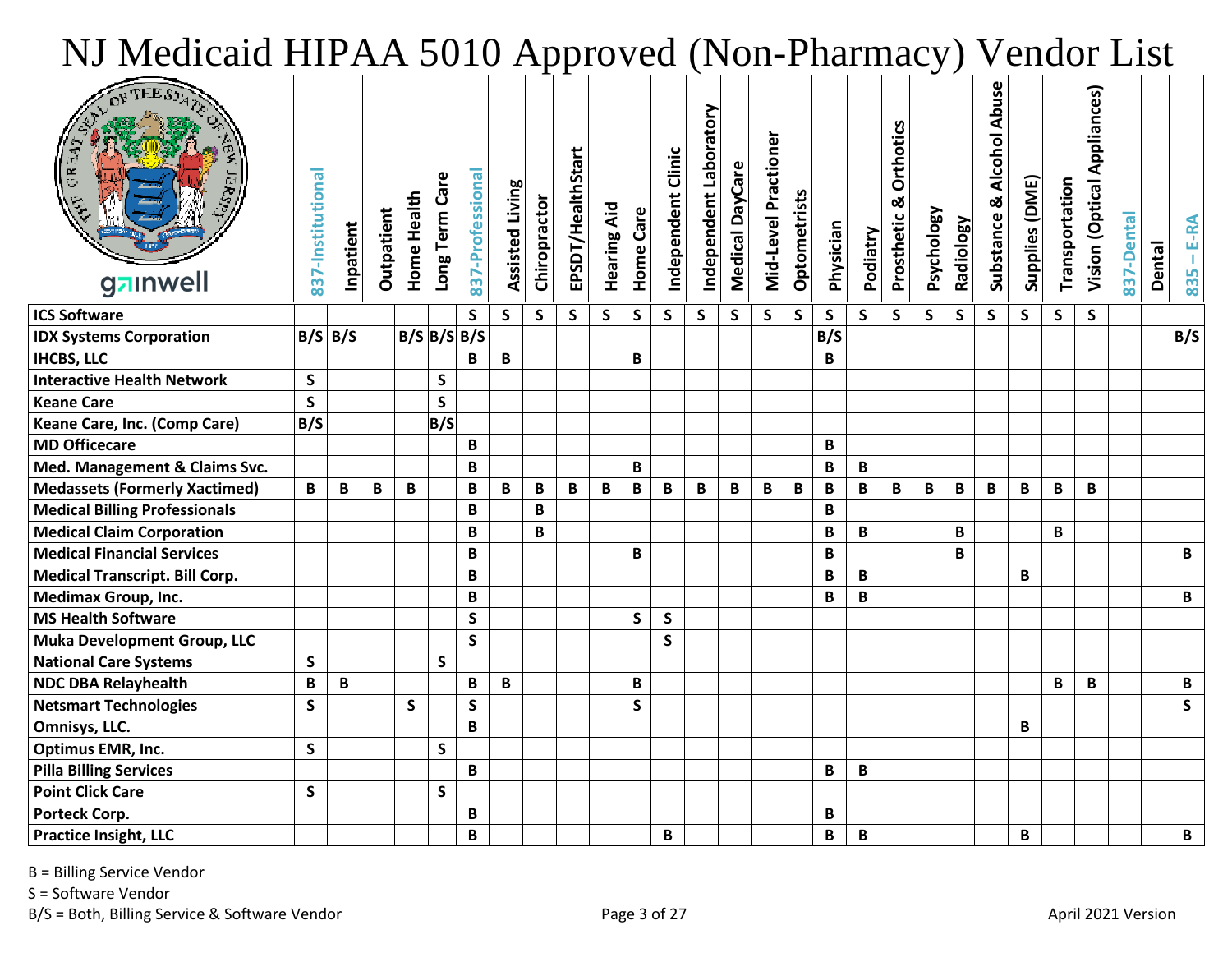| NJ Medicaid HIPAA 5010 Approved (Non-Pharmacy) Vendor List |                   |              |            |                   |                |                  |                        |              |                   |                    |              |                    |                                    |                 |                      |              |              |              |                                     |                   |                  |                          |                |                |                                |            |        |              |
|------------------------------------------------------------|-------------------|--------------|------------|-------------------|----------------|------------------|------------------------|--------------|-------------------|--------------------|--------------|--------------------|------------------------------------|-----------------|----------------------|--------------|--------------|--------------|-------------------------------------|-------------------|------------------|--------------------------|----------------|----------------|--------------------------------|------------|--------|--------------|
| gzinwell                                                   | 837-Institutional | Inpatient    | Outpatient | Home Health       | Long Term Care | 837-Professional | <b>Assisted Living</b> | Chiropractor | EPSDT/HealthStart | <b>Hearing Aid</b> | Home Care    | Independent Clinic | <b>Arote.</b><br>Independent Labor | Medical DayCare | Mid-Level Practioner | Optometrists | Physician    | Podiatry     | <b>Orthotics</b><br>ಳ<br>Prosthetic | <b>Psychology</b> | <b>Radiology</b> | Substance & Alcohol Abus | Supplies (DME) | Transportation | Appliances)<br>Vision (Optical | 837-Dental | Dental | E-RA<br>835  |
| <b>ICS Software</b>                                        |                   |              |            |                   |                | S                | S                      | $\mathsf{s}$ | $\mathsf{S}$      | $\mathsf{S}$       | $\mathsf{S}$ | S                  | $\mathsf{s}$                       | S               | $\mathsf{S}$         | $\mathsf{S}$ | $\mathsf{S}$ | S            | S                                   | $\mathsf{S}$      | $\mathsf{S}$     | $\mathsf{S}$             | S              | $\mathsf{S}$   | $\mathsf{S}$                   |            |        |              |
| <b>IDX Systems Corporation</b>                             | $B/S \mid B/S$    |              |            | $B/S$ $B/S$ $B/S$ |                |                  |                        |              |                   |                    |              |                    |                                    |                 |                      |              | B/S          |              |                                     |                   |                  |                          |                |                |                                |            |        | B/S          |
| <b>IHCBS, LLC</b>                                          |                   |              |            |                   |                | B                | B                      |              |                   |                    | B            |                    |                                    |                 |                      |              | B            |              |                                     |                   |                  |                          |                |                |                                |            |        |              |
| <b>Interactive Health Network</b>                          | $\mathsf{s}$      |              |            |                   | S              |                  |                        |              |                   |                    |              |                    |                                    |                 |                      |              |              |              |                                     |                   |                  |                          |                |                |                                |            |        |              |
| <b>Keane Care</b>                                          | $\mathsf{S}$      |              |            |                   | $\mathsf{s}$   |                  |                        |              |                   |                    |              |                    |                                    |                 |                      |              |              |              |                                     |                   |                  |                          |                |                |                                |            |        |              |
| Keane Care, Inc. (Comp Care)                               | B/S               |              |            |                   | B/S            |                  |                        |              |                   |                    |              |                    |                                    |                 |                      |              |              |              |                                     |                   |                  |                          |                |                |                                |            |        |              |
| <b>MD Officecare</b>                                       |                   |              |            |                   |                | B                |                        |              |                   |                    |              |                    |                                    |                 |                      |              | B            |              |                                     |                   |                  |                          |                |                |                                |            |        |              |
| Med. Management & Claims Svc.                              |                   |              |            |                   |                | B                |                        |              |                   |                    | B            |                    |                                    |                 |                      |              | B            | $\, {\bf B}$ |                                     |                   |                  |                          |                |                |                                |            |        |              |
| <b>Medassets (Formerly Xactimed)</b>                       | B                 | $\, {\bf B}$ | B          | B                 |                | B                | B                      | B            | B                 | B                  | $\, {\bf B}$ | B                  | $\, {\bf B}$                       | B               | B                    | B            | $\, {\bf B}$ | B            | B                                   | B                 | B                | $\, {\bf B} \,$          | B              | $\mathbf B$    | B                              |            |        |              |
| <b>Medical Billing Professionals</b>                       |                   |              |            |                   |                | B                |                        | B            |                   |                    |              |                    |                                    |                 |                      |              | $\mathbf{B}$ |              |                                     |                   |                  |                          |                |                |                                |            |        |              |
| <b>Medical Claim Corporation</b>                           |                   |              |            |                   |                | В                |                        | B            |                   |                    |              |                    |                                    |                 |                      |              | B            | $\mathbf B$  |                                     |                   | B                |                          |                | B              |                                |            |        |              |
| <b>Medical Financial Services</b>                          |                   |              |            |                   |                | B                |                        |              |                   |                    | B            |                    |                                    |                 |                      |              | B            |              |                                     |                   | B                |                          |                |                |                                |            |        | B            |
| <b>Medical Transcript. Bill Corp.</b>                      |                   |              |            |                   |                | B                |                        |              |                   |                    |              |                    |                                    |                 |                      |              | B            | B            |                                     |                   |                  |                          | B              |                |                                |            |        |              |
| <b>Medimax Group, Inc.</b>                                 |                   |              |            |                   |                | B                |                        |              |                   |                    |              |                    |                                    |                 |                      |              | B            | $\mathbf B$  |                                     |                   |                  |                          |                |                |                                |            |        | B            |
| <b>MS Health Software</b>                                  |                   |              |            |                   |                | $\mathsf{S}$     |                        |              |                   |                    | $\mathsf{S}$ | $\mathsf{S}$       |                                    |                 |                      |              |              |              |                                     |                   |                  |                          |                |                |                                |            |        |              |
| <b>Muka Development Group, LLC</b>                         |                   |              |            |                   |                | $\mathsf{S}$     |                        |              |                   |                    |              | $\mathsf{S}$       |                                    |                 |                      |              |              |              |                                     |                   |                  |                          |                |                |                                |            |        |              |
| <b>National Care Systems</b>                               | $\mathsf{S}$      |              |            |                   | $\mathsf{S}$   |                  |                        |              |                   |                    |              |                    |                                    |                 |                      |              |              |              |                                     |                   |                  |                          |                |                |                                |            |        |              |
| <b>NDC DBA Relayhealth</b>                                 | B                 | $\mathbf B$  |            |                   |                | B                | В                      |              |                   |                    | B            |                    |                                    |                 |                      |              |              |              |                                     |                   |                  |                          |                | B              | B                              |            |        | B            |
| <b>Netsmart Technologies</b>                               | $\mathsf{S}$      |              |            | S                 |                | $\mathsf{S}$     |                        |              |                   |                    | $\mathsf{S}$ |                    |                                    |                 |                      |              |              |              |                                     |                   |                  |                          |                |                |                                |            |        | $\mathsf{s}$ |
| Omnisys, LLC.                                              |                   |              |            |                   |                | B                |                        |              |                   |                    |              |                    |                                    |                 |                      |              |              |              |                                     |                   |                  |                          | B              |                |                                |            |        |              |
| <b>Optimus EMR, Inc.</b>                                   | $\mathsf{s}$      |              |            |                   | $\mathsf{s}$   |                  |                        |              |                   |                    |              |                    |                                    |                 |                      |              |              |              |                                     |                   |                  |                          |                |                |                                |            |        |              |
| <b>Pilla Billing Services</b>                              |                   |              |            |                   |                | B                |                        |              |                   |                    |              |                    |                                    |                 |                      |              | B            | $\mathbf B$  |                                     |                   |                  |                          |                |                |                                |            |        |              |
| <b>Point Click Care</b>                                    | S                 |              |            |                   | S              |                  |                        |              |                   |                    |              |                    |                                    |                 |                      |              |              |              |                                     |                   |                  |                          |                |                |                                |            |        |              |
| Porteck Corp.                                              |                   |              |            |                   |                | В                |                        |              |                   |                    |              |                    |                                    |                 |                      |              | B            |              |                                     |                   |                  |                          |                |                |                                |            |        |              |
| <b>Practice Insight, LLC</b>                               |                   |              |            |                   |                | В                |                        |              |                   |                    |              | B                  |                                    |                 |                      |              | B            | $\, {\bf B}$ |                                     |                   |                  |                          | В              |                |                                |            |        | B            |

S = Software Vendor

B/S = Both, Billing Service & Software Vendor example and the Page 3 of 27 April 2021 Version example and the April 2021 Version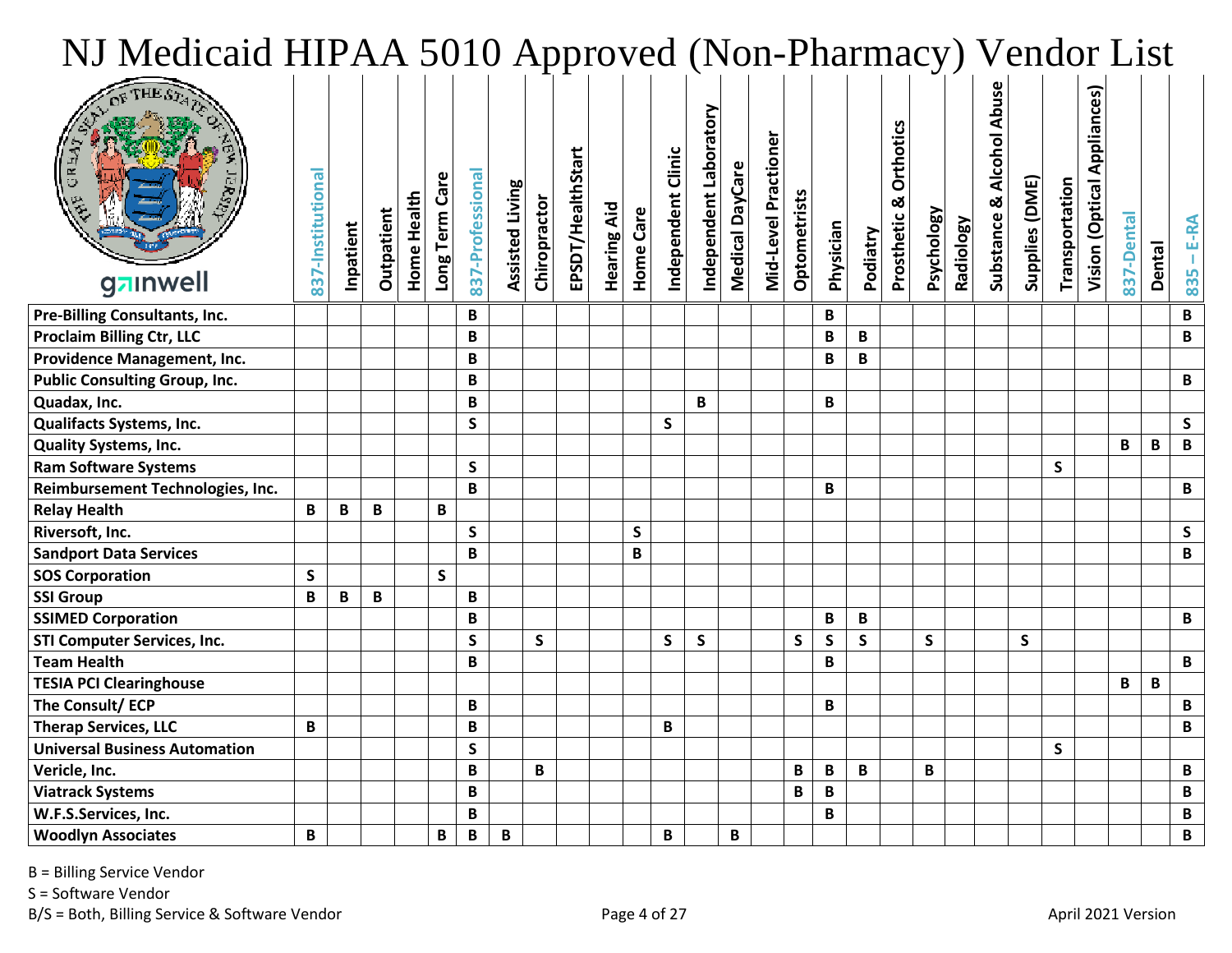| NJ Medicaid HIPAA 5010 Approved (Non-Pharmacy) Vendor List |                   |           |             |                    |                |                  |                        |              |                   |                    |              |                    |                        |                 |                      |                     |              |              |                                     |                   |                  |                                     |                |                |                                        |            |               |              |
|------------------------------------------------------------|-------------------|-----------|-------------|--------------------|----------------|------------------|------------------------|--------------|-------------------|--------------------|--------------|--------------------|------------------------|-----------------|----------------------|---------------------|--------------|--------------|-------------------------------------|-------------------|------------------|-------------------------------------|----------------|----------------|----------------------------------------|------------|---------------|--------------|
| gainwell                                                   | 837-Institutional | Inpatient | Outpatient  | <b>Home Health</b> | Long Term Care | 837-Professional | <b>Assisted Living</b> | Chiropractor | EPSDT/HealthStart | <b>Hearing Aid</b> | Home Care    | Independent Clinic | Independent Laboratory | Medical DayCare | Mid-Level Practioner | <b>Optometrists</b> | Physician    | Podiatry     | <b>Orthotics</b><br>ळ<br>Prosthetic | <b>Psychology</b> | <b>Radiology</b> | <b>Abuse</b><br>Substance & Alcohol | Supplies (DME) | Transportation | <b>Appliances</b> )<br>Vision (Optical | 837-Dental | <b>Dental</b> | E-RA<br>835  |
| Pre-Billing Consultants, Inc.                              |                   |           |             |                    |                | B                |                        |              |                   |                    |              |                    |                        |                 |                      |                     | B            |              |                                     |                   |                  |                                     |                |                |                                        |            |               | B            |
| <b>Proclaim Billing Ctr, LLC</b>                           |                   |           |             |                    |                | B                |                        |              |                   |                    |              |                    |                        |                 |                      |                     | B            | B            |                                     |                   |                  |                                     |                |                |                                        |            |               | B            |
| Providence Management, Inc.                                |                   |           |             |                    |                | B                |                        |              |                   |                    |              |                    |                        |                 |                      |                     | B            | B            |                                     |                   |                  |                                     |                |                |                                        |            |               |              |
| <b>Public Consulting Group, Inc.</b>                       |                   |           |             |                    |                | B                |                        |              |                   |                    |              |                    |                        |                 |                      |                     |              |              |                                     |                   |                  |                                     |                |                |                                        |            |               | B            |
| Quadax, Inc.                                               |                   |           |             |                    |                | B                |                        |              |                   |                    |              |                    | B                      |                 |                      |                     | B            |              |                                     |                   |                  |                                     |                |                |                                        |            |               |              |
| Qualifacts Systems, Inc.                                   |                   |           |             |                    |                | $\mathsf{S}$     |                        |              |                   |                    |              | $\mathsf{S}$       |                        |                 |                      |                     |              |              |                                     |                   |                  |                                     |                |                |                                        |            |               | $\mathsf{S}$ |
| <b>Quality Systems, Inc.</b>                               |                   |           |             |                    |                |                  |                        |              |                   |                    |              |                    |                        |                 |                      |                     |              |              |                                     |                   |                  |                                     |                |                |                                        | B          | B             | B            |
| <b>Ram Software Systems</b>                                |                   |           |             |                    |                | S                |                        |              |                   |                    |              |                    |                        |                 |                      |                     |              |              |                                     |                   |                  |                                     |                | S              |                                        |            |               |              |
| Reimbursement Technologies, Inc.                           |                   |           |             |                    |                | B                |                        |              |                   |                    |              |                    |                        |                 |                      |                     | B            |              |                                     |                   |                  |                                     |                |                |                                        |            |               | B            |
| <b>Relay Health</b>                                        | B                 | B         | B           |                    | B              |                  |                        |              |                   |                    |              |                    |                        |                 |                      |                     |              |              |                                     |                   |                  |                                     |                |                |                                        |            |               |              |
| Riversoft, Inc.                                            |                   |           |             |                    |                | $\mathsf{S}$     |                        |              |                   |                    | $\mathsf{S}$ |                    |                        |                 |                      |                     |              |              |                                     |                   |                  |                                     |                |                |                                        |            |               | $\mathsf{S}$ |
| <b>Sandport Data Services</b>                              |                   |           |             |                    |                | B                |                        |              |                   |                    | B            |                    |                        |                 |                      |                     |              |              |                                     |                   |                  |                                     |                |                |                                        |            |               | B            |
| <b>SOS Corporation</b>                                     | $\mathsf{s}$      |           |             |                    | $\mathsf{S}$   |                  |                        |              |                   |                    |              |                    |                        |                 |                      |                     |              |              |                                     |                   |                  |                                     |                |                |                                        |            |               |              |
| <b>SSI Group</b>                                           | B                 | B         | $\mathbf B$ |                    |                | B                |                        |              |                   |                    |              |                    |                        |                 |                      |                     |              |              |                                     |                   |                  |                                     |                |                |                                        |            |               |              |
| <b>SSIMED Corporation</b>                                  |                   |           |             |                    |                | B                |                        |              |                   |                    |              |                    |                        |                 |                      |                     | B            | B            |                                     |                   |                  |                                     |                |                |                                        |            |               | B            |
| <b>STI Computer Services, Inc.</b>                         |                   |           |             |                    |                | $\mathsf{S}$     |                        | $\mathsf{s}$ |                   |                    |              | $\mathsf{S}$       | S.                     |                 |                      | $\mathsf{S}$        | $\mathsf{S}$ | $\mathsf{S}$ |                                     | S                 |                  |                                     | S.             |                |                                        |            |               |              |
| <b>Team Health</b>                                         |                   |           |             |                    |                | B                |                        |              |                   |                    |              |                    |                        |                 |                      |                     | B            |              |                                     |                   |                  |                                     |                |                |                                        |            |               | B            |
| <b>TESIA PCI Clearinghouse</b>                             |                   |           |             |                    |                |                  |                        |              |                   |                    |              |                    |                        |                 |                      |                     |              |              |                                     |                   |                  |                                     |                |                |                                        | B          | B             |              |
| The Consult/ ECP                                           |                   |           |             |                    |                | B                |                        |              |                   |                    |              |                    |                        |                 |                      |                     | B            |              |                                     |                   |                  |                                     |                |                |                                        |            |               | B            |
| <b>Therap Services, LLC</b>                                | B                 |           |             |                    |                | B                |                        |              |                   |                    |              | B                  |                        |                 |                      |                     |              |              |                                     |                   |                  |                                     |                |                |                                        |            |               | B            |
| <b>Universal Business Automation</b>                       |                   |           |             |                    |                | S                |                        |              |                   |                    |              |                    |                        |                 |                      |                     |              |              |                                     |                   |                  |                                     |                | <b>S</b>       |                                        |            |               |              |
| Vericle, Inc.                                              |                   |           |             |                    |                | B                |                        | B            |                   |                    |              |                    |                        |                 |                      | B                   | $\mathbf B$  | $\mathbf B$  |                                     | В                 |                  |                                     |                |                |                                        |            |               | B            |
| <b>Viatrack Systems</b>                                    |                   |           |             |                    |                | B                |                        |              |                   |                    |              |                    |                        |                 |                      | B                   | $\mathbf B$  |              |                                     |                   |                  |                                     |                |                |                                        |            |               | B            |
| W.F.S.Services, Inc.                                       |                   |           |             |                    |                | B                |                        |              |                   |                    |              |                    |                        |                 |                      |                     | B            |              |                                     |                   |                  |                                     |                |                |                                        |            |               | B            |
| <b>Woodlyn Associates</b>                                  | B                 |           |             |                    | B              | $\, {\bf B}$     | B                      |              |                   |                    |              | B                  |                        | B               |                      |                     |              |              |                                     |                   |                  |                                     |                |                |                                        |            |               | B            |

S = Software Vendor

B/S = Both, Billing Service & Software Vendor example and the Page 4 of 27 April 2021 Version example and the April 2021 Version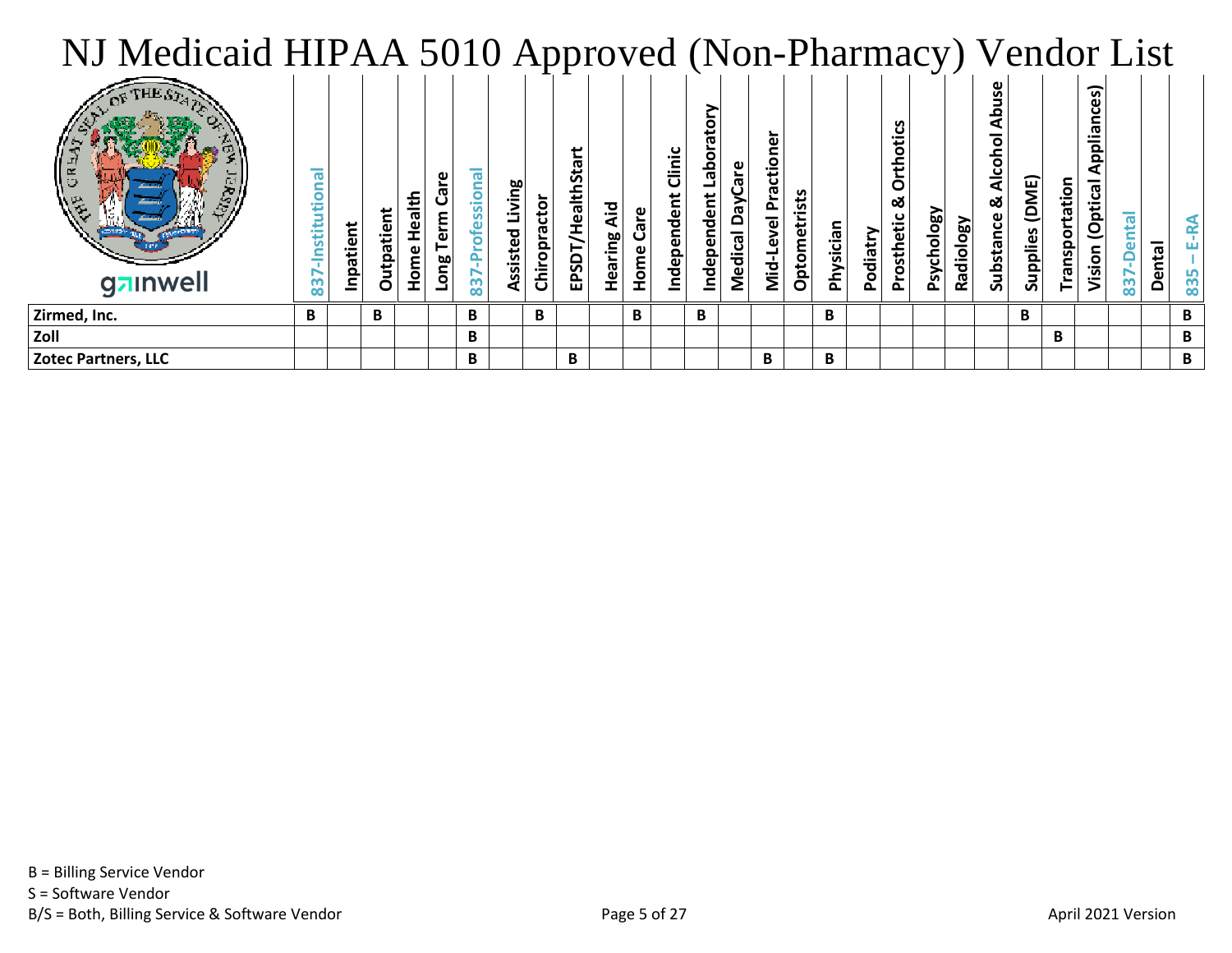| NJ Medicaid HIPAA 5010 Approved (Non-Pharmacy) Vendor List |                   |           |           |                    |                   |                   |                |              |                   |                             |            |                      |                            |                                  |                                   |           |           |          |                               |            |           |                 |                  |   |                                                    |                         |        |   |
|------------------------------------------------------------|-------------------|-----------|-----------|--------------------|-------------------|-------------------|----------------|--------------|-------------------|-----------------------------|------------|----------------------|----------------------------|----------------------------------|-----------------------------------|-----------|-----------|----------|-------------------------------|------------|-----------|-----------------|------------------|---|----------------------------------------------------|-------------------------|--------|---|
| gzinwell                                                   | ര<br>ã<br>stituti | Inpatient | Outpatien | Health<br>Š<br>Hom | erm<br><b>Buo</b> | ssion<br><u>რ</u> | ssisted Living | Chiropractor | EPSDT/HealthStart | Aid<br>ρg<br>Heari<br>Heari | are<br>ome | Clinic<br>ndependent | ō<br>q<br>ë<br>Independent | <b>G</b><br>λê<br>۵<br>ල<br>Medi | ត<br>o<br>Ū<br>Level<br>−−<br>Σiσ | Optometri | Physician | Podiatry | otics<br>Ě<br>య<br>Prosthetic | Psychology | Radiology | 50<br>Substance | DME)<br>Supplies |   | ∽<br>ိစ္ယ<br>ത<br>ii<br>B<br><b>Opti</b><br>/ision | $\overline{\mathbf{e}}$ | Dental |   |
| Zirmed, Inc.                                               | B                 |           | B.        |                    |                   | B.                |                | В            |                   |                             | B          |                      | B                          |                                  |                                   |           | B         |          |                               |            |           |                 | В                |   |                                                    |                         |        | B |
| Zoll                                                       |                   |           |           |                    |                   | B                 |                |              |                   |                             |            |                      |                            |                                  |                                   |           |           |          |                               |            |           |                 |                  | B |                                                    |                         |        | B |
| Zotec Partners, LLC                                        |                   |           |           |                    |                   | B                 |                |              | B                 |                             |            |                      |                            |                                  | B                                 |           | B         |          |                               |            |           |                 |                  |   |                                                    |                         |        | B |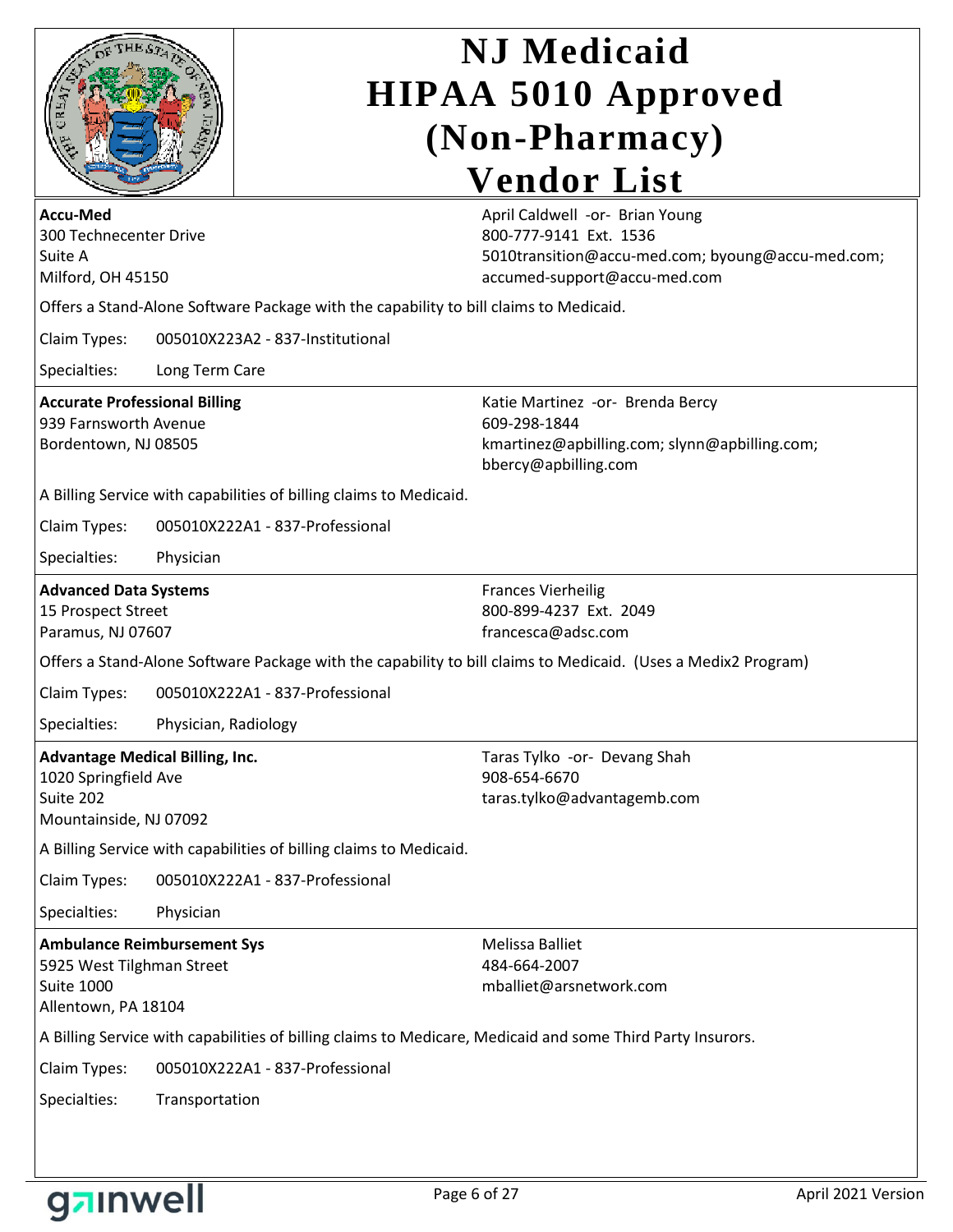| OF THE ST<br>$\mathbf{r}$ |  |
|---------------------------|--|
| Ö                         |  |
| Ë<br>ĒŖ.                  |  |
|                           |  |

| <b>Accu-Med</b><br>300 Technecenter Drive<br>Suite A                                                        |                                                                                                            | April Caldwell -or- Brian Young<br>800-777-9141 Ext. 1536<br>5010transition@accu-med.com; byoung@accu-med.com;            |
|-------------------------------------------------------------------------------------------------------------|------------------------------------------------------------------------------------------------------------|---------------------------------------------------------------------------------------------------------------------------|
| Milford, OH 45150                                                                                           |                                                                                                            | accumed-support@accu-med.com                                                                                              |
|                                                                                                             | Offers a Stand-Alone Software Package with the capability to bill claims to Medicaid.                      |                                                                                                                           |
| Claim Types:                                                                                                | 005010X223A2 - 837-Institutional                                                                           |                                                                                                                           |
| Specialties:                                                                                                | Long Term Care                                                                                             |                                                                                                                           |
| <b>Accurate Professional Billing</b><br>939 Farnsworth Avenue<br>Bordentown, NJ 08505                       |                                                                                                            | Katie Martinez -or- Brenda Bercy<br>609-298-1844<br>kmartinez@apbilling.com; slynn@apbilling.com;<br>bbercy@apbilling.com |
|                                                                                                             | A Billing Service with capabilities of billing claims to Medicaid.                                         |                                                                                                                           |
| Claim Types:                                                                                                | 005010X222A1 - 837-Professional                                                                            |                                                                                                                           |
| Specialties:                                                                                                | Physician                                                                                                  |                                                                                                                           |
| <b>Advanced Data Systems</b><br>15 Prospect Street<br>Paramus, NJ 07607                                     |                                                                                                            | <b>Frances Vierheilig</b><br>800-899-4237 Ext. 2049<br>francesca@adsc.com                                                 |
|                                                                                                             |                                                                                                            | Offers a Stand-Alone Software Package with the capability to bill claims to Medicaid. (Uses a Medix2 Program)             |
| Claim Types:                                                                                                | 005010X222A1 - 837-Professional                                                                            |                                                                                                                           |
| Specialties:                                                                                                | Physician, Radiology                                                                                       |                                                                                                                           |
| <b>Advantage Medical Billing, Inc.</b><br>1020 Springfield Ave<br>Suite 202<br>Mountainside, NJ 07092       |                                                                                                            | Taras Tylko -or- Devang Shah<br>908-654-6670<br>taras.tylko@advantagemb.com                                               |
|                                                                                                             | A Billing Service with capabilities of billing claims to Medicaid.                                         |                                                                                                                           |
| Claim Types:                                                                                                | 005010X222A1 - 837-Professional                                                                            |                                                                                                                           |
| Specialties:                                                                                                | Physician                                                                                                  |                                                                                                                           |
| <b>Ambulance Reimbursement Sys</b><br>5925 West Tilghman Street<br><b>Suite 1000</b><br>Allentown, PA 18104 |                                                                                                            | <b>Melissa Balliet</b><br>484-664-2007<br>mballiet@arsnetwork.com                                                         |
|                                                                                                             | A Billing Service with capabilities of billing claims to Medicare, Medicaid and some Third Party Insurors. |                                                                                                                           |
| Claim Types:                                                                                                | 005010X222A1 - 837-Professional                                                                            |                                                                                                                           |
| Specialties:                                                                                                | Transportation                                                                                             |                                                                                                                           |

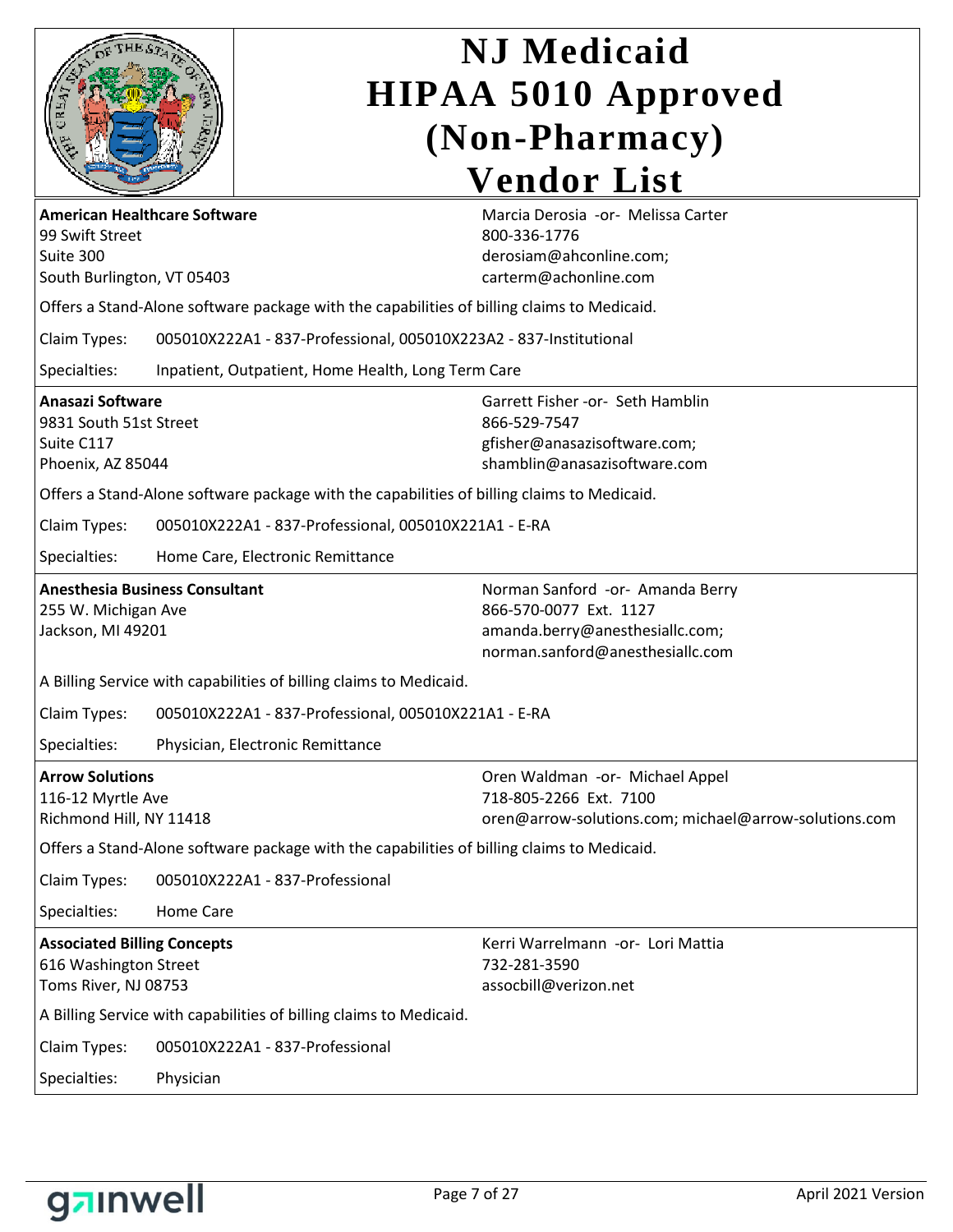

| <b>American Healthcare Software</b><br>99 Swift Street<br>Suite 300<br>South Burlington, VT 05403 |                                                                                            | Marcia Derosia -or- Melissa Carter<br>800-336-1776<br>derosiam@ahconline.com;<br>carterm@achonline.com                            |
|---------------------------------------------------------------------------------------------------|--------------------------------------------------------------------------------------------|-----------------------------------------------------------------------------------------------------------------------------------|
|                                                                                                   | Offers a Stand-Alone software package with the capabilities of billing claims to Medicaid. |                                                                                                                                   |
| Claim Types:                                                                                      | 005010X222A1 - 837-Professional, 005010X223A2 - 837-Institutional                          |                                                                                                                                   |
| Specialties:                                                                                      | Inpatient, Outpatient, Home Health, Long Term Care                                         |                                                                                                                                   |
| <b>Anasazi Software</b><br>9831 South 51st Street<br>Suite C117<br>Phoenix, AZ 85044              |                                                                                            | Garrett Fisher -or- Seth Hamblin<br>866-529-7547<br>gfisher@anasazisoftware.com;<br>shamblin@anasazisoftware.com                  |
|                                                                                                   | Offers a Stand-Alone software package with the capabilities of billing claims to Medicaid. |                                                                                                                                   |
| Claim Types:                                                                                      | 005010X222A1 - 837-Professional, 005010X221A1 - E-RA                                       |                                                                                                                                   |
| Specialties:                                                                                      | Home Care, Electronic Remittance                                                           |                                                                                                                                   |
| 255 W. Michigan Ave<br>Jackson, MI 49201                                                          | <b>Anesthesia Business Consultant</b>                                                      | Norman Sanford -or- Amanda Berry<br>866-570-0077 Ext. 1127<br>amanda.berry@anesthesiallc.com;<br>norman.sanford@anesthesiallc.com |
|                                                                                                   | A Billing Service with capabilities of billing claims to Medicaid.                         |                                                                                                                                   |
| Claim Types:                                                                                      | 005010X222A1 - 837-Professional, 005010X221A1 - E-RA                                       |                                                                                                                                   |
| Specialties:                                                                                      | Physician, Electronic Remittance                                                           |                                                                                                                                   |
| <b>Arrow Solutions</b><br>116-12 Myrtle Ave<br>Richmond Hill, NY 11418                            |                                                                                            | Oren Waldman -or- Michael Appel<br>718-805-2266 Ext. 7100<br>oren@arrow-solutions.com; michael@arrow-solutions.com                |
|                                                                                                   | Offers a Stand-Alone software package with the capabilities of billing claims to Medicaid. |                                                                                                                                   |
| Claim Types:                                                                                      | 005010X222A1 - 837-Professional                                                            |                                                                                                                                   |
| Specialties:                                                                                      | Home Care                                                                                  |                                                                                                                                   |
| <b>Associated Billing Concepts</b><br>616 Washington Street<br>Toms River, NJ 08753               |                                                                                            | Kerri Warrelmann -or- Lori Mattia<br>732-281-3590<br>assocbill@verizon.net                                                        |
|                                                                                                   | A Billing Service with capabilities of billing claims to Medicaid.                         |                                                                                                                                   |
| Claim Types:                                                                                      | 005010X222A1 - 837-Professional                                                            |                                                                                                                                   |
| Specialties:                                                                                      | Physician                                                                                  |                                                                                                                                   |

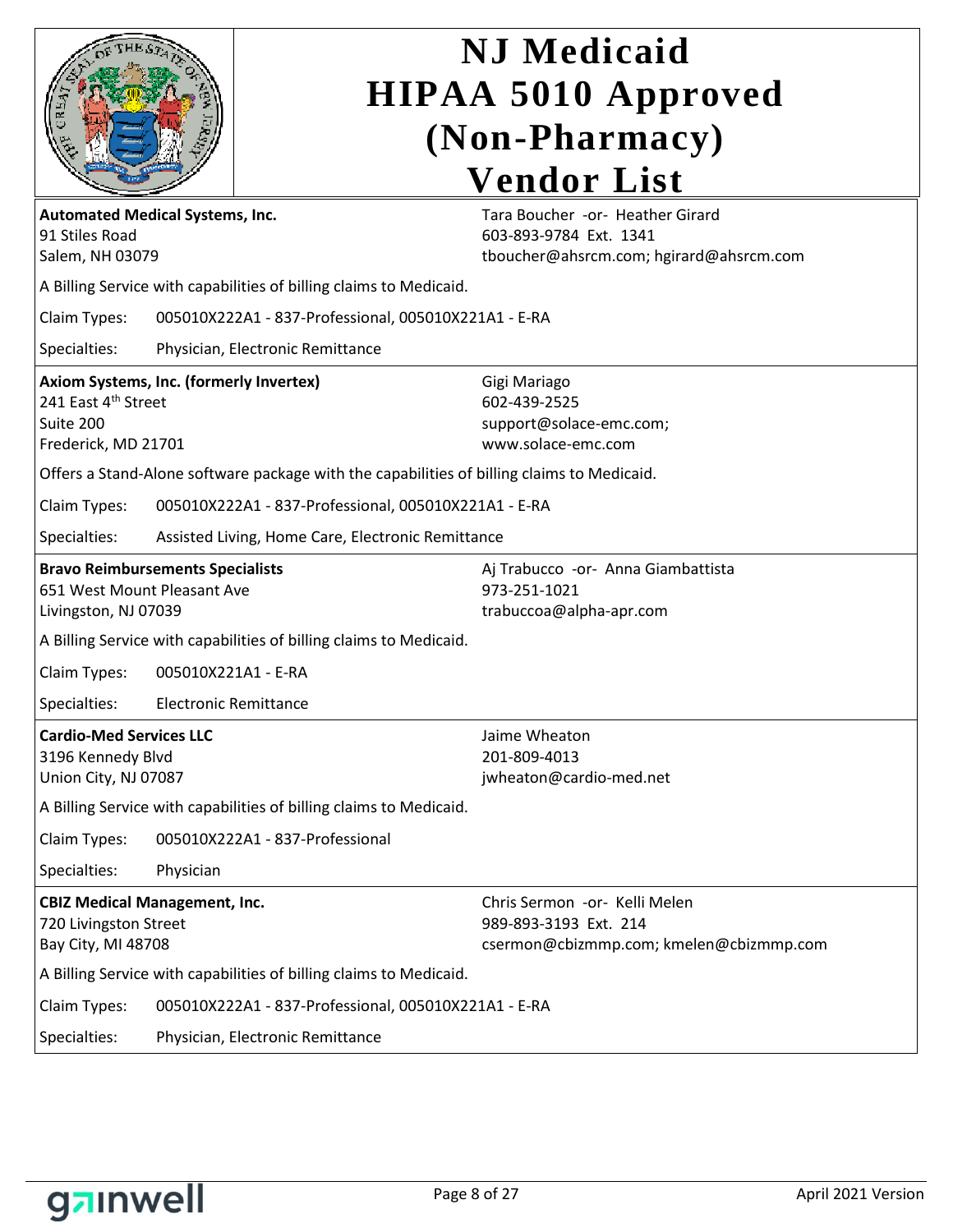|                                                                                                    | <b>N.J</b> Medicaid<br><b>HIPAA 5010 Approved</b>                                                     |
|----------------------------------------------------------------------------------------------------|-------------------------------------------------------------------------------------------------------|
|                                                                                                    | (Non-Pharmacy)                                                                                        |
|                                                                                                    | <b>Vendor List</b>                                                                                    |
| <b>Automated Medical Systems, Inc.</b><br>91 Stiles Road<br>Salem, NH 03079                        | Tara Boucher -or- Heather Girard<br>603-893-9784 Ext. 1341<br>tboucher@ahsrcm.com; hgirard@ahsrcm.com |
| A Billing Service with capabilities of billing claims to Medicaid.                                 |                                                                                                       |
| Claim Types:<br>005010X222A1 - 837-Professional, 005010X221A1 - E-RA                               |                                                                                                       |
| Specialties:<br>Physician, Electronic Remittance                                                   |                                                                                                       |
| Axiom Systems, Inc. (formerly Invertex)<br>241 East 4th Street<br>Suite 200<br>Frederick, MD 21701 | Gigi Mariago<br>602-439-2525<br>support@solace-emc.com;<br>www.solace-emc.com                         |
| Offers a Stand-Alone software package with the capabilities of billing claims to Medicaid.         |                                                                                                       |
| Claim Types:<br>005010X222A1 - 837-Professional, 005010X221A1 - E-RA                               |                                                                                                       |
| Specialties:<br>Assisted Living, Home Care, Electronic Remittance                                  |                                                                                                       |
| <b>Bravo Reimbursements Specialists</b><br>651 West Mount Pleasant Ave<br>Livingston, NJ 07039     | Aj Trabucco -or- Anna Giambattista<br>973-251-1021<br>trabuccoa@alpha-apr.com                         |
| A Billing Service with capabilities of billing claims to Medicaid.                                 |                                                                                                       |
| Claim Types:<br>005010X221A1 - E-RA                                                                |                                                                                                       |
| Specialties:<br><b>Electronic Remittance</b>                                                       |                                                                                                       |
| <b>Cardio-Med Services LLC</b><br>3196 Kennedy Blvd<br>Union City, NJ 07087                        | Jaime Wheaton<br>201-809-4013<br>jwheaton@cardio-med.net                                              |
| A Billing Service with capabilities of billing claims to Medicaid.                                 |                                                                                                       |
| 005010X222A1 - 837-Professional<br>Claim Types:                                                    |                                                                                                       |
| Specialties:<br>Physician                                                                          |                                                                                                       |
| <b>CBIZ Medical Management, Inc.</b><br>720 Livingston Street<br>Bay City, MI 48708                | Chris Sermon -or- Kelli Melen<br>989-893-3193 Ext. 214<br>csermon@cbizmmp.com; kmelen@cbizmmp.com     |
| A Billing Service with capabilities of billing claims to Medicaid.                                 |                                                                                                       |
| Claim Types:<br>005010X222A1 - 837-Professional, 005010X221A1 - E-RA                               |                                                                                                       |
| Specialties:<br>Physician, Electronic Remittance                                                   |                                                                                                       |

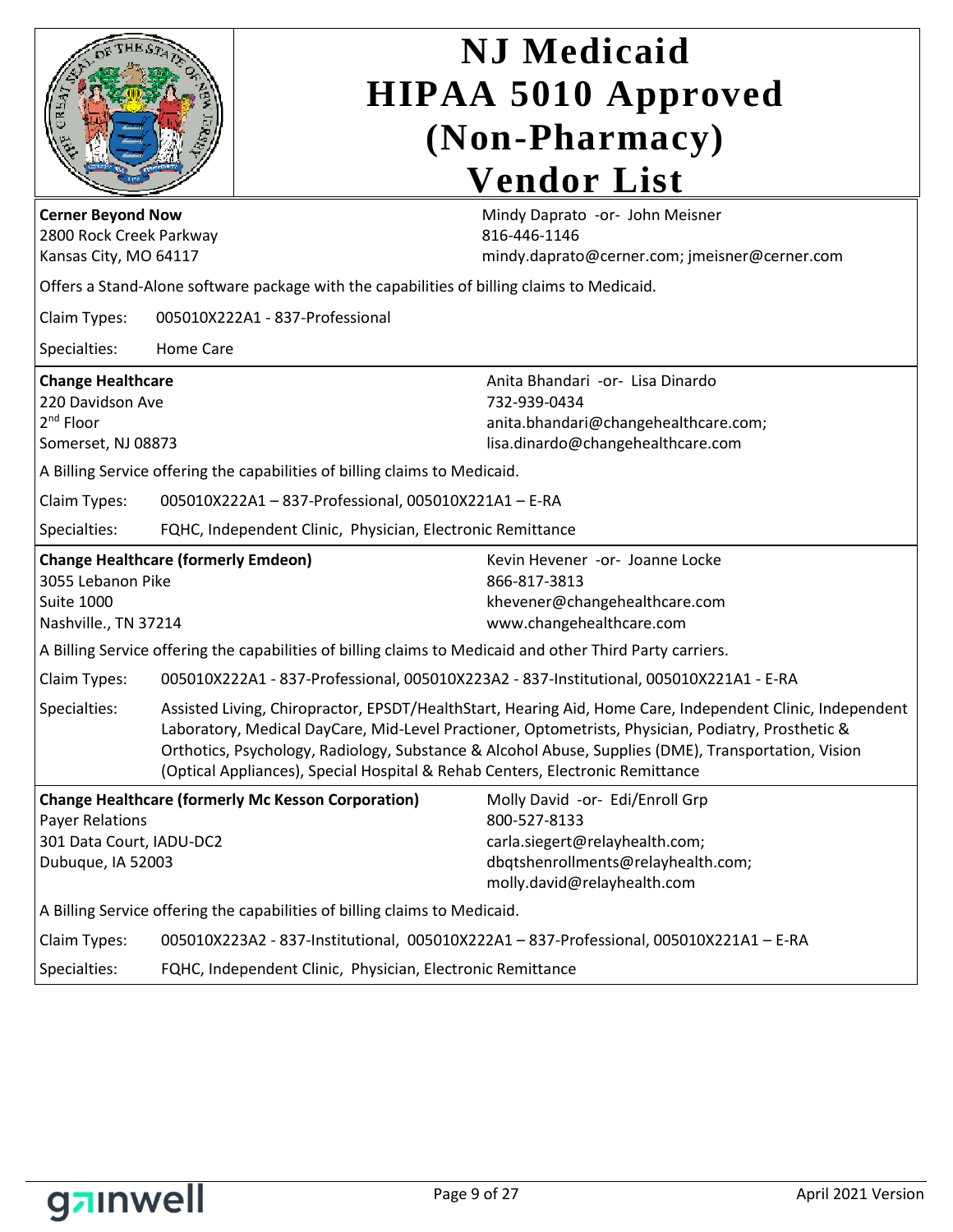| <b>Cerner Beyond Now</b>                                                                                     |                  |                                                                                            | <b>NJ</b> Medicaid<br><b>HIPAA 5010 Approved</b><br>(Non-Pharmacy)<br><b>Vendor List</b><br>Mindy Daprato -or- John Meisner                                                                                                                                                                                            |
|--------------------------------------------------------------------------------------------------------------|------------------|--------------------------------------------------------------------------------------------|------------------------------------------------------------------------------------------------------------------------------------------------------------------------------------------------------------------------------------------------------------------------------------------------------------------------|
| 2800 Rock Creek Parkway<br>Kansas City, MO 64117                                                             |                  |                                                                                            | 816-446-1146<br>mindy.daprato@cerner.com; jmeisner@cerner.com                                                                                                                                                                                                                                                          |
|                                                                                                              |                  | Offers a Stand-Alone software package with the capabilities of billing claims to Medicaid. |                                                                                                                                                                                                                                                                                                                        |
| Claim Types:                                                                                                 |                  | 005010X222A1 - 837-Professional                                                            |                                                                                                                                                                                                                                                                                                                        |
| Specialties:                                                                                                 | <b>Home Care</b> |                                                                                            |                                                                                                                                                                                                                                                                                                                        |
| <b>Change Healthcare</b><br>220 Davidson Ave<br>2 <sup>nd</sup> Floor<br>Somerset, NJ 08873                  |                  |                                                                                            | Anita Bhandari -or- Lisa Dinardo<br>732-939-0434<br>anita.bhandari@changehealthcare.com;<br>lisa.dinardo@changehealthcare.com                                                                                                                                                                                          |
|                                                                                                              |                  | A Billing Service offering the capabilities of billing claims to Medicaid.                 |                                                                                                                                                                                                                                                                                                                        |
| Claim Types:                                                                                                 |                  | 005010X222A1-837-Professional, 005010X221A1-E-RA                                           |                                                                                                                                                                                                                                                                                                                        |
| Specialties:                                                                                                 |                  | FQHC, Independent Clinic, Physician, Electronic Remittance                                 |                                                                                                                                                                                                                                                                                                                        |
| <b>Change Healthcare (formerly Emdeon)</b><br>3055 Lebanon Pike<br><b>Suite 1000</b><br>Nashville., TN 37214 |                  |                                                                                            | Kevin Hevener -or- Joanne Locke<br>866-817-3813<br>khevener@changehealthcare.com<br>www.changehealthcare.com                                                                                                                                                                                                           |
|                                                                                                              |                  |                                                                                            | A Billing Service offering the capabilities of billing claims to Medicaid and other Third Party carriers.                                                                                                                                                                                                              |
| Claim Types:                                                                                                 |                  |                                                                                            | 005010X222A1 - 837-Professional, 005010X223A2 - 837-Institutional, 005010X221A1 - E-RA                                                                                                                                                                                                                                 |
| Specialties:                                                                                                 |                  | (Optical Appliances), Special Hospital & Rehab Centers, Electronic Remittance              | Assisted Living, Chiropractor, EPSDT/HealthStart, Hearing Aid, Home Care, Independent Clinic, Independent<br>Laboratory, Medical DayCare, Mid-Level Practioner, Optometrists, Physician, Podiatry, Prosthetic &<br>Orthotics, Psychology, Radiology, Substance & Alcohol Abuse, Supplies (DME), Transportation, Vision |
| <b>Payer Relations</b><br>301 Data Court, IADU-DC2<br>Dubuque, IA 52003                                      |                  | <b>Change Healthcare (formerly Mc Kesson Corporation)</b>                                  | Molly David -or- Edi/Enroll Grp<br>800-527-8133<br>carla.siegert@relayhealth.com;<br>dbqtshenrollments@relayhealth.com;<br>molly.david@relayhealth.com                                                                                                                                                                 |
|                                                                                                              |                  | A Billing Service offering the capabilities of billing claims to Medicaid.                 |                                                                                                                                                                                                                                                                                                                        |
| Claim Types:                                                                                                 |                  |                                                                                            | 005010X223A2 - 837-Institutional, 005010X222A1 - 837-Professional, 005010X221A1 - E-RA                                                                                                                                                                                                                                 |
| Specialties:                                                                                                 |                  | FQHC, Independent Clinic, Physician, Electronic Remittance                                 |                                                                                                                                                                                                                                                                                                                        |

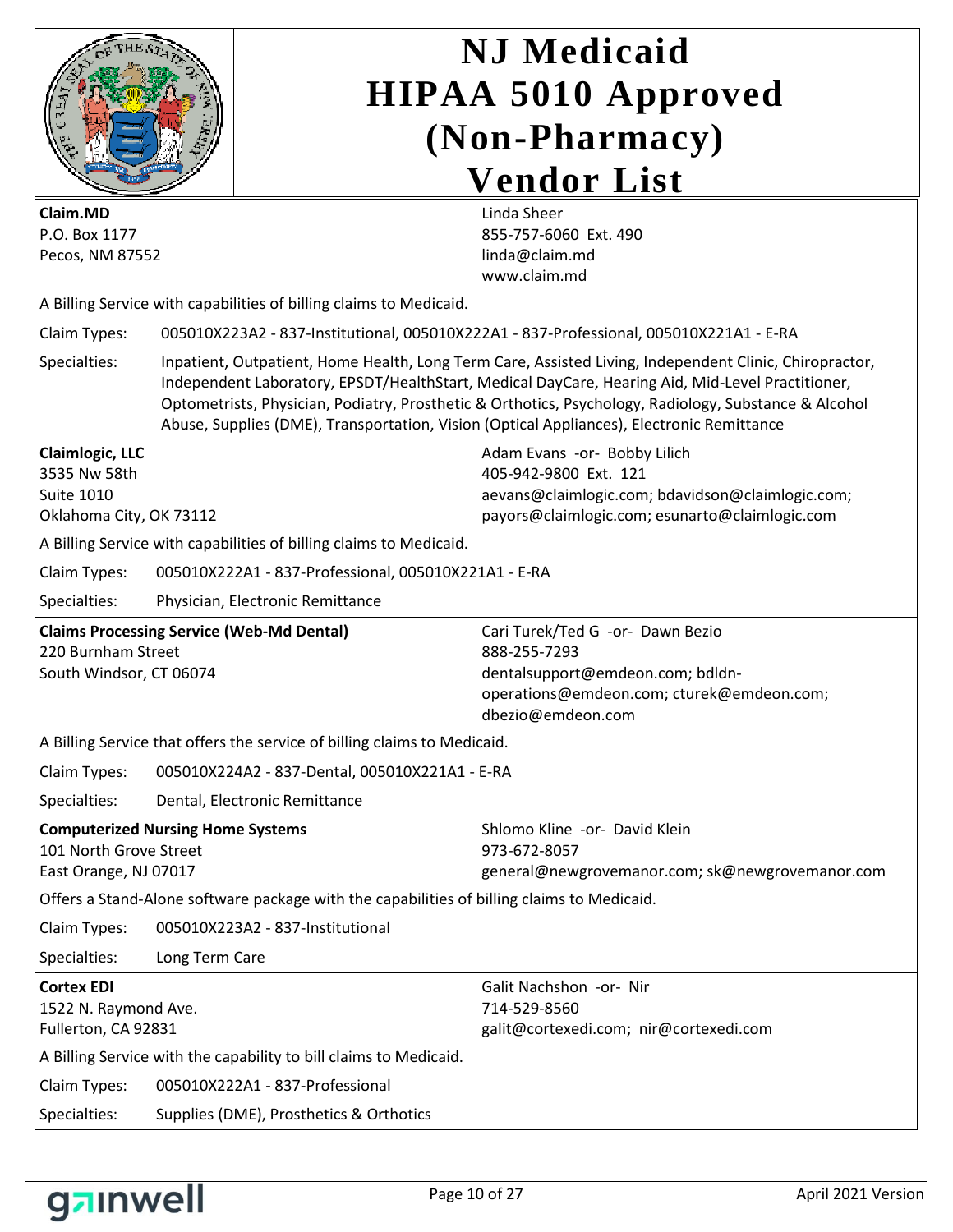

| Claim.MD<br>P.O. Box 1177<br>Pecos, NM 87552                                           |                                                                                            | Linda Sheer<br>855-757-6060 Ext. 490<br>linda@claim.md<br>www.claim.md                                                                                                                                                                                                                                              |
|----------------------------------------------------------------------------------------|--------------------------------------------------------------------------------------------|---------------------------------------------------------------------------------------------------------------------------------------------------------------------------------------------------------------------------------------------------------------------------------------------------------------------|
|                                                                                        | A Billing Service with capabilities of billing claims to Medicaid.                         |                                                                                                                                                                                                                                                                                                                     |
| Claim Types:                                                                           |                                                                                            | 005010X223A2 - 837-Institutional, 005010X222A1 - 837-Professional, 005010X221A1 - E-RA                                                                                                                                                                                                                              |
| Specialties:                                                                           | Abuse, Supplies (DME), Transportation, Vision (Optical Appliances), Electronic Remittance  | Inpatient, Outpatient, Home Health, Long Term Care, Assisted Living, Independent Clinic, Chiropractor,<br>Independent Laboratory, EPSDT/HealthStart, Medical DayCare, Hearing Aid, Mid-Level Practitioner,<br>Optometrists, Physician, Podiatry, Prosthetic & Orthotics, Psychology, Radiology, Substance & Alcohol |
| <b>Claimlogic, LLC</b><br>3535 Nw 58th<br><b>Suite 1010</b><br>Oklahoma City, OK 73112 | A Billing Service with capabilities of billing claims to Medicaid.                         | Adam Evans -or- Bobby Lilich<br>405-942-9800 Ext. 121<br>aevans@claimlogic.com; bdavidson@claimlogic.com;<br>payors@claimlogic.com; esunarto@claimlogic.com                                                                                                                                                         |
| Claim Types:                                                                           | 005010X222A1 - 837-Professional, 005010X221A1 - E-RA                                       |                                                                                                                                                                                                                                                                                                                     |
| Specialties:                                                                           | Physician, Electronic Remittance                                                           |                                                                                                                                                                                                                                                                                                                     |
| 220 Burnham Street<br>South Windsor, CT 06074                                          | <b>Claims Processing Service (Web-Md Dental)</b>                                           | Cari Turek/Ted G -or- Dawn Bezio<br>888-255-7293<br>dentalsupport@emdeon.com; bdldn-<br>operations@emdeon.com; cturek@emdeon.com;<br>dbezio@emdeon.com                                                                                                                                                              |
|                                                                                        | A Billing Service that offers the service of billing claims to Medicaid.                   |                                                                                                                                                                                                                                                                                                                     |
| Claim Types:                                                                           | 005010X224A2 - 837-Dental, 005010X221A1 - E-RA                                             |                                                                                                                                                                                                                                                                                                                     |
| Specialties:                                                                           | Dental, Electronic Remittance                                                              |                                                                                                                                                                                                                                                                                                                     |
| 101 North Grove Street<br>East Orange, NJ 07017                                        | <b>Computerized Nursing Home Systems</b>                                                   | Shlomo Kline -or- David Klein<br>973-672-8057<br>general@newgrovemanor.com; sk@newgrovemanor.com                                                                                                                                                                                                                    |
|                                                                                        | Offers a Stand-Alone software package with the capabilities of billing claims to Medicaid. |                                                                                                                                                                                                                                                                                                                     |
| Claim Types:                                                                           | 005010X223A2 - 837-Institutional                                                           |                                                                                                                                                                                                                                                                                                                     |
| Specialties:                                                                           | Long Term Care                                                                             |                                                                                                                                                                                                                                                                                                                     |
| <b>Cortex EDI</b><br>1522 N. Raymond Ave.<br>Fullerton, CA 92831                       |                                                                                            | Galit Nachshon -or- Nir<br>714-529-8560<br>galit@cortexedi.com; nir@cortexedi.com                                                                                                                                                                                                                                   |
|                                                                                        | A Billing Service with the capability to bill claims to Medicaid.                          |                                                                                                                                                                                                                                                                                                                     |
| Claim Types:                                                                           | 005010X222A1 - 837-Professional                                                            |                                                                                                                                                                                                                                                                                                                     |
| Specialties:                                                                           | Supplies (DME), Prosthetics & Orthotics                                                    |                                                                                                                                                                                                                                                                                                                     |

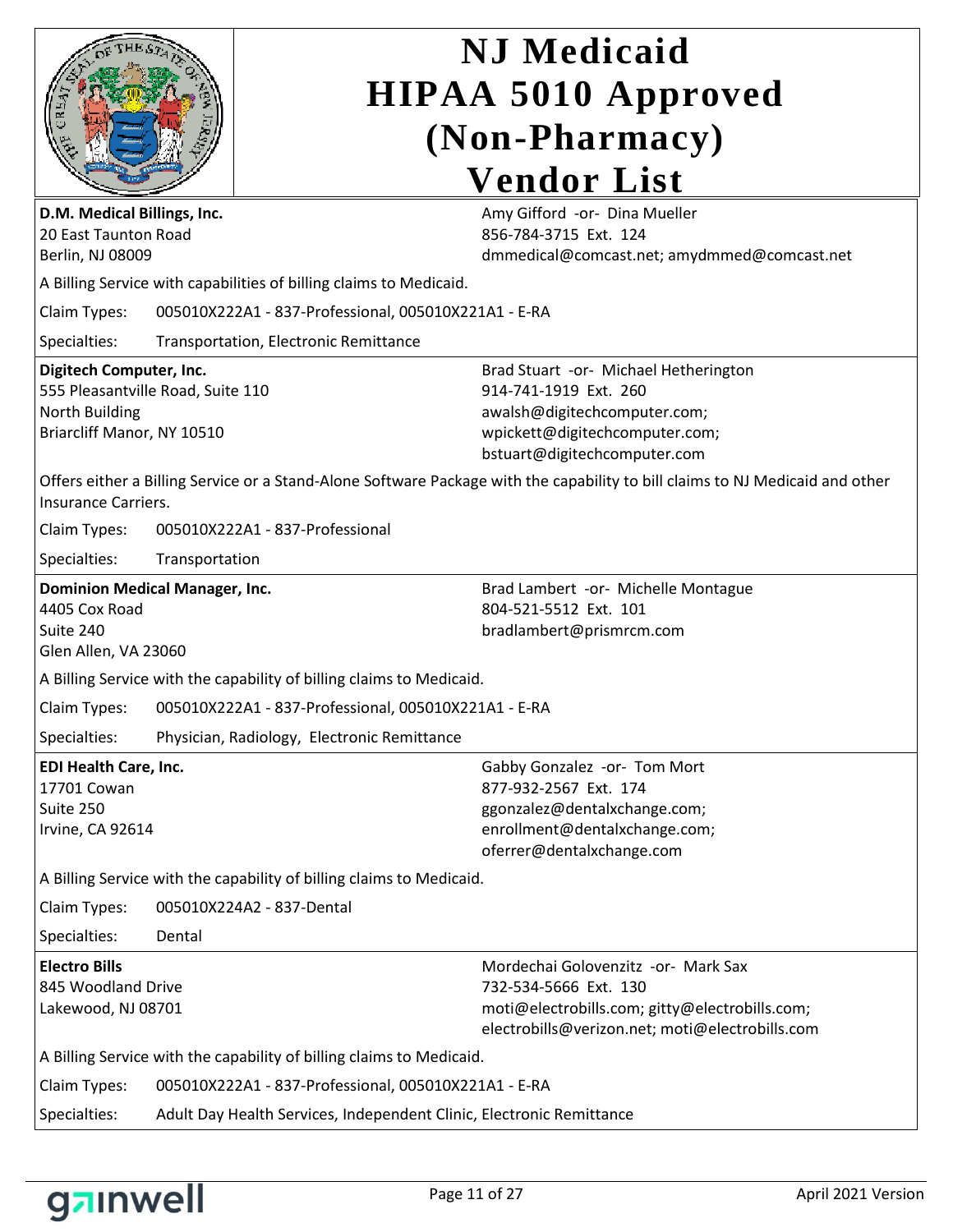|                                                                                                              |                | <b>NJ</b> Medicaid                                                                                                                                                |
|--------------------------------------------------------------------------------------------------------------|----------------|-------------------------------------------------------------------------------------------------------------------------------------------------------------------|
|                                                                                                              |                | <b>HIPAA 5010 Approved</b>                                                                                                                                        |
|                                                                                                              |                | (Non-Pharmacy)                                                                                                                                                    |
|                                                                                                              |                | <b>Vendor List</b>                                                                                                                                                |
| D.M. Medical Billings, Inc.<br>20 East Taunton Road<br>Berlin, NJ 08009                                      |                | Amy Gifford -or- Dina Mueller<br>856-784-3715 Ext. 124<br>dmmedical@comcast.net; amydmmed@comcast.net                                                             |
|                                                                                                              |                | A Billing Service with capabilities of billing claims to Medicaid.                                                                                                |
| Claim Types:                                                                                                 |                | 005010X222A1 - 837-Professional, 005010X221A1 - E-RA                                                                                                              |
| Specialties:                                                                                                 |                | <b>Transportation, Electronic Remittance</b>                                                                                                                      |
| Digitech Computer, Inc.<br>555 Pleasantville Road, Suite 110<br>North Building<br>Briarcliff Manor, NY 10510 |                | Brad Stuart -or- Michael Hetherington<br>914-741-1919 Ext. 260<br>awalsh@digitechcomputer.com;<br>wpickett@digitechcomputer.com;<br>bstuart@digitechcomputer.com  |
| Insurance Carriers.                                                                                          |                | Offers either a Billing Service or a Stand-Alone Software Package with the capability to bill claims to NJ Medicaid and other                                     |
| Claim Types:                                                                                                 |                | 005010X222A1 - 837-Professional                                                                                                                                   |
| Specialties:                                                                                                 | Transportation |                                                                                                                                                                   |
| <b>Dominion Medical Manager, Inc.</b>                                                                        |                | Brad Lambert -or- Michelle Montague                                                                                                                               |
| 4405 Cox Road<br>Suite 240<br>Glen Allen, VA 23060                                                           |                | 804-521-5512 Ext. 101<br>bradlambert@prismrcm.com                                                                                                                 |
|                                                                                                              |                | A Billing Service with the capability of billing claims to Medicaid.                                                                                              |
| Claim Types:                                                                                                 |                | 005010X222A1 - 837-Professional, 005010X221A1 - E-RA                                                                                                              |
| Specialties:                                                                                                 |                | Physician, Radiology, Electronic Remittance                                                                                                                       |
| EDI Health Care, Inc.<br>17701 Cowan<br>Suite 250<br>Irvine, CA 92614                                        |                | Gabby Gonzalez -or- Tom Mort<br>877-932-2567 Ext. 174<br>ggonzalez@dentalxchange.com;<br>enrollment@dentalxchange.com;<br>oferrer@dentalxchange.com               |
|                                                                                                              |                | A Billing Service with the capability of billing claims to Medicaid.                                                                                              |
| Claim Types:                                                                                                 |                | 005010X224A2 - 837-Dental                                                                                                                                         |
| Specialties:                                                                                                 | Dental         |                                                                                                                                                                   |
| <b>Electro Bills</b><br>845 Woodland Drive<br>Lakewood, NJ 08701                                             |                | Mordechai Golovenzitz -or- Mark Sax<br>732-534-5666 Ext. 130<br>moti@electrobills.com; gitty@electrobills.com;<br>electrobills@verizon.net; moti@electrobills.com |
|                                                                                                              |                | A Billing Service with the capability of billing claims to Medicaid.                                                                                              |
| Claim Types:                                                                                                 |                | 005010X222A1 - 837-Professional, 005010X221A1 - E-RA                                                                                                              |

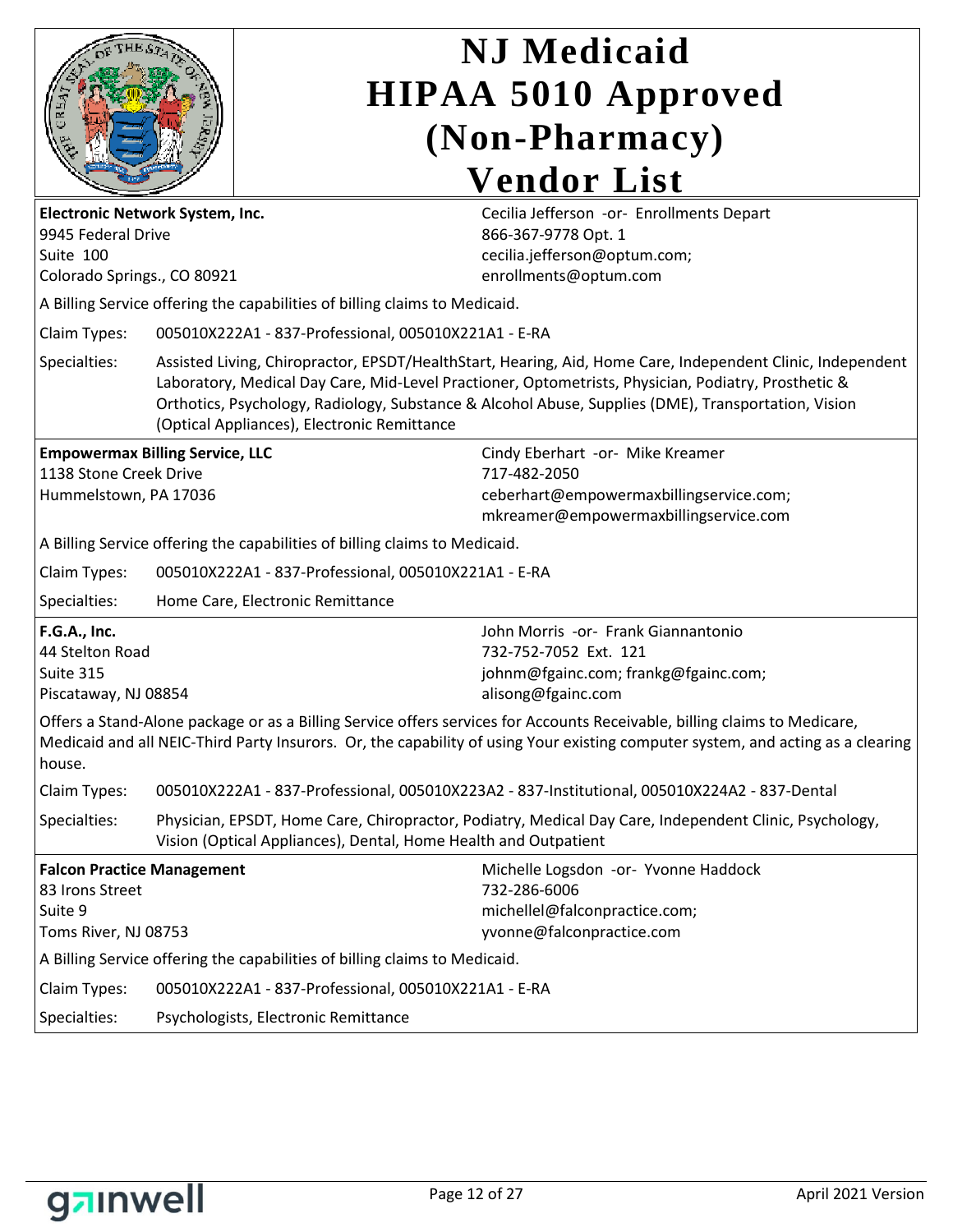

| Electronic Network System, Inc.<br>9945 Federal Drive<br>Suite 100<br>Colorado Springs., CO 80921 |                                                                                                                                                                                                                                                                                                                                                                         | Cecilia Jefferson -or- Enrollments Depart<br>866-367-9778 Opt. 1<br>cecilia.jefferson@optum.com;<br>enrollments@optum.com                                                                                                                                    |
|---------------------------------------------------------------------------------------------------|-------------------------------------------------------------------------------------------------------------------------------------------------------------------------------------------------------------------------------------------------------------------------------------------------------------------------------------------------------------------------|--------------------------------------------------------------------------------------------------------------------------------------------------------------------------------------------------------------------------------------------------------------|
|                                                                                                   | A Billing Service offering the capabilities of billing claims to Medicaid.                                                                                                                                                                                                                                                                                              |                                                                                                                                                                                                                                                              |
| Claim Types:                                                                                      | 005010X222A1 - 837-Professional, 005010X221A1 - E-RA                                                                                                                                                                                                                                                                                                                    |                                                                                                                                                                                                                                                              |
| Specialties:                                                                                      | Assisted Living, Chiropractor, EPSDT/HealthStart, Hearing, Aid, Home Care, Independent Clinic, Independent<br>Laboratory, Medical Day Care, Mid-Level Practioner, Optometrists, Physician, Podiatry, Prosthetic &<br>Orthotics, Psychology, Radiology, Substance & Alcohol Abuse, Supplies (DME), Transportation, Vision<br>(Optical Appliances), Electronic Remittance |                                                                                                                                                                                                                                                              |
| <b>Empowermax Billing Service, LLC</b><br>1138 Stone Creek Drive<br>Hummelstown, PA 17036         |                                                                                                                                                                                                                                                                                                                                                                         | Cindy Eberhart -or- Mike Kreamer<br>717-482-2050<br>ceberhart@empowermaxbillingservice.com;<br>mkreamer@empowermaxbillingservice.com                                                                                                                         |
|                                                                                                   | A Billing Service offering the capabilities of billing claims to Medicaid.                                                                                                                                                                                                                                                                                              |                                                                                                                                                                                                                                                              |
| Claim Types:                                                                                      | 005010X222A1 - 837-Professional, 005010X221A1 - E-RA                                                                                                                                                                                                                                                                                                                    |                                                                                                                                                                                                                                                              |
| Specialties:                                                                                      | Home Care, Electronic Remittance                                                                                                                                                                                                                                                                                                                                        |                                                                                                                                                                                                                                                              |
| <b>F.G.A., Inc.</b><br>44 Stelton Road<br>Suite 315<br>Piscataway, NJ 08854                       |                                                                                                                                                                                                                                                                                                                                                                         | John Morris -or- Frank Giannantonio<br>732-752-7052 Ext. 121<br>johnm@fgainc.com; frankg@fgainc.com;<br>alisong@fgainc.com                                                                                                                                   |
| house.                                                                                            |                                                                                                                                                                                                                                                                                                                                                                         | Offers a Stand-Alone package or as a Billing Service offers services for Accounts Receivable, billing claims to Medicare,<br>Medicaid and all NEIC-Third Party Insurors. Or, the capability of using Your existing computer system, and acting as a clearing |
| Claim Types:                                                                                      |                                                                                                                                                                                                                                                                                                                                                                         | 005010X222A1 - 837-Professional, 005010X223A2 - 837-Institutional, 005010X224A2 - 837-Dental                                                                                                                                                                 |
| Specialties:                                                                                      | Physician, EPSDT, Home Care, Chiropractor, Podiatry, Medical Day Care, Independent Clinic, Psychology,<br>Vision (Optical Appliances), Dental, Home Health and Outpatient                                                                                                                                                                                               |                                                                                                                                                                                                                                                              |
| <b>Falcon Practice Management</b><br>83 Irons Street<br>Suite 9<br>Toms River, NJ 08753           |                                                                                                                                                                                                                                                                                                                                                                         | Michelle Logsdon -or- Yvonne Haddock<br>732-286-6006<br>michellel@falconpractice.com;<br>yvonne@falconpractice.com                                                                                                                                           |
|                                                                                                   | A Billing Service offering the capabilities of billing claims to Medicaid.                                                                                                                                                                                                                                                                                              |                                                                                                                                                                                                                                                              |
| Claim Types:                                                                                      | 005010X222A1 - 837-Professional, 005010X221A1 - E-RA                                                                                                                                                                                                                                                                                                                    |                                                                                                                                                                                                                                                              |
| Specialties:<br>Psychologists, Electronic Remittance                                              |                                                                                                                                                                                                                                                                                                                                                                         |                                                                                                                                                                                                                                                              |

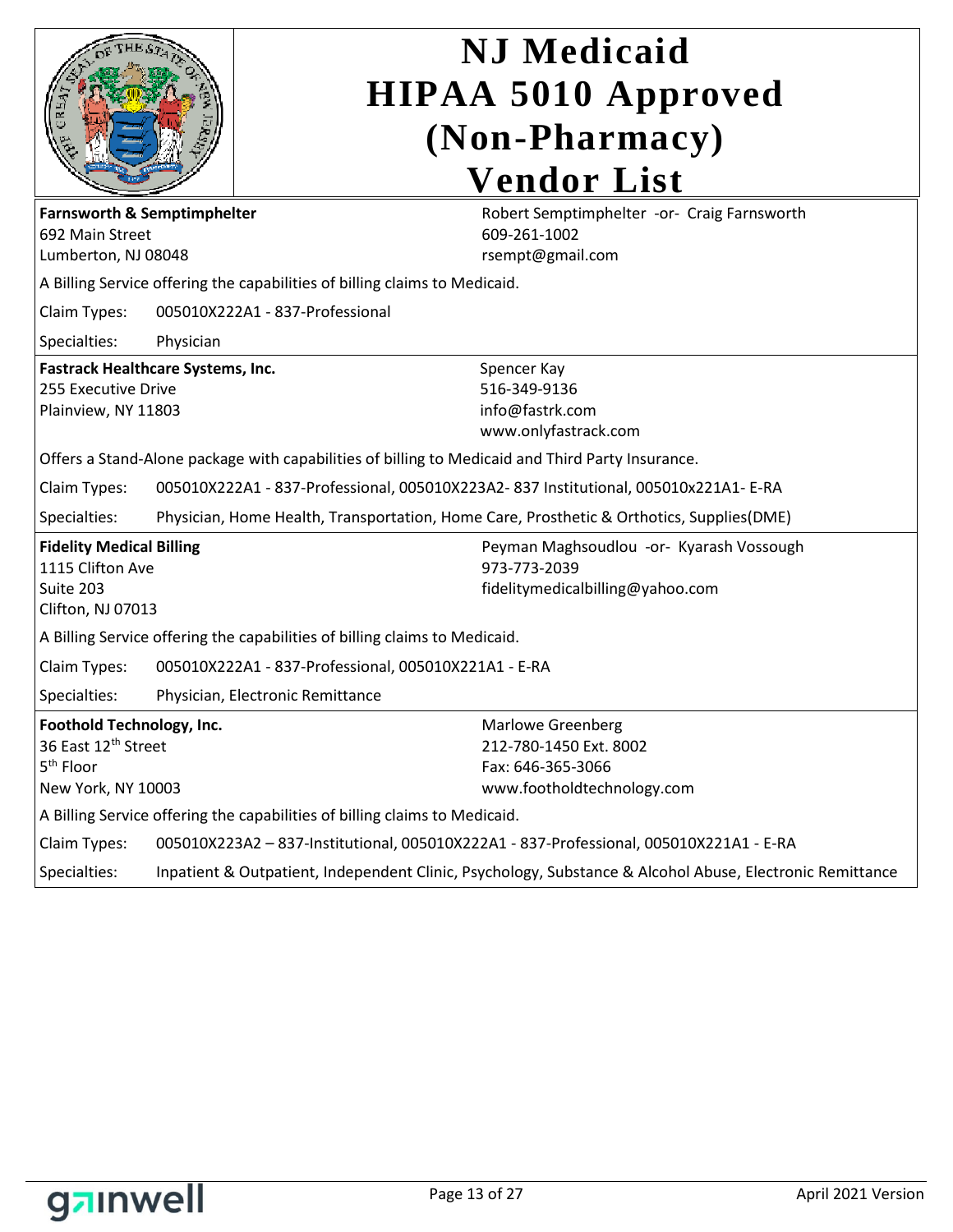|                                                                                                                          |                                                                                          | <b>NJ</b> Medicaid<br><b>HIPAA 5010 Approved</b><br>(Non-Pharmacy)                                    |  |
|--------------------------------------------------------------------------------------------------------------------------|------------------------------------------------------------------------------------------|-------------------------------------------------------------------------------------------------------|--|
|                                                                                                                          |                                                                                          | <b>Vendor List</b>                                                                                    |  |
| <b>Farnsworth &amp; Semptimphelter</b><br>692 Main Street<br>Lumberton, NJ 08048                                         |                                                                                          | Robert Semptimphelter -or- Craig Farnsworth<br>609-261-1002<br>rsempt@gmail.com                       |  |
|                                                                                                                          |                                                                                          | A Billing Service offering the capabilities of billing claims to Medicaid.                            |  |
| Claim Types:                                                                                                             |                                                                                          | 005010X222A1 - 837-Professional                                                                       |  |
| Specialties:                                                                                                             | Physician                                                                                |                                                                                                       |  |
| <b>Fastrack Healthcare Systems, Inc.</b><br>255 Executive Drive<br>Plainview, NY 11803                                   |                                                                                          | Spencer Kay<br>516-349-9136<br>info@fastrk.com<br>www.onlyfastrack.com                                |  |
|                                                                                                                          |                                                                                          | Offers a Stand-Alone package with capabilities of billing to Medicaid and Third Party Insurance.      |  |
| Claim Types:                                                                                                             | 005010X222A1 - 837-Professional, 005010X223A2-837 Institutional, 005010x221A1- E-RA      |                                                                                                       |  |
| Specialties:                                                                                                             | Physician, Home Health, Transportation, Home Care, Prosthetic & Orthotics, Supplies(DME) |                                                                                                       |  |
| <b>Fidelity Medical Billing</b><br>1115 Clifton Ave<br>Suite 203<br>Clifton, NJ 07013                                    |                                                                                          | Peyman Maghsoudlou -or- Kyarash Vossough<br>973-773-2039<br>fidelitymedicalbilling@yahoo.com          |  |
|                                                                                                                          |                                                                                          | A Billing Service offering the capabilities of billing claims to Medicaid.                            |  |
| Claim Types:                                                                                                             |                                                                                          | 005010X222A1 - 837-Professional, 005010X221A1 - E-RA                                                  |  |
| Specialties:                                                                                                             |                                                                                          | Physician, Electronic Remittance                                                                      |  |
| Foothold Technology, Inc.<br>36 East 12 <sup>th</sup> Street<br>5 <sup>th</sup> Floor<br>New York, NY 10003              |                                                                                          | <b>Marlowe Greenberg</b><br>212-780-1450 Ext. 8002<br>Fax: 646-365-3066<br>www.footholdtechnology.com |  |
|                                                                                                                          |                                                                                          | A Billing Service offering the capabilities of billing claims to Medicaid.                            |  |
| Claim Types:                                                                                                             | 005010X223A2 - 837-Institutional, 005010X222A1 - 837-Professional, 005010X221A1 - E-RA   |                                                                                                       |  |
| Inpatient & Outpatient, Independent Clinic, Psychology, Substance & Alcohol Abuse, Electronic Remittance<br>Specialties: |                                                                                          |                                                                                                       |  |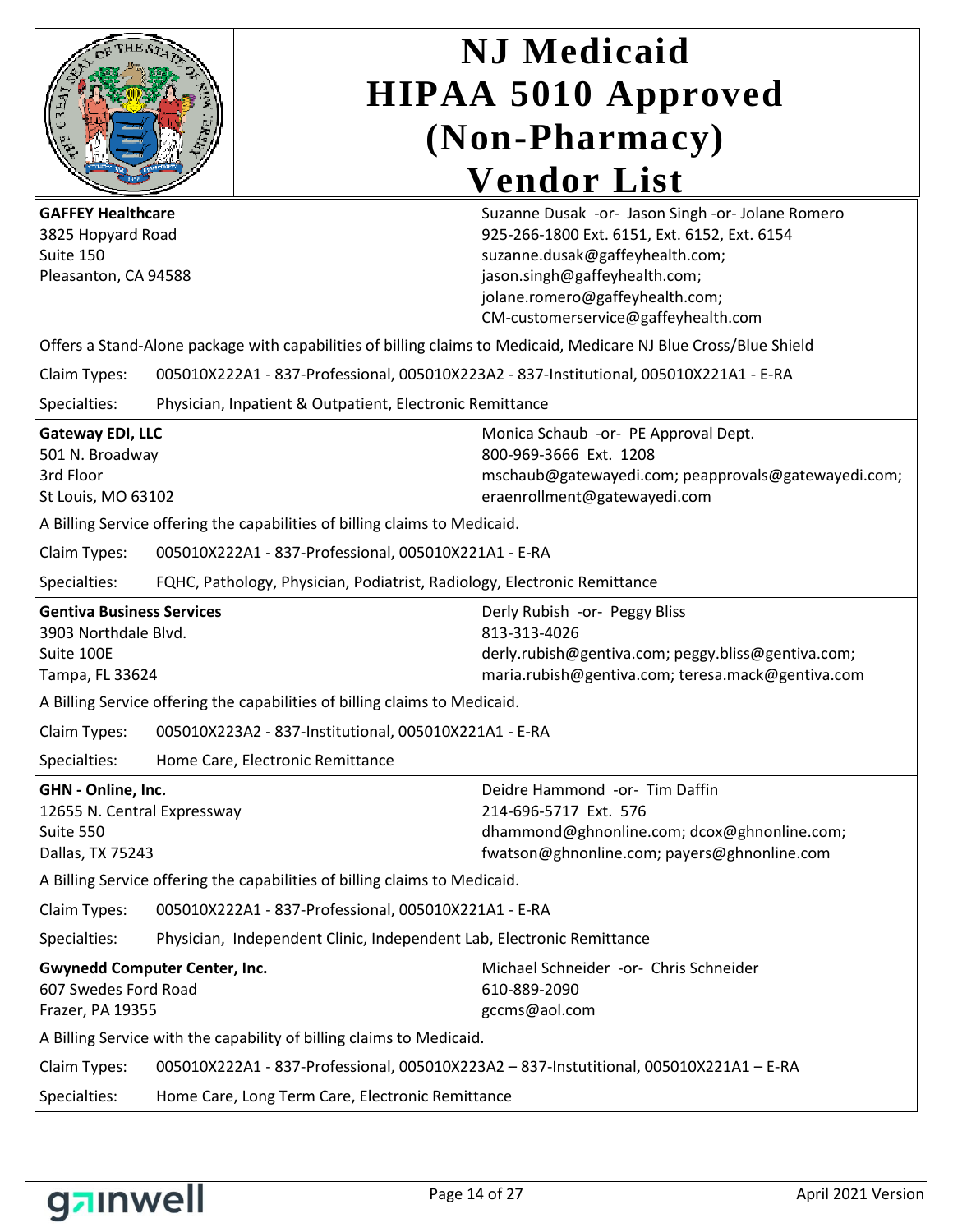

| <b>GAFFEY Healthcare</b><br>3825 Hopyard Road<br>Suite 150<br>Pleasanton, CA 94588<br>Offers a Stand-Alone package with capabilities of billing claims to Medicaid, Medicare NJ Blue Cross/Blue Shield |                                                                                        | Suzanne Dusak -or- Jason Singh -or- Jolane Romero<br>925-266-1800 Ext. 6151, Ext. 6152, Ext. 6154<br>suzanne.dusak@gaffeyhealth.com;<br>jason.singh@gaffeyhealth.com;<br>jolane.romero@gaffeyhealth.com;<br>CM-customerservice@gaffeyhealth.com |
|--------------------------------------------------------------------------------------------------------------------------------------------------------------------------------------------------------|----------------------------------------------------------------------------------------|-------------------------------------------------------------------------------------------------------------------------------------------------------------------------------------------------------------------------------------------------|
| Claim Types:                                                                                                                                                                                           | 005010X222A1 - 837-Professional, 005010X223A2 - 837-Institutional, 005010X221A1 - E-RA |                                                                                                                                                                                                                                                 |
| Specialties:                                                                                                                                                                                           | Physician, Inpatient & Outpatient, Electronic Remittance                               |                                                                                                                                                                                                                                                 |
| Gateway EDI, LLC<br>501 N. Broadway<br>3rd Floor<br>St Louis, MO 63102                                                                                                                                 |                                                                                        | Monica Schaub -or- PE Approval Dept.<br>800-969-3666 Ext. 1208<br>mschaub@gatewayedi.com; peapprovals@gatewayedi.com;<br>eraenrollment@gatewayedi.com                                                                                           |
|                                                                                                                                                                                                        | A Billing Service offering the capabilities of billing claims to Medicaid.             |                                                                                                                                                                                                                                                 |
| Claim Types:                                                                                                                                                                                           | 005010X222A1 - 837-Professional, 005010X221A1 - E-RA                                   |                                                                                                                                                                                                                                                 |
| Specialties:                                                                                                                                                                                           | FQHC, Pathology, Physician, Podiatrist, Radiology, Electronic Remittance               |                                                                                                                                                                                                                                                 |
| <b>Gentiva Business Services</b><br>3903 Northdale Blvd.<br>Suite 100E<br>Tampa, FL 33624                                                                                                              |                                                                                        | Derly Rubish -or- Peggy Bliss<br>813-313-4026<br>derly.rubish@gentiva.com; peggy.bliss@gentiva.com;<br>maria.rubish@gentiva.com; teresa.mack@gentiva.com                                                                                        |
|                                                                                                                                                                                                        | A Billing Service offering the capabilities of billing claims to Medicaid.             |                                                                                                                                                                                                                                                 |
| Claim Types:                                                                                                                                                                                           | 005010X223A2 - 837-Institutional, 005010X221A1 - E-RA                                  |                                                                                                                                                                                                                                                 |
| Specialties:                                                                                                                                                                                           | Home Care, Electronic Remittance                                                       |                                                                                                                                                                                                                                                 |
| GHN - Online, Inc.<br>12655 N. Central Expressway<br>Suite 550<br>Dallas, TX 75243                                                                                                                     |                                                                                        | Deidre Hammond -or- Tim Daffin<br>214-696-5717 Ext. 576<br>dhammond@ghnonline.com; dcox@ghnonline.com;<br>fwatson@ghnonline.com; payers@ghnonline.com                                                                                           |
|                                                                                                                                                                                                        | A Billing Service offering the capabilities of billing claims to Medicaid.             |                                                                                                                                                                                                                                                 |
| Claim Types:                                                                                                                                                                                           | 005010X222A1 - 837-Professional, 005010X221A1 - E-RA                                   |                                                                                                                                                                                                                                                 |
| Specialties:                                                                                                                                                                                           | Physician, Independent Clinic, Independent Lab, Electronic Remittance                  |                                                                                                                                                                                                                                                 |
| <b>Gwynedd Computer Center, Inc.</b><br>607 Swedes Ford Road<br>Frazer, PA 19355                                                                                                                       |                                                                                        | Michael Schneider -or- Chris Schneider<br>610-889-2090<br>gccms@aol.com                                                                                                                                                                         |
|                                                                                                                                                                                                        | A Billing Service with the capability of billing claims to Medicaid.                   |                                                                                                                                                                                                                                                 |
| 005010X222A1 - 837-Professional, 005010X223A2 - 837-Instutitional, 005010X221A1 - E-RA<br>Claim Types:                                                                                                 |                                                                                        |                                                                                                                                                                                                                                                 |
| Specialties:<br>Home Care, Long Term Care, Electronic Remittance                                                                                                                                       |                                                                                        |                                                                                                                                                                                                                                                 |

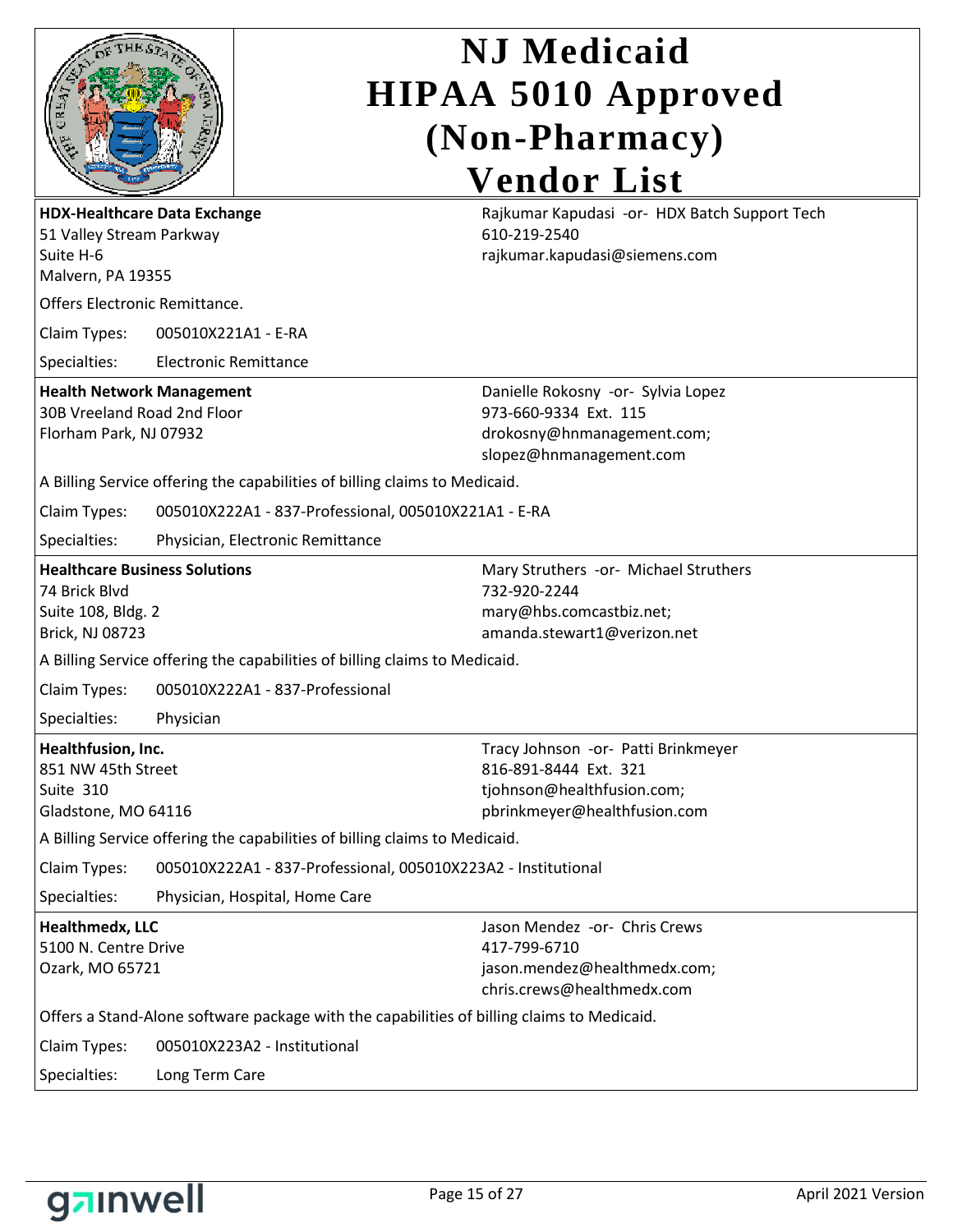|      | OF THE ST | E.   |
|------|-----------|------|
|      |           | ó    |
| GRE) |           | ľдĄ, |
|      |           |      |

| <b>HDX-Healthcare Data Exchange</b><br>51 Valley Stream Parkway<br>Suite H-6<br>Malvern, PA 19355     |                                                                                            | Rajkumar Kapudasi -or- HDX Batch Support Tech<br>610-219-2540<br>rajkumar.kapudasi@siemens.com                             |
|-------------------------------------------------------------------------------------------------------|--------------------------------------------------------------------------------------------|----------------------------------------------------------------------------------------------------------------------------|
| Offers Electronic Remittance.                                                                         |                                                                                            |                                                                                                                            |
| Claim Types:                                                                                          | 005010X221A1 - E-RA                                                                        |                                                                                                                            |
| Specialties:                                                                                          | <b>Electronic Remittance</b>                                                               |                                                                                                                            |
| <b>Health Network Management</b><br>30B Vreeland Road 2nd Floor<br>Florham Park, NJ 07932             |                                                                                            | Danielle Rokosny -or- Sylvia Lopez<br>973-660-9334 Ext. 115<br>drokosny@hnmanagement.com;<br>slopez@hnmanagement.com       |
|                                                                                                       | A Billing Service offering the capabilities of billing claims to Medicaid.                 |                                                                                                                            |
| Claim Types:                                                                                          | 005010X222A1 - 837-Professional, 005010X221A1 - E-RA                                       |                                                                                                                            |
| Specialties:                                                                                          | Physician, Electronic Remittance                                                           |                                                                                                                            |
| <b>Healthcare Business Solutions</b><br>74 Brick Blvd<br>Suite 108, Bldg. 2<br><b>Brick, NJ 08723</b> |                                                                                            | Mary Struthers -or- Michael Struthers<br>732-920-2244<br>mary@hbs.comcastbiz.net;<br>amanda.stewart1@verizon.net           |
|                                                                                                       | A Billing Service offering the capabilities of billing claims to Medicaid.                 |                                                                                                                            |
| Claim Types:                                                                                          | 005010X222A1 - 837-Professional                                                            |                                                                                                                            |
| Specialties:                                                                                          | Physician                                                                                  |                                                                                                                            |
| Healthfusion, Inc.<br>851 NW 45th Street<br>Suite 310<br>Gladstone, MO 64116                          |                                                                                            | Tracy Johnson -or- Patti Brinkmeyer<br>816-891-8444 Ext. 321<br>tjohnson@healthfusion.com;<br>pbrinkmeyer@healthfusion.com |
|                                                                                                       | A Billing Service offering the capabilities of billing claims to Medicaid.                 |                                                                                                                            |
| Claim Types:                                                                                          | 005010X222A1 - 837-Professional, 005010X223A2 - Institutional                              |                                                                                                                            |
| Specialties:                                                                                          | Physician, Hospital, Home Care                                                             |                                                                                                                            |
| <b>Healthmedx, LLC</b><br>5100 N. Centre Drive<br>Ozark, MO 65721                                     |                                                                                            | Jason Mendez -or- Chris Crews<br>417-799-6710<br>jason.mendez@healthmedx.com;<br>chris.crews@healthmedx.com                |
|                                                                                                       | Offers a Stand-Alone software package with the capabilities of billing claims to Medicaid. |                                                                                                                            |
| Claim Types:                                                                                          | 005010X223A2 - Institutional                                                               |                                                                                                                            |
| Specialties:<br>Long Term Care                                                                        |                                                                                            |                                                                                                                            |

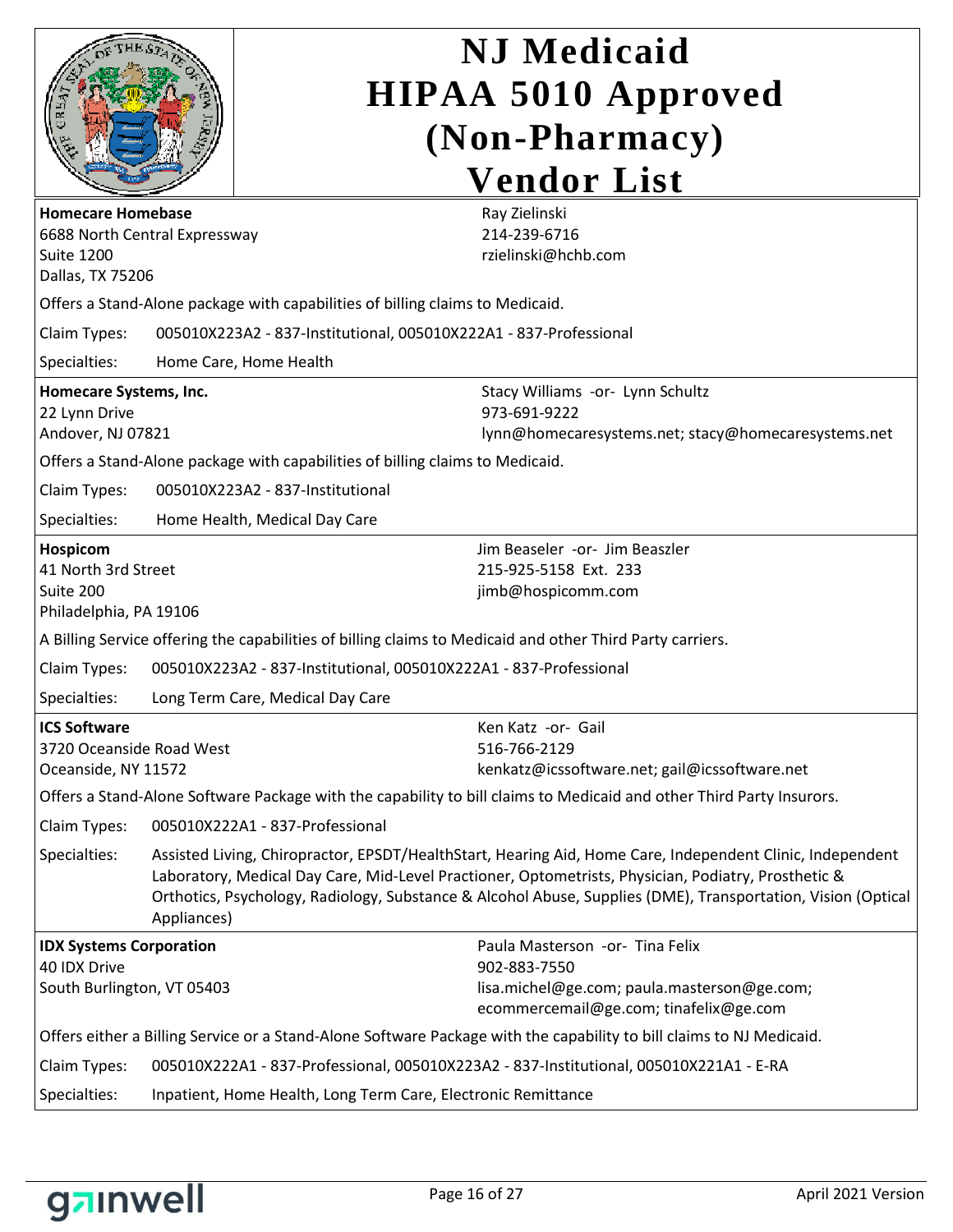|                                                    |             | <b>NJ</b> Medicaid                                                                                                                                                                                                  |  |  |
|----------------------------------------------------|-------------|---------------------------------------------------------------------------------------------------------------------------------------------------------------------------------------------------------------------|--|--|
|                                                    |             | <b>HIPAA 5010 Approved</b>                                                                                                                                                                                          |  |  |
|                                                    |             | (Non-Pharmacy)                                                                                                                                                                                                      |  |  |
|                                                    |             |                                                                                                                                                                                                                     |  |  |
|                                                    |             | <b>Vendor List</b>                                                                                                                                                                                                  |  |  |
| <b>Homecare Homebase</b>                           |             | Ray Zielinski<br>214-239-6716                                                                                                                                                                                       |  |  |
| 6688 North Central Expressway<br><b>Suite 1200</b> |             | rzielinski@hchb.com                                                                                                                                                                                                 |  |  |
| Dallas, TX 75206                                   |             |                                                                                                                                                                                                                     |  |  |
|                                                    |             | Offers a Stand-Alone package with capabilities of billing claims to Medicaid.                                                                                                                                       |  |  |
| Claim Types:                                       |             | 005010X223A2 - 837-Institutional, 005010X222A1 - 837-Professional                                                                                                                                                   |  |  |
| Specialties:                                       |             | Home Care, Home Health                                                                                                                                                                                              |  |  |
| Homecare Systems, Inc.                             |             | Stacy Williams -or- Lynn Schultz                                                                                                                                                                                    |  |  |
| 22 Lynn Drive                                      |             | 973-691-9222                                                                                                                                                                                                        |  |  |
| Andover, NJ 07821                                  |             | lynn@homecaresystems.net; stacy@homecaresystems.net                                                                                                                                                                 |  |  |
|                                                    |             | Offers a Stand-Alone package with capabilities of billing claims to Medicaid.                                                                                                                                       |  |  |
| Claim Types:                                       |             | 005010X223A2 - 837-Institutional                                                                                                                                                                                    |  |  |
| Specialties:                                       |             | Home Health, Medical Day Care                                                                                                                                                                                       |  |  |
| Hospicom                                           |             | Jim Beaseler -or- Jim Beaszler                                                                                                                                                                                      |  |  |
| 41 North 3rd Street<br>Suite 200                   |             | 215-925-5158 Ext. 233<br>jimb@hospicomm.com                                                                                                                                                                         |  |  |
| Philadelphia, PA 19106                             |             |                                                                                                                                                                                                                     |  |  |
|                                                    |             | A Billing Service offering the capabilities of billing claims to Medicaid and other Third Party carriers.                                                                                                           |  |  |
| Claim Types:                                       |             | 005010X223A2 - 837-Institutional, 005010X222A1 - 837-Professional                                                                                                                                                   |  |  |
| Specialties:                                       |             | Long Term Care, Medical Day Care                                                                                                                                                                                    |  |  |
| <b>ICS Software</b>                                |             | Ken Katz -or- Gail                                                                                                                                                                                                  |  |  |
| 3720 Oceanside Road West                           |             | 516-766-2129                                                                                                                                                                                                        |  |  |
| Oceanside, NY 11572                                |             | kenkatz@icssoftware.net; gail@icssoftware.net                                                                                                                                                                       |  |  |
|                                                    |             | Offers a Stand-Alone Software Package with the capability to bill claims to Medicaid and other Third Party Insurors.                                                                                                |  |  |
| Claim Types:                                       |             | 005010X222A1 - 837-Professional                                                                                                                                                                                     |  |  |
| Specialties:                                       |             | Assisted Living, Chiropractor, EPSDT/HealthStart, Hearing Aid, Home Care, Independent Clinic, Independent                                                                                                           |  |  |
|                                                    |             | Laboratory, Medical Day Care, Mid-Level Practioner, Optometrists, Physician, Podiatry, Prosthetic &<br>Orthotics, Psychology, Radiology, Substance & Alcohol Abuse, Supplies (DME), Transportation, Vision (Optical |  |  |
|                                                    | Appliances) |                                                                                                                                                                                                                     |  |  |
| <b>IDX Systems Corporation</b>                     |             | Paula Masterson -or- Tina Felix                                                                                                                                                                                     |  |  |
| 40 IDX Drive                                       |             | 902-883-7550                                                                                                                                                                                                        |  |  |
| South Burlington, VT 05403                         |             | lisa.michel@ge.com; paula.masterson@ge.com;<br>ecommercemail@ge.com; tinafelix@ge.com                                                                                                                               |  |  |
|                                                    |             | Offers either a Billing Service or a Stand-Alone Software Package with the capability to bill claims to NJ Medicaid.                                                                                                |  |  |
| Claim Types:                                       |             | 005010X222A1 - 837-Professional, 005010X223A2 - 837-Institutional, 005010X221A1 - E-RA                                                                                                                              |  |  |
| Specialties:                                       |             | Inpatient, Home Health, Long Term Care, Electronic Remittance                                                                                                                                                       |  |  |

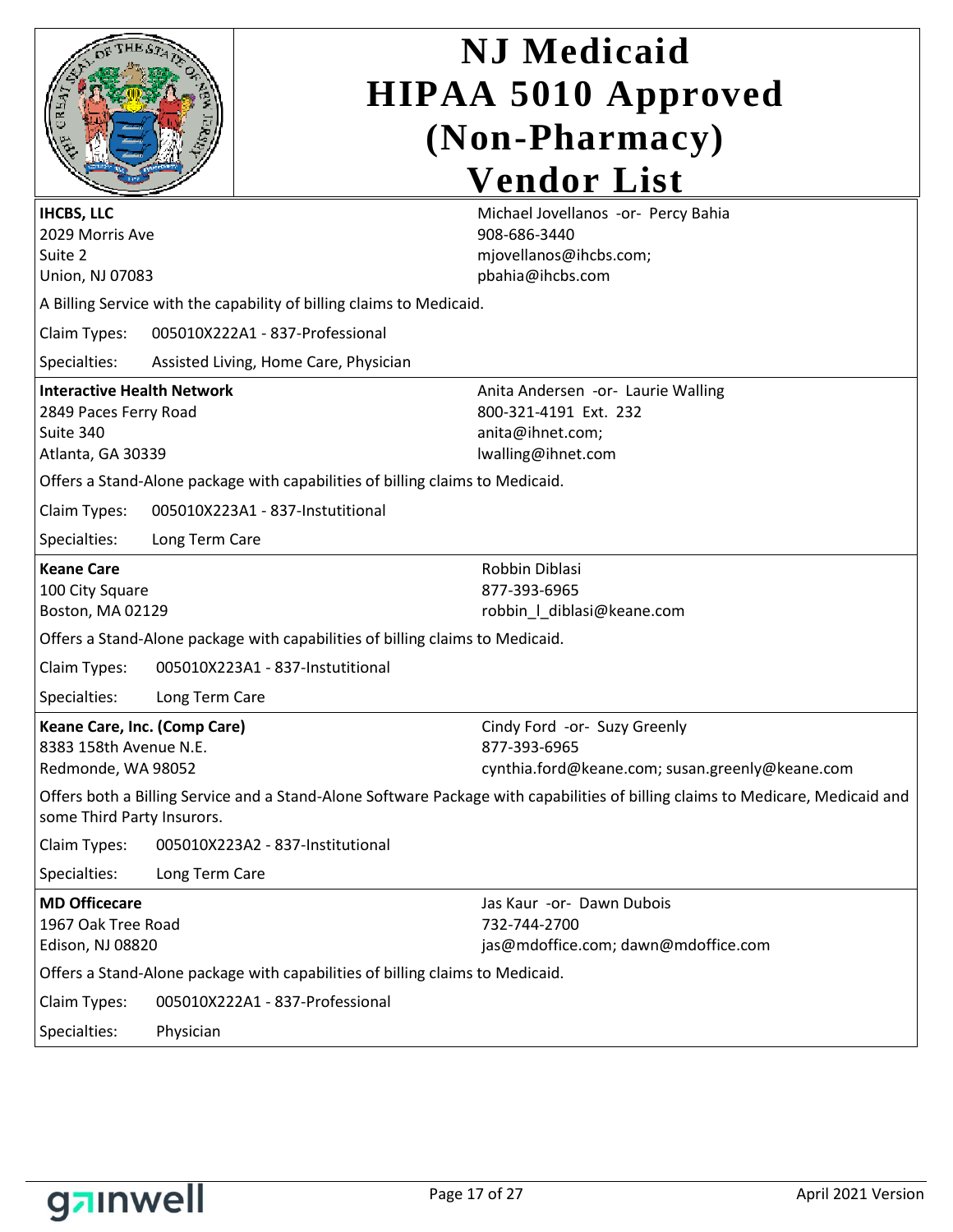|   | OF THE ST | ۹                   |
|---|-----------|---------------------|
| ₽ |           | r<br>릴              |
|   |           | $\hat{\mathcal{S}}$ |
|   |           |                     |

| <b>IHCBS, LLC</b><br>2029 Morris Ave                                                                                                                         |                                                                               | Michael Jovellanos -or- Percy Bahia<br>908-686-3440                                                   |
|--------------------------------------------------------------------------------------------------------------------------------------------------------------|-------------------------------------------------------------------------------|-------------------------------------------------------------------------------------------------------|
| Suite 2                                                                                                                                                      |                                                                               | mjovellanos@ihcbs.com;                                                                                |
| Union, NJ 07083                                                                                                                                              |                                                                               | pbahia@ihcbs.com                                                                                      |
|                                                                                                                                                              | A Billing Service with the capability of billing claims to Medicaid.          |                                                                                                       |
| Claim Types:                                                                                                                                                 | 005010X222A1 - 837-Professional                                               |                                                                                                       |
| Specialties:                                                                                                                                                 | Assisted Living, Home Care, Physician                                         |                                                                                                       |
| <b>Interactive Health Network</b><br>2849 Paces Ferry Road<br>Suite 340<br>Atlanta, GA 30339                                                                 |                                                                               | Anita Andersen -or- Laurie Walling<br>800-321-4191 Ext. 232<br>anita@ihnet.com;<br>lwalling@ihnet.com |
|                                                                                                                                                              | Offers a Stand-Alone package with capabilities of billing claims to Medicaid. |                                                                                                       |
| Claim Types:                                                                                                                                                 | 005010X223A1 - 837-Instutitional                                              |                                                                                                       |
| Specialties:                                                                                                                                                 | Long Term Care                                                                |                                                                                                       |
| <b>Keane Care</b><br>100 City Square<br>Boston, MA 02129                                                                                                     |                                                                               | Robbin Diblasi<br>877-393-6965<br>robbin_l_diblasi@keane.com                                          |
|                                                                                                                                                              | Offers a Stand-Alone package with capabilities of billing claims to Medicaid. |                                                                                                       |
| Claim Types:                                                                                                                                                 | 005010X223A1 - 837-Instutitional                                              |                                                                                                       |
| Specialties:                                                                                                                                                 | Long Term Care                                                                |                                                                                                       |
| Keane Care, Inc. (Comp Care)<br>8383 158th Avenue N.E.<br>Redmonde, WA 98052                                                                                 |                                                                               | Cindy Ford -or- Suzy Greenly<br>877-393-6965<br>cynthia.ford@keane.com; susan.greenly@keane.com       |
| Offers both a Billing Service and a Stand-Alone Software Package with capabilities of billing claims to Medicare, Medicaid and<br>some Third Party Insurors. |                                                                               |                                                                                                       |
| Claim Types:                                                                                                                                                 | 005010X223A2 - 837-Institutional                                              |                                                                                                       |
| Specialties:                                                                                                                                                 | Long Term Care                                                                |                                                                                                       |
| <b>MD Officecare</b><br>1967 Oak Tree Road<br>Edison, NJ 08820                                                                                               |                                                                               | Jas Kaur -or- Dawn Dubois<br>732-744-2700<br>jas@mdoffice.com; dawn@mdoffice.com                      |
|                                                                                                                                                              | Offers a Stand-Alone package with capabilities of billing claims to Medicaid. |                                                                                                       |
| Claim Types:                                                                                                                                                 | 005010X222A1 - 837-Professional                                               |                                                                                                       |
| Specialties:                                                                                                                                                 | Physician                                                                     |                                                                                                       |

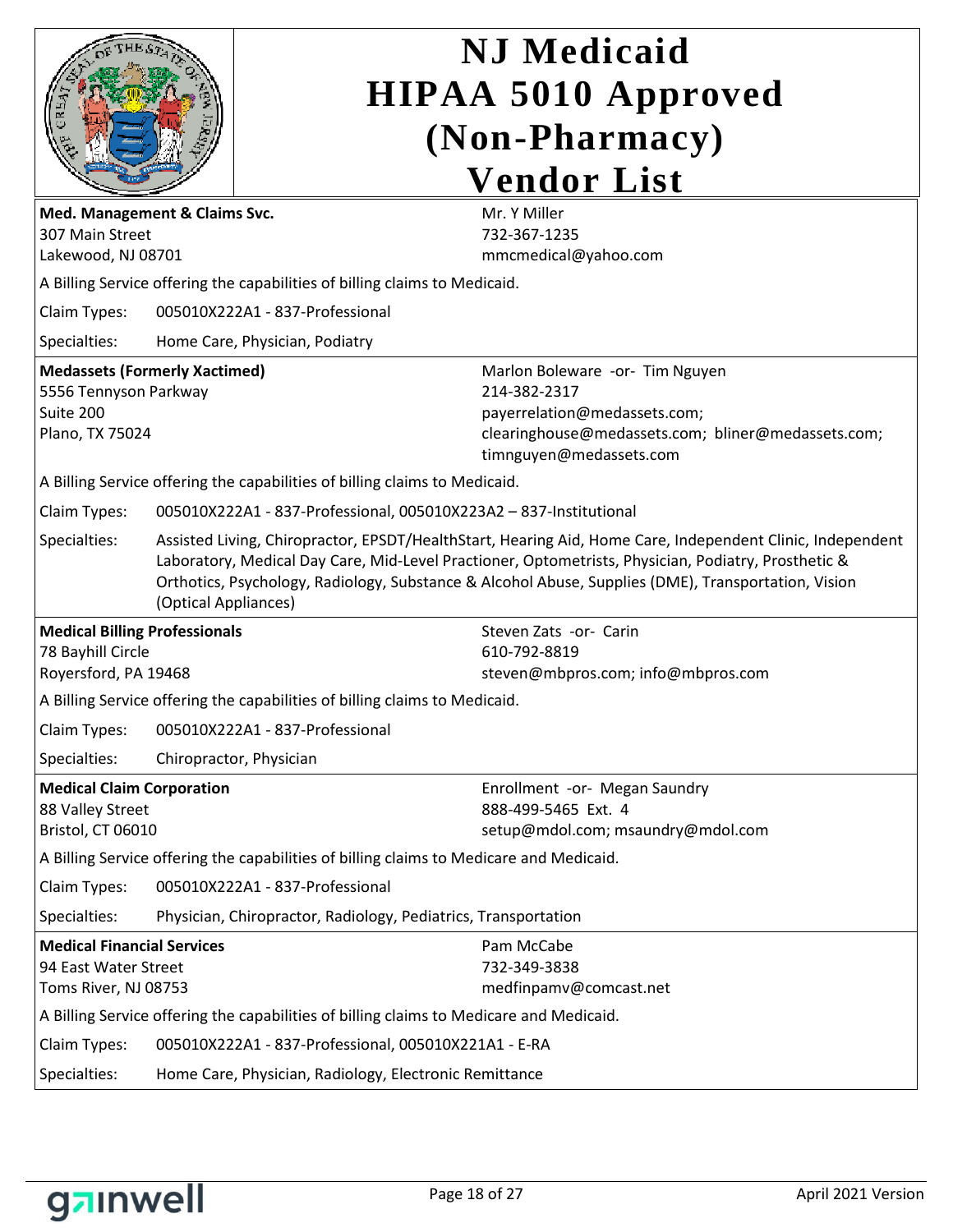| Med. Management & Claims Svc.<br>307 Main Street<br>Lakewood, NJ 08701<br>Claim Types:                                                                                                                                                                            |                                                                                                                                                                                                                                                                                                                                                 | <b>NJ</b> Medicaid<br><b>HIPAA 5010 Approved</b><br>(Non-Pharmacy)<br><b>Vendor List</b><br>Mr. Y Miller<br>732-367-1235<br>mmcmedical@yahoo.com<br>A Billing Service offering the capabilities of billing claims to Medicaid.<br>005010X222A1 - 837-Professional |  |
|-------------------------------------------------------------------------------------------------------------------------------------------------------------------------------------------------------------------------------------------------------------------|-------------------------------------------------------------------------------------------------------------------------------------------------------------------------------------------------------------------------------------------------------------------------------------------------------------------------------------------------|-------------------------------------------------------------------------------------------------------------------------------------------------------------------------------------------------------------------------------------------------------------------|--|
| Specialties:                                                                                                                                                                                                                                                      |                                                                                                                                                                                                                                                                                                                                                 | Home Care, Physician, Podiatry                                                                                                                                                                                                                                    |  |
| <b>Medassets (Formerly Xactimed)</b><br>Marlon Boleware -or- Tim Nguyen<br>5556 Tennyson Parkway<br>214-382-2317<br>Suite 200<br>payerrelation@medassets.com;<br>clearinghouse@medassets.com; bliner@medassets.com;<br>Plano, TX 75024<br>timnguyen@medassets.com |                                                                                                                                                                                                                                                                                                                                                 |                                                                                                                                                                                                                                                                   |  |
|                                                                                                                                                                                                                                                                   |                                                                                                                                                                                                                                                                                                                                                 | A Billing Service offering the capabilities of billing claims to Medicaid.                                                                                                                                                                                        |  |
| Claim Types:                                                                                                                                                                                                                                                      | 005010X222A1 - 837-Professional, 005010X223A2 - 837-Institutional                                                                                                                                                                                                                                                                               |                                                                                                                                                                                                                                                                   |  |
| Specialties:                                                                                                                                                                                                                                                      | Assisted Living, Chiropractor, EPSDT/HealthStart, Hearing Aid, Home Care, Independent Clinic, Independent<br>Laboratory, Medical Day Care, Mid-Level Practioner, Optometrists, Physician, Podiatry, Prosthetic &<br>Orthotics, Psychology, Radiology, Substance & Alcohol Abuse, Supplies (DME), Transportation, Vision<br>(Optical Appliances) |                                                                                                                                                                                                                                                                   |  |
| <b>Medical Billing Professionals</b>                                                                                                                                                                                                                              |                                                                                                                                                                                                                                                                                                                                                 | Steven Zats -or- Carin                                                                                                                                                                                                                                            |  |
| 78 Bayhill Circle                                                                                                                                                                                                                                                 |                                                                                                                                                                                                                                                                                                                                                 | 610-792-8819                                                                                                                                                                                                                                                      |  |
| Royersford, PA 19468                                                                                                                                                                                                                                              |                                                                                                                                                                                                                                                                                                                                                 | steven@mbpros.com; info@mbpros.com                                                                                                                                                                                                                                |  |
| Claim Types:                                                                                                                                                                                                                                                      |                                                                                                                                                                                                                                                                                                                                                 | A Billing Service offering the capabilities of billing claims to Medicaid.<br>005010X222A1 - 837-Professional                                                                                                                                                     |  |
|                                                                                                                                                                                                                                                                   |                                                                                                                                                                                                                                                                                                                                                 |                                                                                                                                                                                                                                                                   |  |
| Specialties:                                                                                                                                                                                                                                                      |                                                                                                                                                                                                                                                                                                                                                 | Chiropractor, Physician                                                                                                                                                                                                                                           |  |
| <b>Medical Claim Corporation</b><br>88 Valley Street                                                                                                                                                                                                              |                                                                                                                                                                                                                                                                                                                                                 | Enrollment -or- Megan Saundry<br>888-499-5465 Ext. 4                                                                                                                                                                                                              |  |
| Bristol, CT 06010                                                                                                                                                                                                                                                 |                                                                                                                                                                                                                                                                                                                                                 | setup@mdol.com; msaundry@mdol.com                                                                                                                                                                                                                                 |  |
|                                                                                                                                                                                                                                                                   |                                                                                                                                                                                                                                                                                                                                                 | A Billing Service offering the capabilities of billing claims to Medicare and Medicaid.                                                                                                                                                                           |  |
| Claim Types:                                                                                                                                                                                                                                                      |                                                                                                                                                                                                                                                                                                                                                 | 005010X222A1 - 837-Professional                                                                                                                                                                                                                                   |  |
| Specialties:                                                                                                                                                                                                                                                      |                                                                                                                                                                                                                                                                                                                                                 | Physician, Chiropractor, Radiology, Pediatrics, Transportation                                                                                                                                                                                                    |  |
| <b>Medical Financial Services</b><br>94 East Water Street<br>Toms River, NJ 08753                                                                                                                                                                                 |                                                                                                                                                                                                                                                                                                                                                 | Pam McCabe<br>732-349-3838<br>medfinpamv@comcast.net<br>A Billing Service offering the capabilities of billing claims to Medicare and Medicaid.                                                                                                                   |  |
| Claim Types:                                                                                                                                                                                                                                                      |                                                                                                                                                                                                                                                                                                                                                 |                                                                                                                                                                                                                                                                   |  |
| Specialties:                                                                                                                                                                                                                                                      | 005010X222A1 - 837-Professional, 005010X221A1 - E-RA                                                                                                                                                                                                                                                                                            |                                                                                                                                                                                                                                                                   |  |
| Home Care, Physician, Radiology, Electronic Remittance                                                                                                                                                                                                            |                                                                                                                                                                                                                                                                                                                                                 |                                                                                                                                                                                                                                                                   |  |

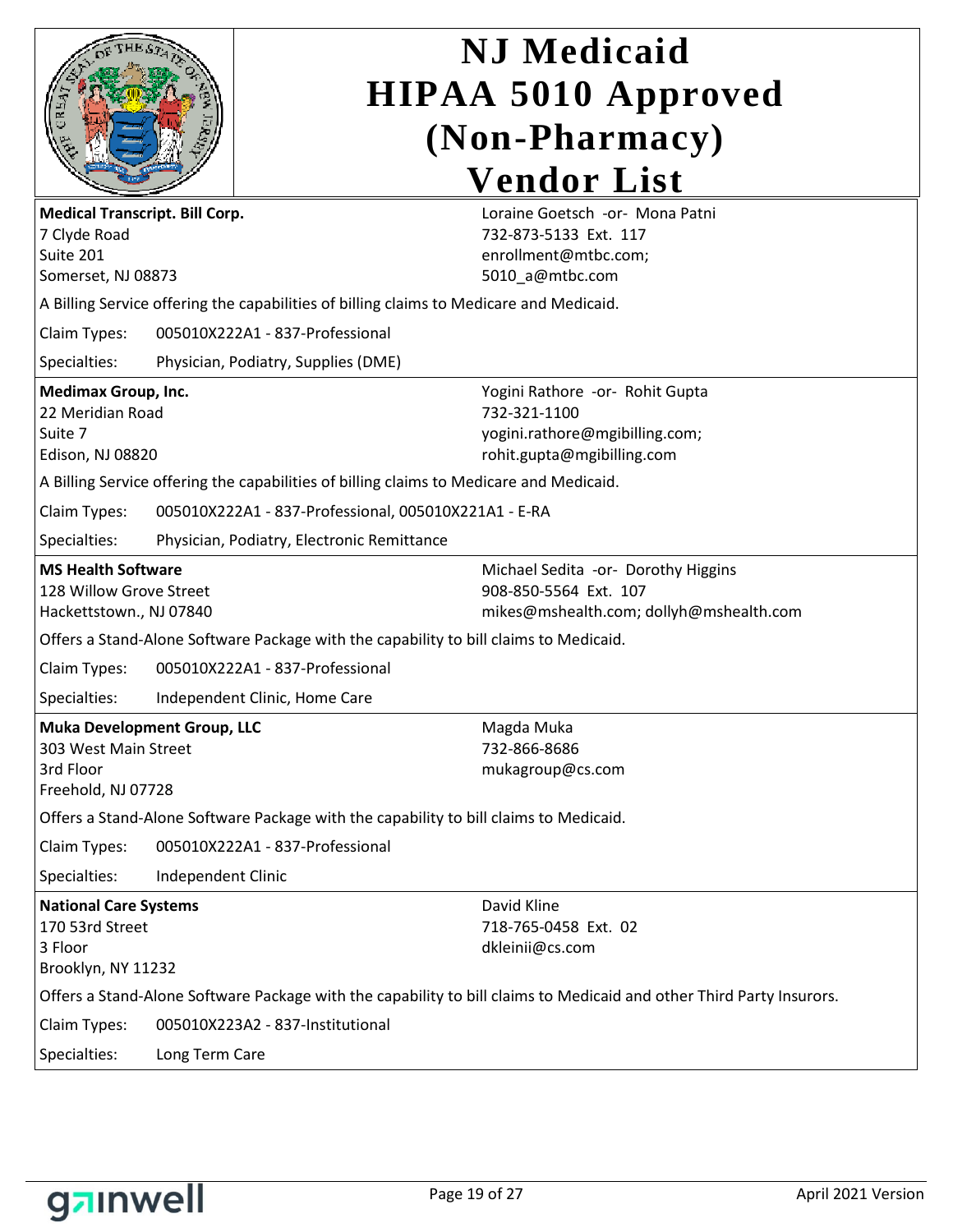

| <b>Medical Transcript. Bill Corp.</b><br>7 Clyde Road<br>Suite 201<br>Somerset, NJ 08873                                                                                                                                                         |                                                                                         | Loraine Goetsch -or- Mona Patni<br>732-873-5133 Ext. 117<br>enrollment@mtbc.com;<br>5010_a@mtbc.com                  |
|--------------------------------------------------------------------------------------------------------------------------------------------------------------------------------------------------------------------------------------------------|-----------------------------------------------------------------------------------------|----------------------------------------------------------------------------------------------------------------------|
|                                                                                                                                                                                                                                                  | A Billing Service offering the capabilities of billing claims to Medicare and Medicaid. |                                                                                                                      |
| Claim Types:                                                                                                                                                                                                                                     | 005010X222A1 - 837-Professional                                                         |                                                                                                                      |
| Specialties:                                                                                                                                                                                                                                     | Physician, Podiatry, Supplies (DME)                                                     |                                                                                                                      |
| <b>Medimax Group, Inc.</b><br>22 Meridian Road<br>Suite 7<br>Edison, NJ 08820<br>A Billing Service offering the capabilities of billing claims to Medicare and Medicaid.<br>Claim Types:<br>005010X222A1 - 837-Professional, 005010X221A1 - E-RA |                                                                                         | Yogini Rathore -or- Rohit Gupta<br>732-321-1100<br>yogini.rathore@mgibilling.com;<br>rohit.gupta@mgibilling.com      |
| Specialties:                                                                                                                                                                                                                                     | Physician, Podiatry, Electronic Remittance                                              |                                                                                                                      |
| <b>MS Health Software</b><br>128 Willow Grove Street<br>Hackettstown., NJ 07840                                                                                                                                                                  |                                                                                         | Michael Sedita -or- Dorothy Higgins<br>908-850-5564 Ext. 107<br>mikes@mshealth.com; dollyh@mshealth.com              |
|                                                                                                                                                                                                                                                  | Offers a Stand-Alone Software Package with the capability to bill claims to Medicaid.   |                                                                                                                      |
| Claim Types:                                                                                                                                                                                                                                     | 005010X222A1 - 837-Professional                                                         |                                                                                                                      |
| Specialties:                                                                                                                                                                                                                                     | Independent Clinic, Home Care                                                           |                                                                                                                      |
| <b>Muka Development Group, LLC</b><br>303 West Main Street<br>3rd Floor<br>Freehold, NJ 07728                                                                                                                                                    |                                                                                         | Magda Muka<br>732-866-8686<br>mukagroup@cs.com                                                                       |
|                                                                                                                                                                                                                                                  | Offers a Stand-Alone Software Package with the capability to bill claims to Medicaid.   |                                                                                                                      |
| Claim Types:                                                                                                                                                                                                                                     | 005010X222A1 - 837-Professional                                                         |                                                                                                                      |
| Specialties:                                                                                                                                                                                                                                     | Independent Clinic                                                                      |                                                                                                                      |
| <b>National Care Systems</b><br>170 53rd Street<br>3 Floor<br>Brooklyn, NY 11232                                                                                                                                                                 |                                                                                         | David Kline<br>718-765-0458 Ext. 02<br>dkleinii@cs.com                                                               |
|                                                                                                                                                                                                                                                  |                                                                                         | Offers a Stand-Alone Software Package with the capability to bill claims to Medicaid and other Third Party Insurors. |
| Claim Types:<br>005010X223A2 - 837-Institutional                                                                                                                                                                                                 |                                                                                         |                                                                                                                      |
| Specialties:<br>Long Term Care                                                                                                                                                                                                                   |                                                                                         |                                                                                                                      |

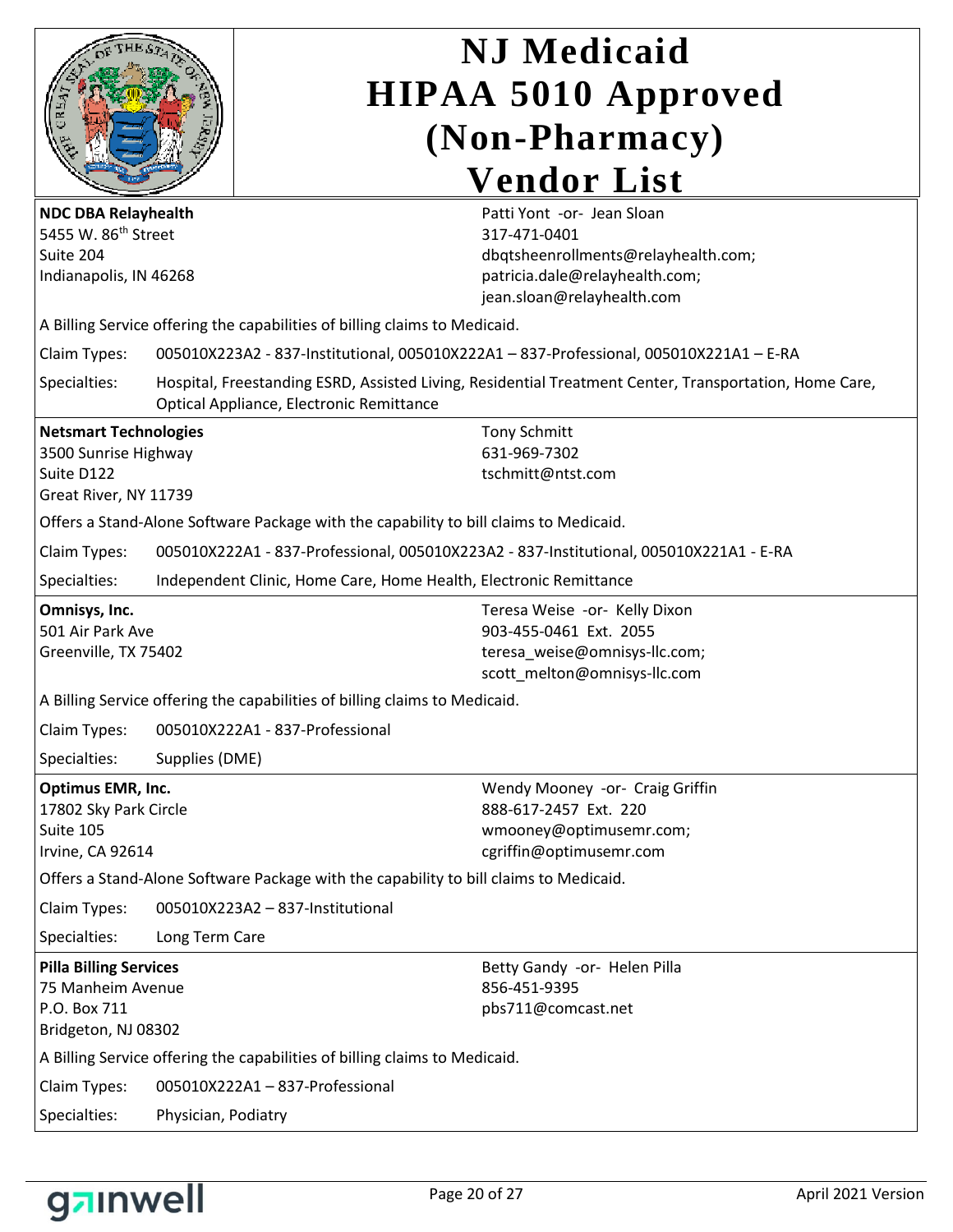

| <b>NDC DBA Relayhealth</b><br>5455 W. 86 <sup>th</sup> Street<br>Suite 204<br>Indianapolis, IN 46268 |                                                                                        | Patti Yont -or- Jean Sloan<br>317-471-0401<br>dbqtsheenrollments@relayhealth.com;<br>patricia.dale@relayhealth.com;<br>jean.sloan@relayhealth.com |  |
|------------------------------------------------------------------------------------------------------|----------------------------------------------------------------------------------------|---------------------------------------------------------------------------------------------------------------------------------------------------|--|
|                                                                                                      | A Billing Service offering the capabilities of billing claims to Medicaid.             |                                                                                                                                                   |  |
| Claim Types:                                                                                         |                                                                                        | 005010X223A2 - 837-Institutional, 005010X222A1 - 837-Professional, 005010X221A1 - E-RA                                                            |  |
| Specialties:                                                                                         | Optical Appliance, Electronic Remittance                                               | Hospital, Freestanding ESRD, Assisted Living, Residential Treatment Center, Transportation, Home Care,                                            |  |
| <b>Netsmart Technologies</b><br>3500 Sunrise Highway<br>Suite D122<br>Great River, NY 11739          |                                                                                        | <b>Tony Schmitt</b><br>631-969-7302<br>tschmitt@ntst.com                                                                                          |  |
|                                                                                                      | Offers a Stand-Alone Software Package with the capability to bill claims to Medicaid.  |                                                                                                                                                   |  |
| Claim Types:                                                                                         | 005010X222A1 - 837-Professional, 005010X223A2 - 837-Institutional, 005010X221A1 - E-RA |                                                                                                                                                   |  |
| Specialties:                                                                                         | Independent Clinic, Home Care, Home Health, Electronic Remittance                      |                                                                                                                                                   |  |
| Omnisys, Inc.<br>501 Air Park Ave<br>Greenville, TX 75402                                            |                                                                                        | Teresa Weise -or- Kelly Dixon<br>903-455-0461 Ext. 2055<br>teresa_weise@omnisys-llc.com;<br>scott_melton@omnisys-llc.com                          |  |
|                                                                                                      | A Billing Service offering the capabilities of billing claims to Medicaid.             |                                                                                                                                                   |  |
| Claim Types:                                                                                         | 005010X222A1 - 837-Professional                                                        |                                                                                                                                                   |  |
| Specialties:<br>Supplies (DME)                                                                       |                                                                                        |                                                                                                                                                   |  |
| Optimus EMR, Inc.<br>17802 Sky Park Circle<br>Suite 105<br>Irvine, CA 92614                          |                                                                                        | Wendy Mooney -or- Craig Griffin<br>888-617-2457 Ext. 220<br>wmooney@optimusemr.com;<br>cgriffin@optimusemr.com                                    |  |
|                                                                                                      | Offers a Stand-Alone Software Package with the capability to bill claims to Medicaid.  |                                                                                                                                                   |  |
| Claim Types:                                                                                         | 005010X223A2 - 837-Institutional                                                       |                                                                                                                                                   |  |
| Specialties:                                                                                         | Long Term Care                                                                         |                                                                                                                                                   |  |
| <b>Pilla Billing Services</b><br>75 Manheim Avenue<br>P.O. Box 711<br>Bridgeton, NJ 08302            |                                                                                        | Betty Gandy -or- Helen Pilla<br>856-451-9395<br>pbs711@comcast.net                                                                                |  |
|                                                                                                      | A Billing Service offering the capabilities of billing claims to Medicaid.             |                                                                                                                                                   |  |
| 005010X222A1-837-Professional<br>Claim Types:                                                        |                                                                                        |                                                                                                                                                   |  |
| Specialties:<br>Physician, Podiatry                                                                  |                                                                                        |                                                                                                                                                   |  |

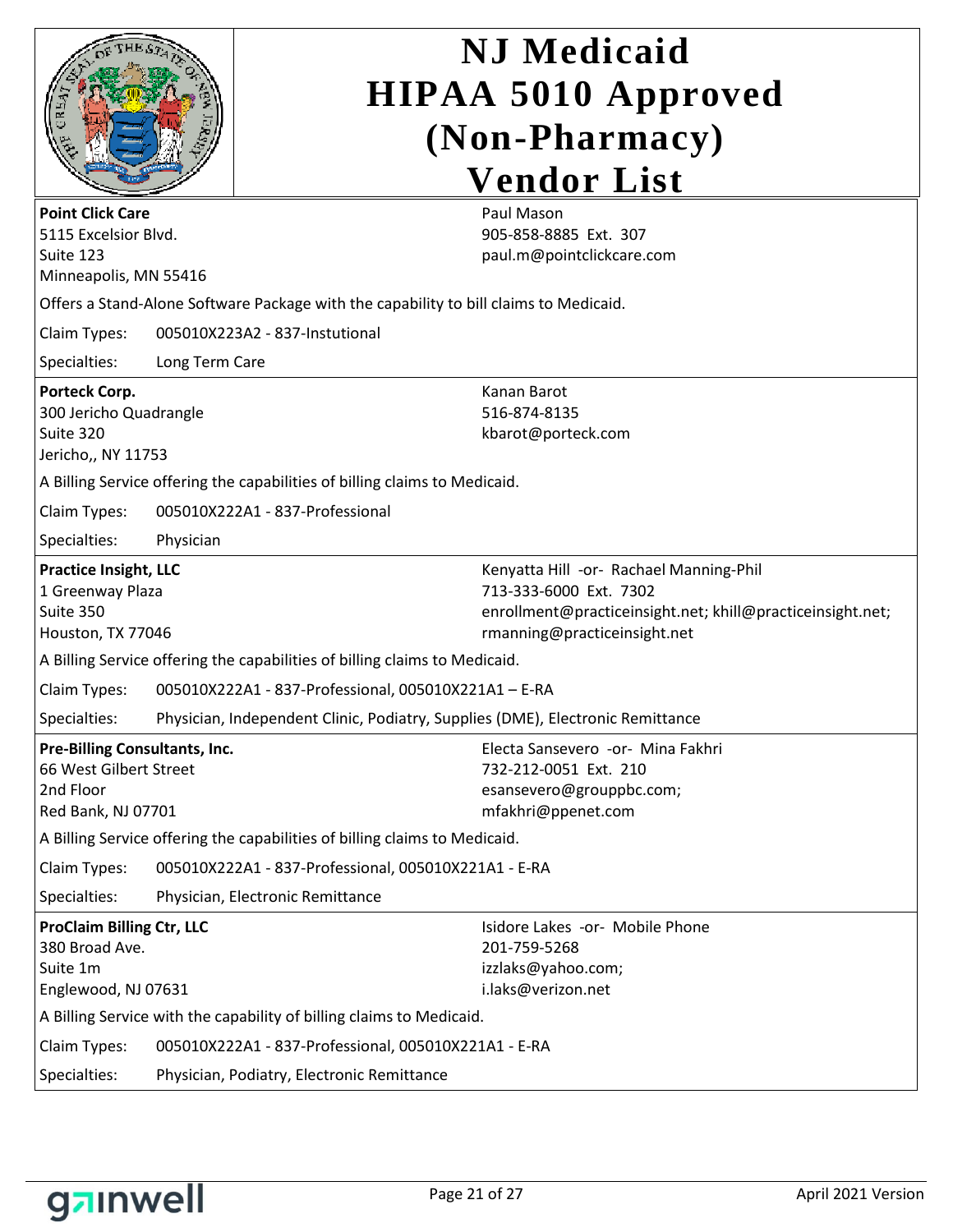|                                                                                                   |                | <b>NJ</b> Medicaid<br><b>HIPAA 5010 Approved</b>                                                                                                                |  |  |
|---------------------------------------------------------------------------------------------------|----------------|-----------------------------------------------------------------------------------------------------------------------------------------------------------------|--|--|
|                                                                                                   |                |                                                                                                                                                                 |  |  |
|                                                                                                   |                | (Non-Pharmacy)                                                                                                                                                  |  |  |
|                                                                                                   |                | <b>Vendor List</b>                                                                                                                                              |  |  |
| <b>Point Click Care</b><br>5115 Excelsior Blvd.<br>Suite 123<br>Minneapolis, MN 55416             |                | Paul Mason<br>905-858-8885 Ext. 307<br>paul.m@pointclickcare.com                                                                                                |  |  |
|                                                                                                   |                | Offers a Stand-Alone Software Package with the capability to bill claims to Medicaid.                                                                           |  |  |
| Claim Types:                                                                                      |                | 005010X223A2 - 837-Instutional                                                                                                                                  |  |  |
| Specialties:                                                                                      | Long Term Care |                                                                                                                                                                 |  |  |
| <b>Porteck Corp.</b><br>300 Jericho Quadrangle<br>Suite 320<br>Jericho,, NY 11753                 |                | Kanan Barot<br>516-874-8135<br>kbarot@porteck.com                                                                                                               |  |  |
|                                                                                                   |                | A Billing Service offering the capabilities of billing claims to Medicaid.                                                                                      |  |  |
| Claim Types:                                                                                      |                | 005010X222A1 - 837-Professional                                                                                                                                 |  |  |
| Specialties:                                                                                      | Physician      |                                                                                                                                                                 |  |  |
| <b>Practice Insight, LLC</b><br>1 Greenway Plaza<br>Suite 350<br>Houston, TX 77046                |                | Kenyatta Hill -or- Rachael Manning-Phil<br>713-333-6000 Ext. 7302<br>enrollment@practiceinsight.net; khill@practiceinsight.net;<br>rmanning@practiceinsight.net |  |  |
|                                                                                                   |                | A Billing Service offering the capabilities of billing claims to Medicaid.                                                                                      |  |  |
| Claim Types:                                                                                      |                | 005010X222A1 - 837-Professional, 005010X221A1 - E-RA                                                                                                            |  |  |
| Specialties:                                                                                      |                | Physician, Independent Clinic, Podiatry, Supplies (DME), Electronic Remittance                                                                                  |  |  |
| <b>Pre-Billing Consultants, Inc.</b><br>66 West Gilbert Street<br>2nd Floor<br>Red Bank, NJ 07701 |                | Electa Sansevero -or- Mina Fakhri<br>732-212-0051 Ext. 210<br>esansevero@grouppbc.com;<br>mfakhri@ppenet.com                                                    |  |  |
| A Billing Service offering the capabilities of billing claims to Medicaid.                        |                |                                                                                                                                                                 |  |  |
| Claim Types:                                                                                      |                | 005010X222A1 - 837-Professional, 005010X221A1 - E-RA                                                                                                            |  |  |
| Specialties:                                                                                      |                | Physician, Electronic Remittance                                                                                                                                |  |  |
| <b>ProClaim Billing Ctr, LLC</b><br>380 Broad Ave.<br>Suite 1m<br>Englewood, NJ 07631             |                | Isidore Lakes -or- Mobile Phone<br>201-759-5268<br>izzlaks@yahoo.com;<br>i.laks@verizon.net                                                                     |  |  |
|                                                                                                   |                | A Billing Service with the capability of billing claims to Medicaid.                                                                                            |  |  |
| Claim Types:                                                                                      |                | 005010X222A1 - 837-Professional, 005010X221A1 - E-RA                                                                                                            |  |  |
| Specialties:<br>Physician, Podiatry, Electronic Remittance                                        |                |                                                                                                                                                                 |  |  |

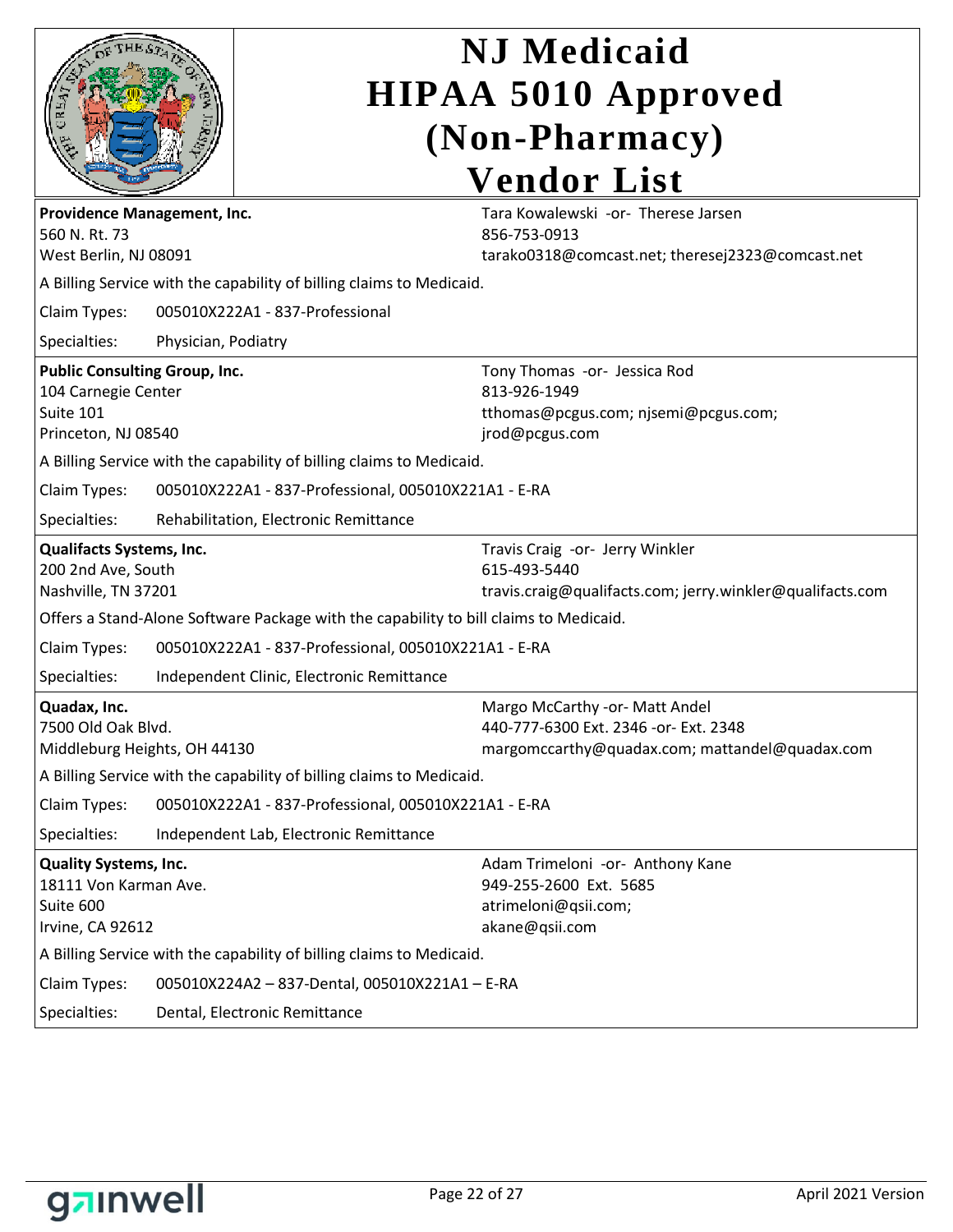|                                                                                                 |                                                                      | <b>NJ</b> Medicaid<br><b>HIPAA 5010 Approved</b>                                                                          |  |  |
|-------------------------------------------------------------------------------------------------|----------------------------------------------------------------------|---------------------------------------------------------------------------------------------------------------------------|--|--|
|                                                                                                 |                                                                      | (Non-Pharmacy)                                                                                                            |  |  |
|                                                                                                 |                                                                      |                                                                                                                           |  |  |
|                                                                                                 |                                                                      | <b>Vendor List</b>                                                                                                        |  |  |
| Providence Management, Inc.<br>560 N.Rt. 73<br>West Berlin, NJ 08091                            |                                                                      | Tara Kowalewski -or- Therese Jarsen<br>856-753-0913<br>tarako0318@comcast.net; theresej2323@comcast.net                   |  |  |
|                                                                                                 | A Billing Service with the capability of billing claims to Medicaid. |                                                                                                                           |  |  |
| Claim Types:                                                                                    |                                                                      | 005010X222A1 - 837-Professional                                                                                           |  |  |
| Specialties:                                                                                    | Physician, Podiatry                                                  |                                                                                                                           |  |  |
| <b>Public Consulting Group, Inc.</b><br>104 Carnegie Center<br>Suite 101<br>Princeton, NJ 08540 |                                                                      | Tony Thomas -or- Jessica Rod<br>813-926-1949<br>tthomas@pcgus.com; njsemi@pcgus.com;<br>jrod@pcgus.com                    |  |  |
|                                                                                                 |                                                                      | A Billing Service with the capability of billing claims to Medicaid.                                                      |  |  |
| Claim Types:                                                                                    |                                                                      | 005010X222A1 - 837-Professional, 005010X221A1 - E-RA                                                                      |  |  |
| Specialties:                                                                                    |                                                                      | Rehabilitation, Electronic Remittance                                                                                     |  |  |
| Qualifacts Systems, Inc.<br>200 2nd Ave, South<br>Nashville, TN 37201                           |                                                                      | Travis Craig -or- Jerry Winkler<br>615-493-5440<br>travis.craig@qualifacts.com; jerry.winkler@qualifacts.com              |  |  |
|                                                                                                 |                                                                      | Offers a Stand-Alone Software Package with the capability to bill claims to Medicaid.                                     |  |  |
| Claim Types:                                                                                    |                                                                      | 005010X222A1 - 837-Professional, 005010X221A1 - E-RA                                                                      |  |  |
| Specialties:                                                                                    |                                                                      | Independent Clinic, Electronic Remittance                                                                                 |  |  |
| Quadax, Inc.<br>7500 Old Oak Blvd.<br>Middleburg Heights, OH 44130                              |                                                                      | Margo McCarthy -or- Matt Andel<br>440-777-6300 Ext. 2346 -or- Ext. 2348<br>margomccarthy@quadax.com; mattandel@quadax.com |  |  |
|                                                                                                 |                                                                      | A Billing Service with the capability of billing claims to Medicaid.                                                      |  |  |
| Claim Types:                                                                                    |                                                                      | 005010X222A1 - 837-Professional, 005010X221A1 - E-RA                                                                      |  |  |
| Specialties:                                                                                    |                                                                      | Independent Lab, Electronic Remittance                                                                                    |  |  |
| <b>Quality Systems, Inc.</b><br>18111 Von Karman Ave.<br>Suite 600<br>Irvine, CA 92612          |                                                                      | Adam Trimeloni -or- Anthony Kane<br>949-255-2600 Ext. 5685<br>atrimeloni@qsii.com;<br>akane@qsii.com                      |  |  |
|                                                                                                 |                                                                      | A Billing Service with the capability of billing claims to Medicaid.                                                      |  |  |
| Claim Types:                                                                                    |                                                                      | 005010X224A2 - 837-Dental, 005010X221A1 - E-RA                                                                            |  |  |
| Specialties:                                                                                    |                                                                      | Dental, Electronic Remittance                                                                                             |  |  |

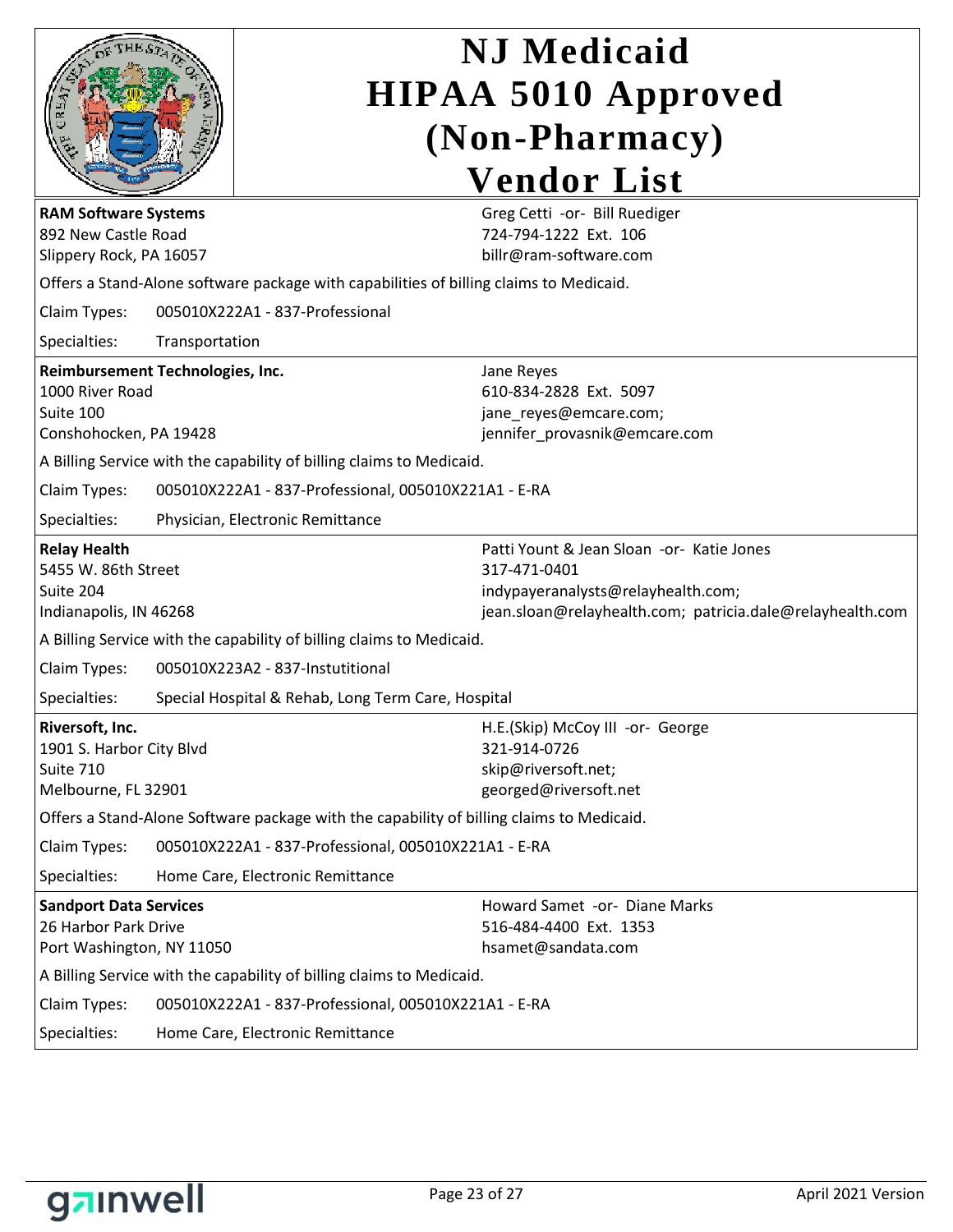|                                                                                            |                                                                                        |                                                                                          | <b>NJ</b> Medicaid                                                                                                                                           |  |  |
|--------------------------------------------------------------------------------------------|----------------------------------------------------------------------------------------|------------------------------------------------------------------------------------------|--------------------------------------------------------------------------------------------------------------------------------------------------------------|--|--|
|                                                                                            |                                                                                        |                                                                                          | <b>HIPAA 5010 Approved</b>                                                                                                                                   |  |  |
|                                                                                            |                                                                                        | (Non-Pharmacy)                                                                           |                                                                                                                                                              |  |  |
|                                                                                            |                                                                                        |                                                                                          | <b>Vendor List</b>                                                                                                                                           |  |  |
| <b>RAM Software Systems</b><br>892 New Castle Road<br>Slippery Rock, PA 16057              |                                                                                        |                                                                                          | Greg Cetti -or- Bill Ruediger<br>724-794-1222 Ext. 106<br>billr@ram-software.com                                                                             |  |  |
|                                                                                            | Offers a Stand-Alone software package with capabilities of billing claims to Medicaid. |                                                                                          |                                                                                                                                                              |  |  |
| Claim Types:                                                                               |                                                                                        | 005010X222A1 - 837-Professional                                                          |                                                                                                                                                              |  |  |
| Specialties:                                                                               | Transportation                                                                         |                                                                                          |                                                                                                                                                              |  |  |
| Reimbursement Technologies, Inc.<br>1000 River Road<br>Suite 100<br>Conshohocken, PA 19428 |                                                                                        |                                                                                          | Jane Reyes<br>610-834-2828 Ext. 5097<br>jane_reyes@emcare.com;<br>jennifer_provasnik@emcare.com                                                              |  |  |
|                                                                                            |                                                                                        | A Billing Service with the capability of billing claims to Medicaid.                     |                                                                                                                                                              |  |  |
| Claim Types:                                                                               |                                                                                        | 005010X222A1 - 837-Professional, 005010X221A1 - E-RA                                     |                                                                                                                                                              |  |  |
| Specialties:                                                                               |                                                                                        | Physician, Electronic Remittance                                                         |                                                                                                                                                              |  |  |
| <b>Relay Health</b><br>5455 W. 86th Street<br>Suite 204<br>Indianapolis, IN 46268          |                                                                                        |                                                                                          | Patti Yount & Jean Sloan -or- Katie Jones<br>317-471-0401<br>indypayeranalysts@relayhealth.com;<br>jean.sloan@relayhealth.com; patricia.dale@relayhealth.com |  |  |
| A Billing Service with the capability of billing claims to Medicaid.                       |                                                                                        |                                                                                          |                                                                                                                                                              |  |  |
|                                                                                            |                                                                                        |                                                                                          |                                                                                                                                                              |  |  |
| Claim Types:                                                                               |                                                                                        | 005010X223A2 - 837-Instutitional                                                         |                                                                                                                                                              |  |  |
| Specialties:                                                                               |                                                                                        | Special Hospital & Rehab, Long Term Care, Hospital                                       |                                                                                                                                                              |  |  |
| Riversoft, Inc.<br>1901 S. Harbor City Blvd<br>Suite 710<br>Melbourne, FL 32901            |                                                                                        |                                                                                          | H.E.(Skip) McCoy III -or- George<br>321-914-0726<br>skip@riversoft.net;<br>georged@riversoft.net                                                             |  |  |
|                                                                                            |                                                                                        | Offers a Stand-Alone Software package with the capability of billing claims to Medicaid. |                                                                                                                                                              |  |  |
| Claim Types:                                                                               |                                                                                        | 005010X222A1 - 837-Professional, 005010X221A1 - E-RA                                     |                                                                                                                                                              |  |  |
| Specialties:                                                                               |                                                                                        | Home Care, Electronic Remittance                                                         |                                                                                                                                                              |  |  |
| <b>Sandport Data Services</b><br>26 Harbor Park Drive<br>Port Washington, NY 11050         |                                                                                        |                                                                                          | Howard Samet -or- Diane Marks<br>516-484-4400 Ext. 1353<br>hsamet@sandata.com                                                                                |  |  |
|                                                                                            |                                                                                        | A Billing Service with the capability of billing claims to Medicaid.                     |                                                                                                                                                              |  |  |
| Claim Types:<br>Specialties:                                                               |                                                                                        | 005010X222A1 - 837-Professional, 005010X221A1 - E-RA<br>Home Care, Electronic Remittance |                                                                                                                                                              |  |  |

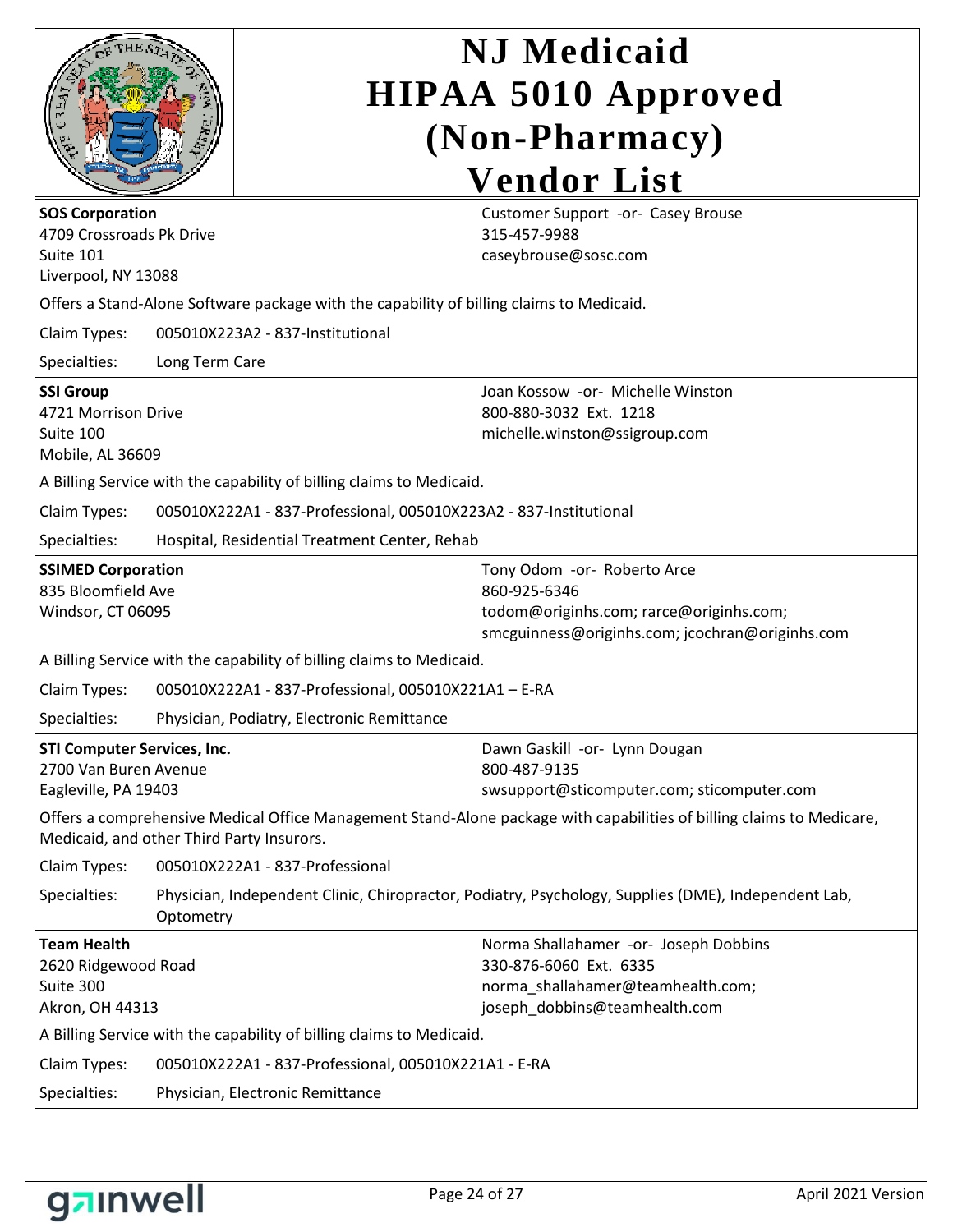|                                                                                        |                | <b>NJ</b> Medicaid                                                                                                                        |  |  |  |
|----------------------------------------------------------------------------------------|----------------|-------------------------------------------------------------------------------------------------------------------------------------------|--|--|--|
|                                                                                        |                | <b>HIPAA 5010 Approved</b>                                                                                                                |  |  |  |
|                                                                                        |                | (Non-Pharmacy)                                                                                                                            |  |  |  |
|                                                                                        |                | <b>Vendor List</b>                                                                                                                        |  |  |  |
| <b>SOS Corporation</b><br>4709 Crossroads Pk Drive<br>Suite 101<br>Liverpool, NY 13088 |                | Customer Support -or- Casey Brouse<br>315-457-9988<br>caseybrouse@sosc.com                                                                |  |  |  |
|                                                                                        |                | Offers a Stand-Alone Software package with the capability of billing claims to Medicaid.                                                  |  |  |  |
| Claim Types:                                                                           |                | 005010X223A2 - 837-Institutional                                                                                                          |  |  |  |
| Specialties:                                                                           | Long Term Care |                                                                                                                                           |  |  |  |
| <b>SSI Group</b><br>4721 Morrison Drive<br>Suite 100<br>Mobile, AL 36609               |                | Joan Kossow -or- Michelle Winston<br>800-880-3032 Ext. 1218<br>michelle.winston@ssigroup.com                                              |  |  |  |
|                                                                                        |                | A Billing Service with the capability of billing claims to Medicaid.                                                                      |  |  |  |
| Claim Types:                                                                           |                | 005010X222A1 - 837-Professional, 005010X223A2 - 837-Institutional                                                                         |  |  |  |
| Specialties:                                                                           |                | Hospital, Residential Treatment Center, Rehab                                                                                             |  |  |  |
| <b>SSIMED Corporation</b><br>835 Bloomfield Ave<br>Windsor, CT 06095                   |                | Tony Odom -or- Roberto Arce<br>860-925-6346<br>todom@originhs.com; rarce@originhs.com;<br>smcguinness@originhs.com; jcochran@originhs.com |  |  |  |
|                                                                                        |                | A Billing Service with the capability of billing claims to Medicaid.                                                                      |  |  |  |
| Claim Types:                                                                           |                | 005010X222A1 - 837-Professional, 005010X221A1 - E-RA                                                                                      |  |  |  |
|                                                                                        |                | Specialties: Physician, Podiatry, Electronic Remittance                                                                                   |  |  |  |
| <b>STI Computer Services, Inc.</b><br>2700 Van Buren Avenue<br>Eagleville, PA 19403    |                | Dawn Gaskill -or- Lynn Dougan<br>800-487-9135<br>swsupport@sticomputer.com; sticomputer.com                                               |  |  |  |
| Medicaid, and other Third Party Insurors.                                              |                | Offers a comprehensive Medical Office Management Stand-Alone package with capabilities of billing claims to Medicare,                     |  |  |  |
| Claim Types:                                                                           |                | 005010X222A1 - 837-Professional                                                                                                           |  |  |  |
| Specialties:                                                                           | Optometry      | Physician, Independent Clinic, Chiropractor, Podiatry, Psychology, Supplies (DME), Independent Lab,                                       |  |  |  |
| <b>Team Health</b><br>2620 Ridgewood Road<br>Suite 300<br>Akron, OH 44313              |                | Norma Shallahamer -or- Joseph Dobbins<br>330-876-6060 Ext. 6335<br>norma_shallahamer@teamhealth.com;<br>joseph_dobbins@teamhealth.com     |  |  |  |
|                                                                                        |                | A Billing Service with the capability of billing claims to Medicaid.                                                                      |  |  |  |
| Claim Types:                                                                           |                | 005010X222A1 - 837-Professional, 005010X221A1 - E-RA                                                                                      |  |  |  |
| Specialties:                                                                           |                | Physician, Electronic Remittance                                                                                                          |  |  |  |

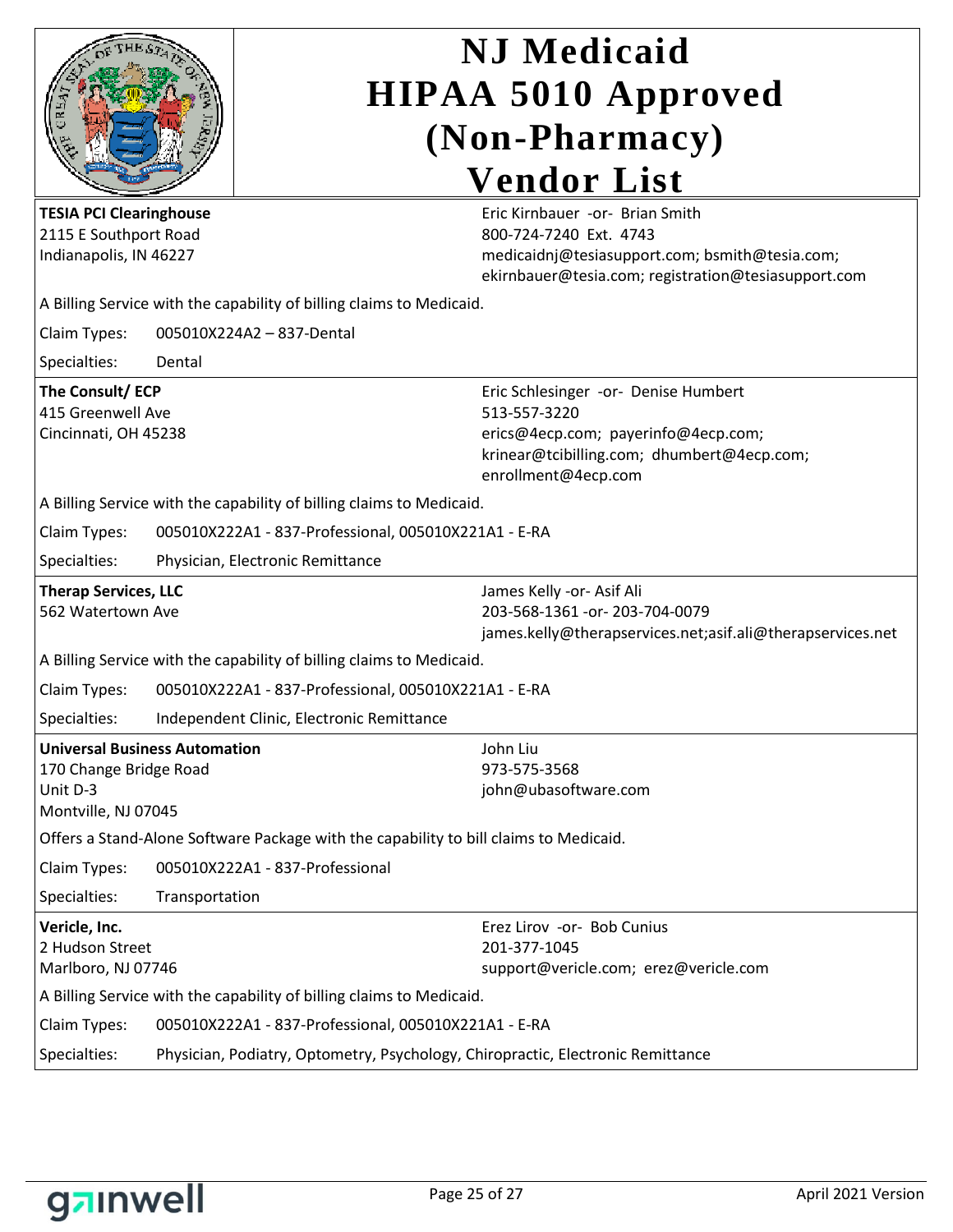|                                                                                                   |                                                                                       | <b>NJ</b> Medicaid<br><b>HIPAA 5010 Approved</b><br>(Non-Pharmacy)                                                                                               |  |  |  |                                                                                   |  |                                                                                                                                                                     |
|---------------------------------------------------------------------------------------------------|---------------------------------------------------------------------------------------|------------------------------------------------------------------------------------------------------------------------------------------------------------------|--|--|--|-----------------------------------------------------------------------------------|--|---------------------------------------------------------------------------------------------------------------------------------------------------------------------|
|                                                                                                   |                                                                                       |                                                                                                                                                                  |  |  |  |                                                                                   |  | <b>Vendor List</b>                                                                                                                                                  |
|                                                                                                   |                                                                                       |                                                                                                                                                                  |  |  |  | <b>TESIA PCI Clearinghouse</b><br>2115 E Southport Road<br>Indianapolis, IN 46227 |  | Eric Kirnbauer - or- Brian Smith<br>800-724-7240 Ext. 4743<br>medicaidnj@tesiasupport.com; bsmith@tesia.com;<br>ekirnbauer@tesia.com; registration@tesiasupport.com |
|                                                                                                   |                                                                                       | A Billing Service with the capability of billing claims to Medicaid.                                                                                             |  |  |  |                                                                                   |  |                                                                                                                                                                     |
| Claim Types:                                                                                      |                                                                                       | 005010X224A2 - 837-Dental                                                                                                                                        |  |  |  |                                                                                   |  |                                                                                                                                                                     |
| Specialties:                                                                                      | Dental                                                                                |                                                                                                                                                                  |  |  |  |                                                                                   |  |                                                                                                                                                                     |
| The Consult/ECP<br>415 Greenwell Ave<br>Cincinnati, OH 45238                                      |                                                                                       | Eric Schlesinger -or- Denise Humbert<br>513-557-3220<br>erics@4ecp.com; payerinfo@4ecp.com;<br>krinear@tcibilling.com; dhumbert@4ecp.com;<br>enrollment@4ecp.com |  |  |  |                                                                                   |  |                                                                                                                                                                     |
|                                                                                                   |                                                                                       | A Billing Service with the capability of billing claims to Medicaid.                                                                                             |  |  |  |                                                                                   |  |                                                                                                                                                                     |
| Claim Types:                                                                                      |                                                                                       | 005010X222A1 - 837-Professional, 005010X221A1 - E-RA                                                                                                             |  |  |  |                                                                                   |  |                                                                                                                                                                     |
| Specialties:                                                                                      |                                                                                       | Physician, Electronic Remittance                                                                                                                                 |  |  |  |                                                                                   |  |                                                                                                                                                                     |
| <b>Therap Services, LLC</b><br>562 Watertown Ave                                                  |                                                                                       | James Kelly - or - Asif Ali<br>203-568-1361 - or - 203-704-0079<br>james.kelly@therapservices.net;asif.ali@therapservices.net                                    |  |  |  |                                                                                   |  |                                                                                                                                                                     |
|                                                                                                   |                                                                                       | A Billing Service with the capability of billing claims to Medicaid.                                                                                             |  |  |  |                                                                                   |  |                                                                                                                                                                     |
| Claim Types:                                                                                      |                                                                                       | 005010X222A1 - 837-Professional, 005010X221A1 - E-RA                                                                                                             |  |  |  |                                                                                   |  |                                                                                                                                                                     |
| Specialties:                                                                                      |                                                                                       | Independent Clinic, Electronic Remittance                                                                                                                        |  |  |  |                                                                                   |  |                                                                                                                                                                     |
| <b>Universal Business Automation</b><br>170 Change Bridge Road<br>Unit D-3<br>Montville, NJ 07045 |                                                                                       | John Liu<br>973-575-3568<br>john@ubasoftware.com                                                                                                                 |  |  |  |                                                                                   |  |                                                                                                                                                                     |
|                                                                                                   | Offers a Stand-Alone Software Package with the capability to bill claims to Medicaid. |                                                                                                                                                                  |  |  |  |                                                                                   |  |                                                                                                                                                                     |
| Claim Types:                                                                                      |                                                                                       | 005010X222A1 - 837-Professional                                                                                                                                  |  |  |  |                                                                                   |  |                                                                                                                                                                     |
| Specialties:                                                                                      | Transportation                                                                        |                                                                                                                                                                  |  |  |  |                                                                                   |  |                                                                                                                                                                     |
| Vericle, Inc.<br>2 Hudson Street<br>Marlboro, NJ 07746                                            |                                                                                       | Erez Lirov -or- Bob Cunius<br>201-377-1045<br>support@vericle.com; erez@vericle.com                                                                              |  |  |  |                                                                                   |  |                                                                                                                                                                     |
|                                                                                                   |                                                                                       | A Billing Service with the capability of billing claims to Medicaid.                                                                                             |  |  |  |                                                                                   |  |                                                                                                                                                                     |
| Claim Types:                                                                                      |                                                                                       | 005010X222A1 - 837-Professional, 005010X221A1 - E-RA                                                                                                             |  |  |  |                                                                                   |  |                                                                                                                                                                     |
| Specialties:                                                                                      |                                                                                       | Physician, Podiatry, Optometry, Psychology, Chiropractic, Electronic Remittance                                                                                  |  |  |  |                                                                                   |  |                                                                                                                                                                     |

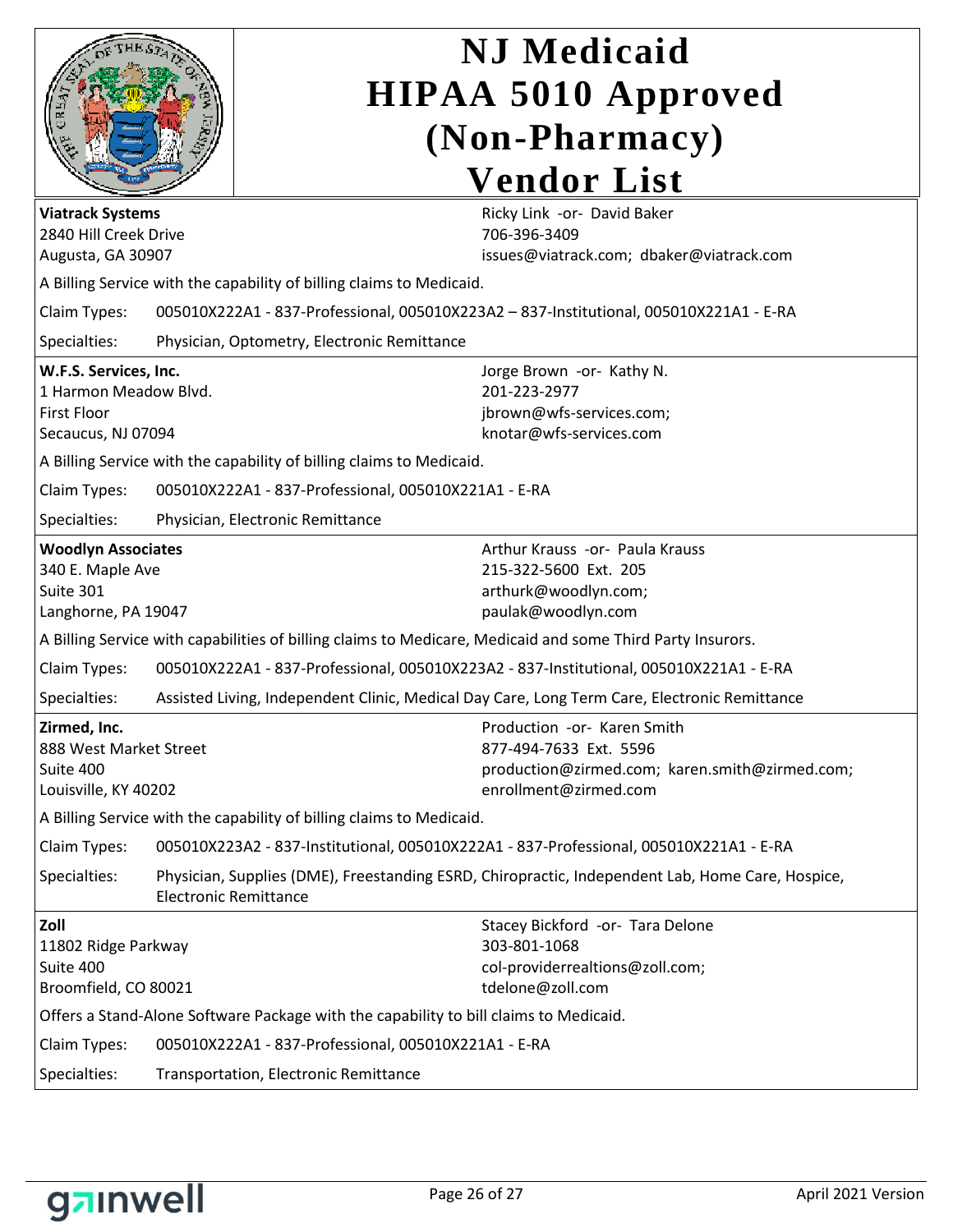| <b>Viatrack Systems</b><br>2840 Hill Creek Drive<br>Augusta, GA 30907                                                      |                              | <b>NJ</b> Medicaid<br><b>HIPAA 5010 Approved</b><br>(Non-Pharmacy)<br><b>Vendor List</b><br>Ricky Link -or- David Baker<br>706-396-3409<br>issues@viatrack.com; dbaker@viatrack.com<br>A Billing Service with the capability of billing claims to Medicaid.          |
|----------------------------------------------------------------------------------------------------------------------------|------------------------------|----------------------------------------------------------------------------------------------------------------------------------------------------------------------------------------------------------------------------------------------------------------------|
| Claim Types:<br>Specialties:                                                                                               |                              | 005010X222A1 - 837-Professional, 005010X223A2 - 837-Institutional, 005010X221A1 - E-RA<br>Physician, Optometry, Electronic Remittance                                                                                                                                |
| W.F.S. Services, Inc.<br>1 Harmon Meadow Blvd.<br><b>First Floor</b><br>Secaucus, NJ 07094<br>Claim Types:<br>Specialties: |                              | Jorge Brown -or- Kathy N.<br>201-223-2977<br>jbrown@wfs-services.com;<br>knotar@wfs-services.com<br>A Billing Service with the capability of billing claims to Medicaid.<br>005010X222A1 - 837-Professional, 005010X221A1 - E-RA<br>Physician, Electronic Remittance |
| <b>Woodlyn Associates</b>                                                                                                  |                              | Arthur Krauss -or- Paula Krauss                                                                                                                                                                                                                                      |
| 340 E. Maple Ave<br>Suite 301<br>Langhorne, PA 19047                                                                       |                              | 215-322-5600 Ext. 205<br>arthurk@woodlyn.com;<br>paulak@woodlyn.com                                                                                                                                                                                                  |
|                                                                                                                            |                              | A Billing Service with capabilities of billing claims to Medicare, Medicaid and some Third Party Insurors.                                                                                                                                                           |
| Claim Types:                                                                                                               |                              | 005010X222A1 - 837-Professional, 005010X223A2 - 837-Institutional, 005010X221A1 - E-RA                                                                                                                                                                               |
| Specialties:                                                                                                               |                              | Assisted Living, Independent Clinic, Medical Day Care, Long Term Care, Electronic Remittance                                                                                                                                                                         |
| Zirmed, Inc.<br>888 West Market Street<br>Suite 400<br>Louisville, KY 40202                                                |                              | Production -or- Karen Smith<br>877-494-7633 Ext. 5596<br>production@zirmed.com; karen.smith@zirmed.com;<br>enrollment@zirmed.com                                                                                                                                     |
|                                                                                                                            |                              | A Billing Service with the capability of billing claims to Medicaid.                                                                                                                                                                                                 |
| Claim Types:                                                                                                               |                              | 005010X223A2 - 837-Institutional, 005010X222A1 - 837-Professional, 005010X221A1 - E-RA                                                                                                                                                                               |
| Specialties:                                                                                                               | <b>Electronic Remittance</b> | Physician, Supplies (DME), Freestanding ESRD, Chiropractic, Independent Lab, Home Care, Hospice,                                                                                                                                                                     |
| Zoll<br>11802 Ridge Parkway<br>Suite 400<br>Broomfield, CO 80021                                                           |                              | Stacey Bickford -or- Tara Delone<br>303-801-1068<br>col-providerrealtions@zoll.com;<br>tdelone@zoll.com                                                                                                                                                              |
|                                                                                                                            |                              | Offers a Stand-Alone Software Package with the capability to bill claims to Medicaid.                                                                                                                                                                                |
| Claim Types:<br>005010X222A1 - 837-Professional, 005010X221A1 - E-RA                                                       |                              |                                                                                                                                                                                                                                                                      |
| Specialties:                                                                                                               |                              | Transportation, Electronic Remittance                                                                                                                                                                                                                                |